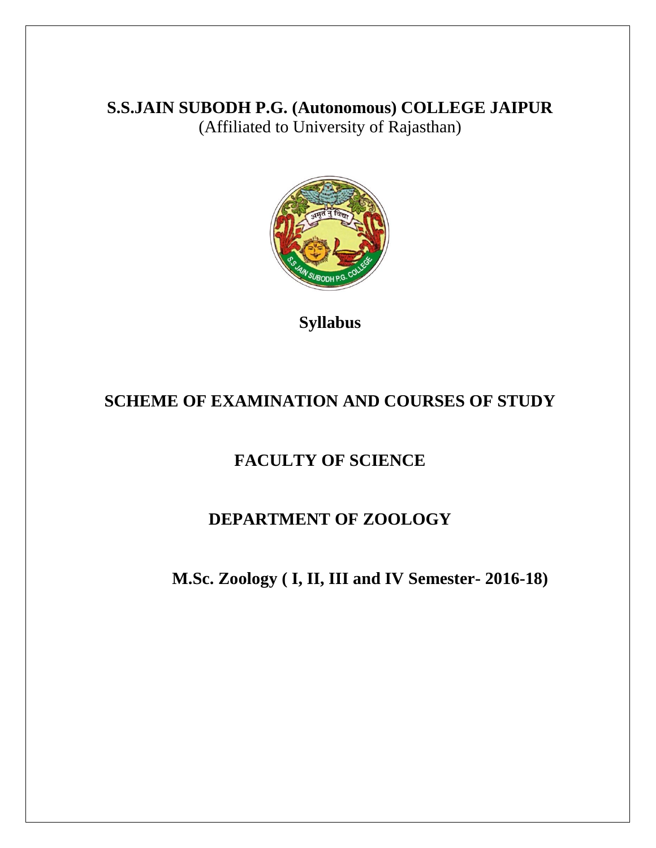**S.S.JAIN SUBODH P.G. (Autonomous) COLLEGE JAIPUR** (Affiliated to University of Rajasthan)

**Syllabus**

# **SCHEME OF EXAMINATION AND COURSES OF STUDY**

# **FACULTY OF SCIENCE**

# **DEPARTMENT OF ZOOLOGY**

**M.Sc. Zoology ( I, II, III and IV Semester- 2016-18)**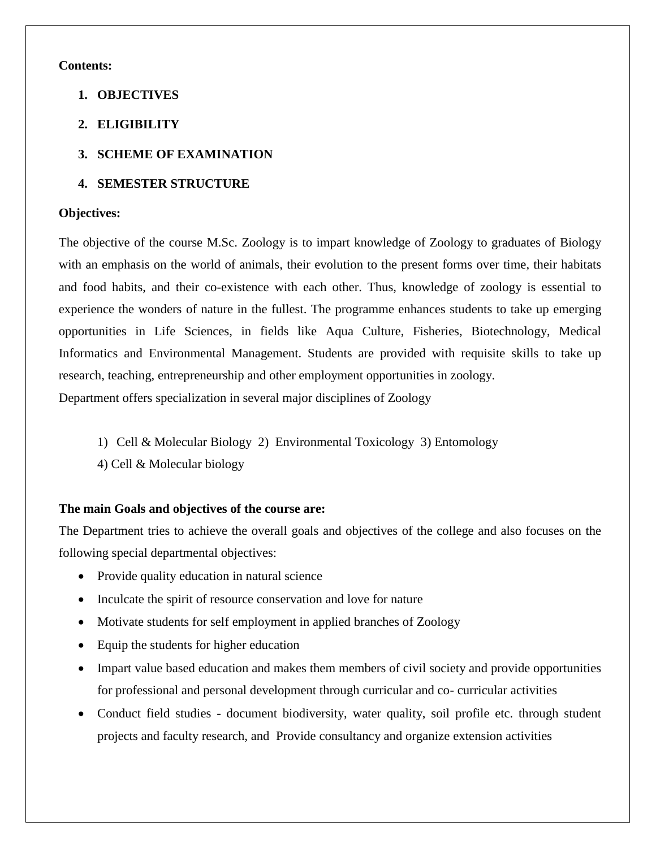#### **Contents:**

- **1. OBJECTIVES**
- **2. ELIGIBILITY**
- **3. SCHEME OF EXAMINATION**
- **4. SEMESTER STRUCTURE**

#### **Objectives:**

The objective of the course M.Sc. Zoology is to impart knowledge of Zoology to graduates of Biology with an emphasis on the world of animals, their evolution to the present forms over time, their habitats and food habits, and their co-existence with each other. Thus, knowledge of zoology is essential to experience the wonders of nature in the fullest. The programme enhances students to take up emerging opportunities in Life Sciences, in fields like Aqua Culture, Fisheries, Biotechnology, Medical Informatics and Environmental Management. Students are provided with requisite skills to take up research, teaching, entrepreneurship and other employment opportunities in zoology.

Department offers specialization in several major disciplines of Zoology

- 1) Cell & Molecular Biology 2) Environmental Toxicology 3) Entomology
- 4) Cell & Molecular biology

#### **The main Goals and objectives of the course are:**

The Department tries to achieve the overall goals and objectives of the college and also focuses on the following special departmental objectives:

- Provide quality education in natural science
- Inculcate the spirit of resource conservation and love for nature
- Motivate students for self employment in applied branches of Zoology
- Equip the students for higher education
- Impart value based education and makes them members of civil society and provide opportunities for professional and personal development through curricular and co- curricular activities
- Conduct field studies document biodiversity, water quality, soil profile etc. through student projects and faculty research, and Provide consultancy and organize extension activities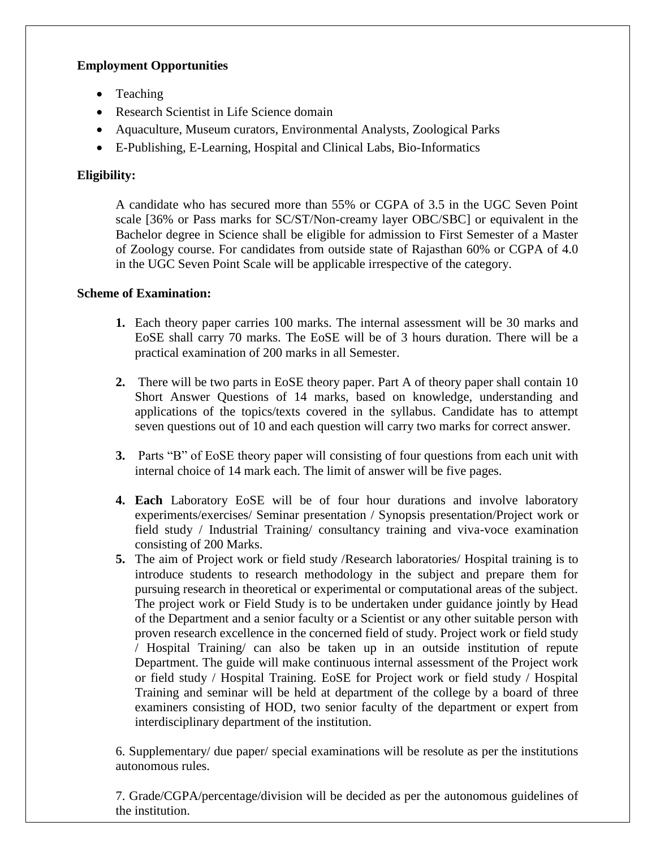### **Employment Opportunities**

- Teaching
- Research Scientist in Life Science domain
- Aquaculture, Museum curators, Environmental Analysts, Zoological Parks
- E-Publishing, E-Learning, Hospital and Clinical Labs, Bio-Informatics

### **Eligibility:**

A candidate who has secured more than 55% or CGPA of 3.5 in the UGC Seven Point scale [36% or Pass marks for SC/ST/Non-creamy layer OBC/SBC] or equivalent in the Bachelor degree in Science shall be eligible for admission to First Semester of a Master of Zoology course. For candidates from outside state of Rajasthan 60% or CGPA of 4.0 in the UGC Seven Point Scale will be applicable irrespective of the category.

#### **Scheme of Examination:**

- **1.** Each theory paper carries 100 marks. The internal assessment will be 30 marks and EoSE shall carry 70 marks. The EoSE will be of 3 hours duration. There will be a practical examination of 200 marks in all Semester.
- **2.** There will be two parts in EoSE theory paper. Part A of theory paper shall contain 10 Short Answer Questions of 14 marks, based on knowledge, understanding and applications of the topics/texts covered in the syllabus. Candidate has to attempt seven questions out of 10 and each question will carry two marks for correct answer.
- **3.** Parts "B" of EoSE theory paper will consisting of four questions from each unit with internal choice of 14 mark each. The limit of answer will be five pages.
- **4. Each** Laboratory EoSE will be of four hour durations and involve laboratory experiments/exercises/ Seminar presentation / Synopsis presentation/Project work or field study / Industrial Training/ consultancy training and viva-voce examination consisting of 200 Marks.
- **5.** The aim of Project work or field study /Research laboratories/ Hospital training is to introduce students to research methodology in the subject and prepare them for pursuing research in theoretical or experimental or computational areas of the subject. The project work or Field Study is to be undertaken under guidance jointly by Head of the Department and a senior faculty or a Scientist or any other suitable person with proven research excellence in the concerned field of study. Project work or field study / Hospital Training/ can also be taken up in an outside institution of repute Department. The guide will make continuous internal assessment of the Project work or field study / Hospital Training. EoSE for Project work or field study / Hospital Training and seminar will be held at department of the college by a board of three examiners consisting of HOD, two senior faculty of the department or expert from interdisciplinary department of the institution.

6. Supplementary/ due paper/ special examinations will be resolute as per the institutions autonomous rules.

7. Grade/CGPA/percentage/division will be decided as per the autonomous guidelines of the institution.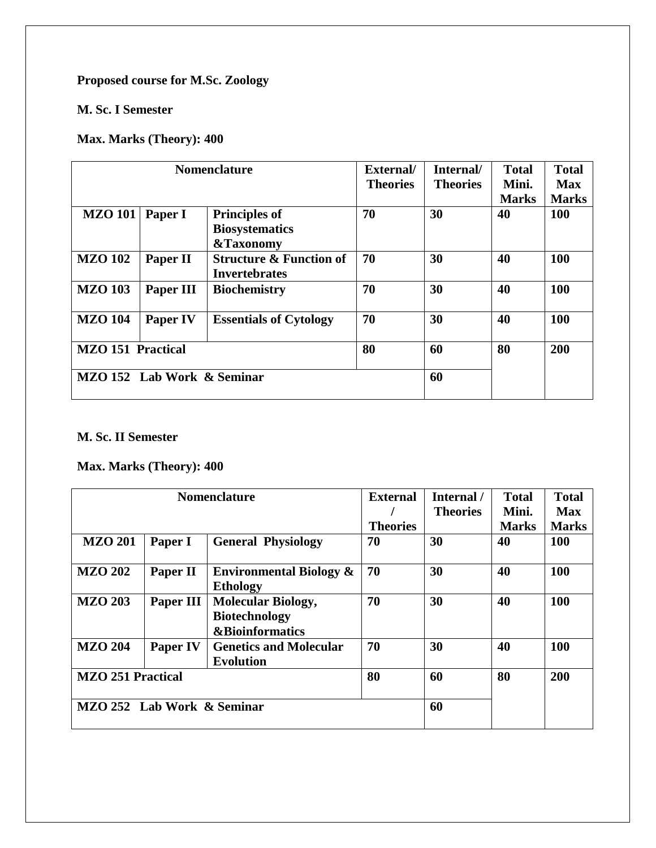# **Proposed course for M.Sc. Zoology**

**M. Sc. I Semester** 

**Max. Marks (Theory): 400**

|                          | <b>Nomenclature</b>        |                                    |                 | Internal/       | <b>Total</b> | <b>Total</b> |
|--------------------------|----------------------------|------------------------------------|-----------------|-----------------|--------------|--------------|
|                          |                            |                                    | <b>Theories</b> | <b>Theories</b> | Mini.        | <b>Max</b>   |
|                          |                            |                                    |                 |                 | <b>Marks</b> | <b>Marks</b> |
| <b>MZO 101</b>           | Paper I                    | <b>Principles of</b>               | 70              | 30              | 40           | 100          |
|                          |                            | <b>Biosystematics</b>              |                 |                 |              |              |
|                          |                            | &Taxonomy                          |                 |                 |              |              |
| <b>MZO 102</b>           | <b>Paper II</b>            | <b>Structure &amp; Function of</b> | 70              | 30              | 40           | 100          |
|                          |                            | <b>Invertebrates</b>               |                 |                 |              |              |
| <b>MZO 103</b>           | Paper III                  | <b>Biochemistry</b>                | 70              | 30              | 40           | 100          |
| <b>MZO 104</b>           | <b>Paper IV</b>            | <b>Essentials of Cytology</b>      | 70              | 30              | 40           | 100          |
| <b>MZO 151 Practical</b> |                            |                                    | 80              | 60              | 80           | 200          |
|                          | MZO 152 Lab Work & Seminar |                                    |                 | 60              |              |              |

## **M. Sc. II Semester**

**Max. Marks (Theory): 400**

|                            |                 | <b>Nomenclature</b>                                                             | <b>External</b><br><b>Theories</b> | Internal /<br><b>Theories</b> | <b>Total</b><br>Mini.<br><b>Marks</b> | <b>Total</b><br><b>Max</b><br><b>Marks</b> |
|----------------------------|-----------------|---------------------------------------------------------------------------------|------------------------------------|-------------------------------|---------------------------------------|--------------------------------------------|
| <b>MZO 201</b>             | Paper I         | <b>General Physiology</b>                                                       | 70                                 | 30                            | 40                                    | 100                                        |
| <b>MZO 202</b>             | <b>Paper II</b> | <b>Environmental Biology &amp;</b><br><b>Ethology</b>                           | 70                                 | 30                            | 40                                    | 100                                        |
| <b>MZO 203</b>             | Paper III       | <b>Molecular Biology,</b><br><b>Biotechnology</b><br><b>&amp;Bioinformatics</b> | 70                                 | 30                            | 40                                    | 100                                        |
| <b>MZO 204</b>             | Paper IV        | <b>Genetics and Molecular</b><br><b>Evolution</b>                               | 70                                 | 30                            | 40                                    | 100                                        |
| <b>MZO 251 Practical</b>   |                 |                                                                                 | 80                                 | 60                            | 80                                    | 200                                        |
| MZO 252 Lab Work & Seminar |                 |                                                                                 |                                    | 60                            |                                       |                                            |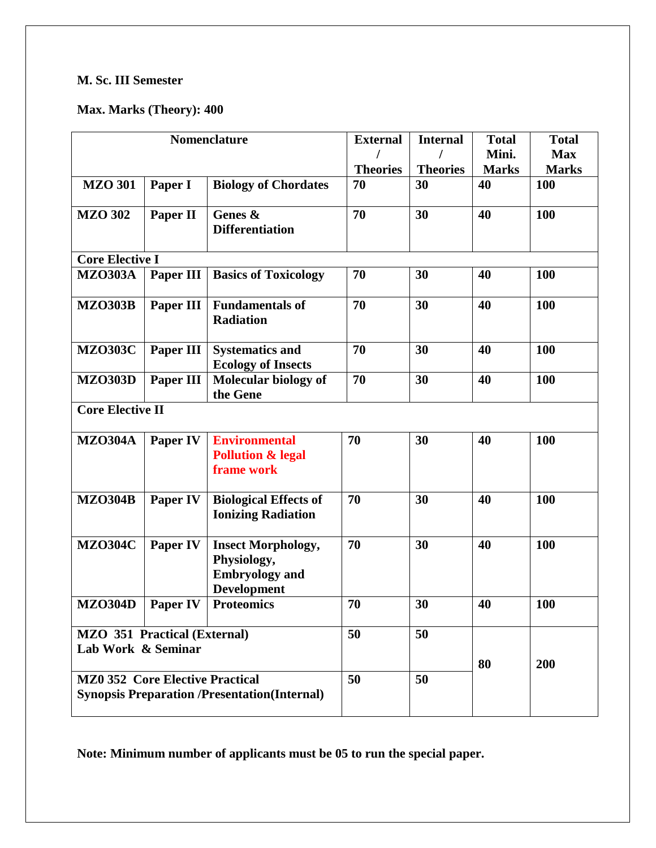## **M. Sc. III Semester**

**Max. Marks (Theory): 400**

|                                                           |                  | <b>Nomenclature</b>                                                                     | <b>External</b>       | <b>Internal</b>       | <b>Total</b><br>Mini. | <b>Total</b><br><b>Max</b> |
|-----------------------------------------------------------|------------------|-----------------------------------------------------------------------------------------|-----------------------|-----------------------|-----------------------|----------------------------|
| <b>MZO 301</b>                                            | Paper I          | <b>Biology of Chordates</b>                                                             | <b>Theories</b><br>70 | <b>Theories</b><br>30 | <b>Marks</b><br>40    | <b>Marks</b><br>100        |
|                                                           |                  |                                                                                         |                       |                       |                       |                            |
| <b>MZO 302</b>                                            | <b>Paper II</b>  | Genes &<br><b>Differentiation</b>                                                       | 70                    | 30                    | 40                    | 100                        |
| <b>Core Elective I</b>                                    |                  |                                                                                         |                       |                       |                       |                            |
| <b>MZO303A</b>                                            | Paper III        | <b>Basics of Toxicology</b>                                                             | 70                    | 30                    | 40                    | 100                        |
| <b>MZO303B</b>                                            | <b>Paper III</b> | <b>Fundamentals of</b><br><b>Radiation</b>                                              | 70                    | 30                    | 40                    | 100                        |
| <b>MZO303C</b>                                            | Paper III        | <b>Systematics and</b><br><b>Ecology of Insects</b>                                     | 70                    | 30                    | 40                    | 100                        |
| <b>MZO303D</b>                                            | <b>Paper III</b> | Molecular biology of<br>the Gene                                                        | 70                    | 30                    | 40                    | 100                        |
| <b>Core Elective II</b>                                   |                  |                                                                                         |                       |                       |                       |                            |
| <b>MZO304A</b>                                            | <b>Paper IV</b>  | <b>Environmental</b><br><b>Pollution &amp; legal</b><br>frame work                      | 70                    | 30                    | 40                    | 100                        |
| <b>MZO304B</b>                                            | Paper IV         | <b>Biological Effects of</b><br><b>Ionizing Radiation</b>                               | 70                    | 30                    | 40                    | 100                        |
| <b>MZO304C</b>                                            | Paper IV         | <b>Insect Morphology,</b><br>Physiology,<br><b>Embryology</b> and<br><b>Development</b> | 70                    | 30                    | 40                    | 100                        |
| <b>MZO304D</b>                                            | <b>Paper IV</b>  | <b>Proteomics</b>                                                                       | 70                    | 30                    | 40                    | <b>100</b>                 |
| <b>MZO 351 Practical (External)</b><br>Lab Work & Seminar |                  |                                                                                         | 50                    | 50                    | 80                    | 200                        |
| <b>MZ0 352 Core Elective Practical</b>                    |                  | <b>Synopsis Preparation /Presentation (Internal)</b>                                    | 50                    | 50                    |                       |                            |

**Note: Minimum number of applicants must be 05 to run the special paper.**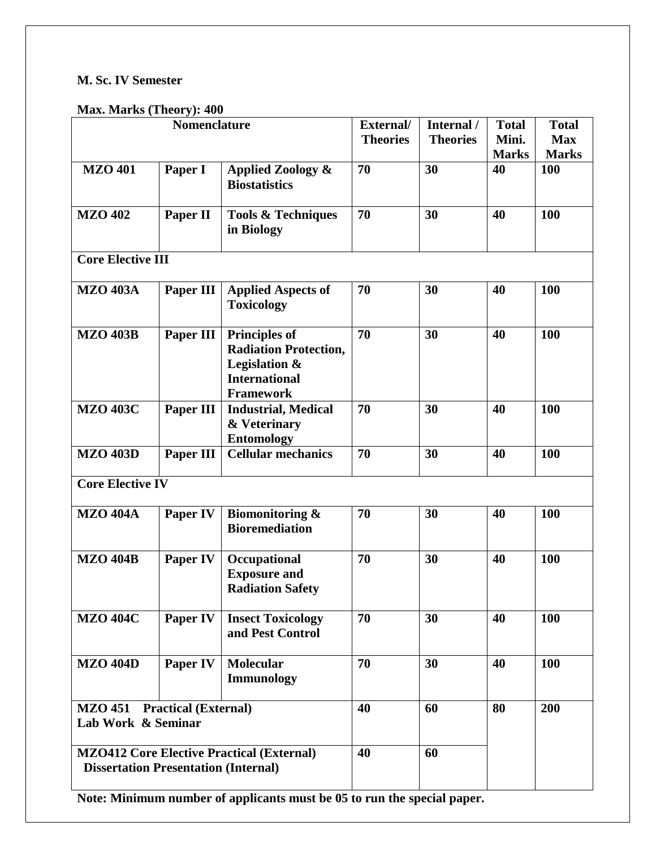## **M. Sc. IV Semester**

#### **Max. Marks (Theory): 400**

| 1.144111101110011100                        | <b>Nomenclature</b>         |                                                                                                                              |    | Internal /<br><b>Theories</b> | <b>Total</b><br>Mini.<br><b>Marks</b> | <b>Total</b><br><b>Max</b><br><b>Marks</b> |
|---------------------------------------------|-----------------------------|------------------------------------------------------------------------------------------------------------------------------|----|-------------------------------|---------------------------------------|--------------------------------------------|
| <b>MZO 401</b>                              | Paper I                     | <b>Applied Zoology &amp;</b><br><b>Biostatistics</b>                                                                         | 70 | 30                            | 40                                    | 100                                        |
| <b>MZO 402</b>                              | Paper II                    | <b>Tools &amp; Techniques</b><br>in Biology                                                                                  | 70 | 30                            | 40                                    | 100                                        |
| <b>Core Elective III</b>                    |                             |                                                                                                                              |    |                               |                                       |                                            |
| <b>MZO 403A</b>                             | <b>Paper III</b>            | <b>Applied Aspects of</b><br><b>Toxicology</b>                                                                               | 70 | 30                            | 40                                    | <b>100</b>                                 |
| <b>MZO 403B</b>                             | Paper III                   | <b>Principles of</b><br><b>Radiation Protection,</b><br><b>Legislation &amp;</b><br><b>International</b><br><b>Framework</b> | 70 | 30                            | 40                                    | 100                                        |
| <b>MZO 403C</b>                             | Paper III                   | <b>Industrial, Medical</b><br>& Veterinary<br><b>Entomology</b>                                                              | 70 | 30                            | 40                                    | 100                                        |
| <b>MZO 403D</b>                             | <b>Paper III</b>            | <b>Cellular mechanics</b>                                                                                                    | 70 | 30                            | 40                                    | 100                                        |
| <b>Core Elective IV</b>                     |                             |                                                                                                                              |    |                               |                                       |                                            |
| <b>MZO 404A</b>                             | Paper IV                    | <b>Biomonitoring &amp;</b><br><b>Bioremediation</b>                                                                          | 70 | 30                            | 40                                    | 100                                        |
| <b>MZO 404B</b>                             | <b>Paper IV</b>             | Occupational<br><b>Exposure and</b><br><b>Radiation Safety</b>                                                               | 70 | 30                            | 40                                    | 100                                        |
| <b>MZO 404C</b>                             | Paper IV                    | <b>Insect Toxicology</b><br>and Pest Control                                                                                 | 70 | 30                            | 40                                    | 100                                        |
| <b>MZO 404D</b>                             | Paper IV                    | <b>Molecular</b><br>Immunology                                                                                               | 70 | 30                            | 40                                    | 100                                        |
| <b>MZO 451</b><br>Lab Work & Seminar        | <b>Practical (External)</b> |                                                                                                                              | 40 | 60                            | 80                                    | 200                                        |
| <b>Dissertation Presentation (Internal)</b> |                             | <b>MZO412 Core Elective Practical (External)</b>                                                                             | 40 | 60                            |                                       |                                            |

**Note: Minimum number of applicants must be 05 to run the special paper.**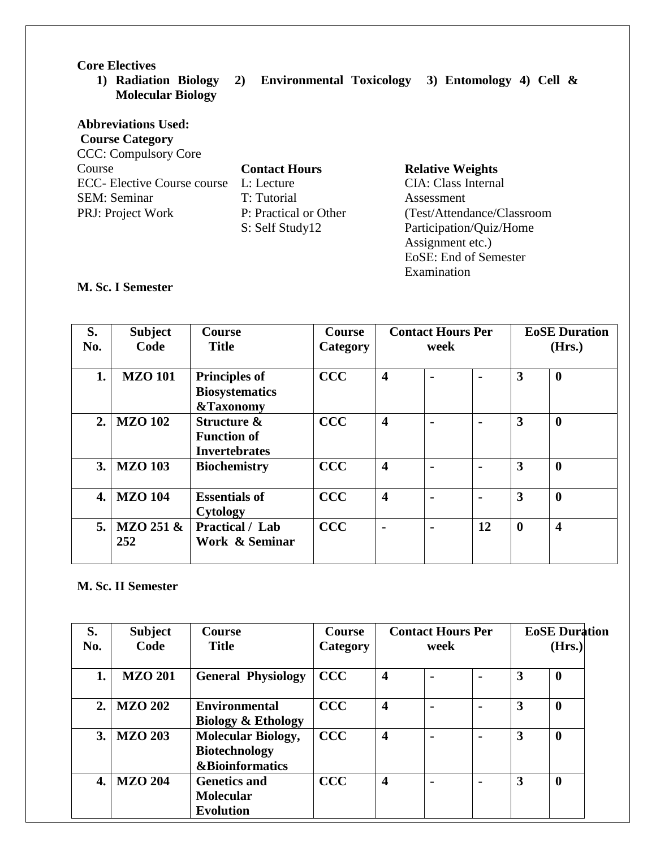## **Core Electives**

**1) Radiation Biology 2) Environmental Toxicology 3) Entomology 4) Cell & Molecular Biology**

| <b>Abbreviations Used:</b><br><b>Course Category</b><br><b>CCC: Compulsory Core</b> |                       |                             |
|-------------------------------------------------------------------------------------|-----------------------|-----------------------------|
| Course                                                                              | <b>Contact Hours</b>  | <b>Relative Weights</b>     |
| <b>ECC</b> - Elective Course course                                                 | L: Lecture            | CIA: Class Internal         |
| <b>SEM</b> : Seminar                                                                | T: Tutorial           | Assessment                  |
| PRJ: Project Work                                                                   | P: Practical or Other | (Test/Attendance/Classroom) |
|                                                                                     | S: Self Study12       | Participation/Quiz/Home     |
|                                                                                     |                       | Assignment etc.)            |
|                                                                                     |                       | EoSE: End of Semester       |

### **M. Sc. I Semester**

| S.<br>No.        | <b>Subject</b><br>Code | <b>Course</b><br><b>Title</b>                              | Course<br>Category | <b>Contact Hours Per</b><br>week |   | <b>EoSE</b> Duration<br>(Hrs.) |             |                         |
|------------------|------------------------|------------------------------------------------------------|--------------------|----------------------------------|---|--------------------------------|-------------|-------------------------|
| 1.               | <b>MZO 101</b>         | <b>Principles of</b><br><b>Biosystematics</b><br>&Taxonomy | <b>CCC</b>         | $\overline{\mathbf{4}}$          | ۰ | $\blacksquare$                 | 3           | $\bf{0}$                |
| 2.               | <b>MZO 102</b>         | Structure &<br><b>Function of</b><br><b>Invertebrates</b>  | <b>CCC</b>         | $\overline{\mathbf{4}}$          |   |                                | 3           | $\bf{0}$                |
| 3.               | <b>MZO 103</b>         | <b>Biochemistry</b>                                        | <b>CCC</b>         | $\overline{\mathbf{4}}$          |   |                                | 3           | $\boldsymbol{0}$        |
| $\overline{4}$ . | <b>MZO 104</b>         | <b>Essentials of</b><br><b>Cytology</b>                    | <b>CCC</b>         | $\overline{\mathbf{4}}$          |   |                                | 3           | $\boldsymbol{0}$        |
| 5.               | MZO 251 &<br>252       | <b>Practical / Lab</b><br>Work & Seminar                   | <b>CCC</b>         | $\blacksquare$                   |   | 12                             | $\mathbf 0$ | $\overline{\mathbf{4}}$ |

Examination

## **M. Sc. II Semester**

| S.<br>No. | <b>Subject</b><br>Code | Course<br><b>Course</b><br><b>Title</b><br>Category                             |            |                         |   | <b>Contact Hours Per</b><br>week |   |              |
|-----------|------------------------|---------------------------------------------------------------------------------|------------|-------------------------|---|----------------------------------|---|--------------|
| 1.        | <b>MZO 201</b>         | <b>General Physiology</b>                                                       | <b>CCC</b> | $\overline{\mathbf{4}}$ | ۰ | $\blacksquare$                   | 3 | $\mathbf 0$  |
| 2.1       | <b>MZO 202</b>         | <b>Environmental</b><br><b>Biology &amp; Ethology</b>                           | <b>CCC</b> | $\overline{\mathbf{4}}$ | ۰ |                                  | 3 | $\mathbf{0}$ |
| 3.        | <b>MZO 203</b>         | <b>Molecular Biology,</b><br><b>Biotechnology</b><br><b>&amp;Bioinformatics</b> | <b>CCC</b> | $\overline{\mathbf{4}}$ | ٠ | $\blacksquare$                   | 3 | $\mathbf 0$  |
| 4.        | <b>MZO 204</b>         | <b>Genetics and</b><br><b>Molecular</b><br><b>Evolution</b>                     | <b>CCC</b> | $\overline{\mathbf{4}}$ | ۰ | $\blacksquare$                   | 3 | $\mathbf{0}$ |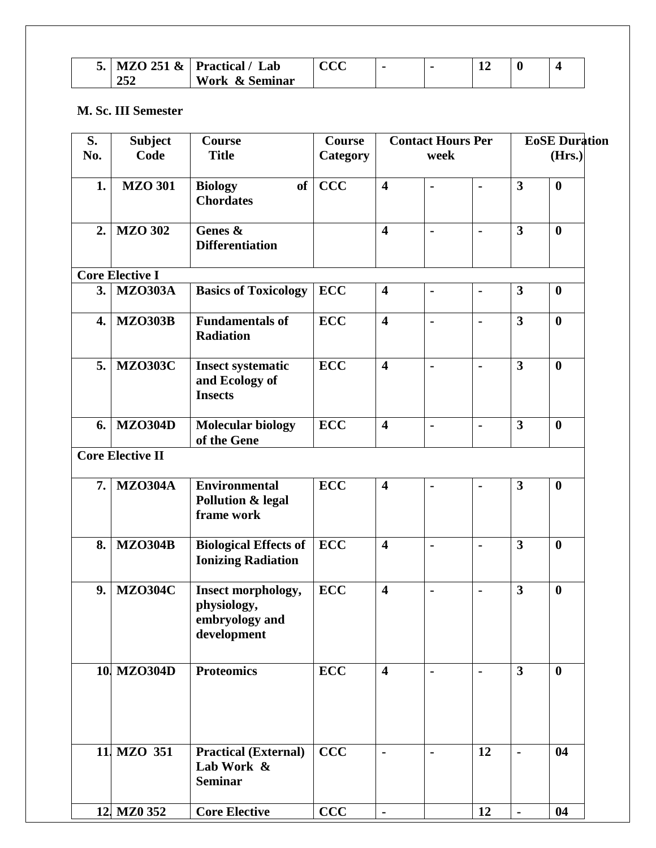| $MZO$ 251 &   Practical / | Lab            |  | ┻ |  |
|---------------------------|----------------|--|---|--|
| 252                       | Work & Seminar |  |   |  |

## **M. Sc. III Semester**

| S.<br>No. | <b>Subject</b><br>Code  | Course<br><b>Title</b>                                             | Course<br>Category |                         | <b>Contact Hours Per</b><br>week |                |                         | <b>EoSE</b> Duration<br>(Hrs.) |
|-----------|-------------------------|--------------------------------------------------------------------|--------------------|-------------------------|----------------------------------|----------------|-------------------------|--------------------------------|
| 1.        | <b>MZO 301</b>          | <b>Biology</b><br><b>of</b><br><b>Chordates</b>                    | CCC                | $\overline{\mathbf{4}}$ | $\blacksquare$                   |                | $\overline{\mathbf{3}}$ | $\bf{0}$                       |
| 2.        | <b>MZO 302</b>          | Genes &<br><b>Differentiation</b>                                  |                    | $\overline{\mathbf{4}}$ | $\blacksquare$                   |                | $\overline{\mathbf{3}}$ | $\bf{0}$                       |
|           | <b>Core Elective I</b>  |                                                                    |                    |                         |                                  |                |                         |                                |
| 3.1       | <b>MZO303A</b>          | <b>Basics of Toxicology</b>                                        | <b>ECC</b>         | $\overline{\mathbf{4}}$ | $\blacksquare$                   |                | $\overline{\mathbf{3}}$ | $\bf{0}$                       |
| 4.        | <b>MZO303B</b>          | <b>Fundamentals of</b><br><b>Radiation</b>                         | <b>ECC</b>         | $\overline{\mathbf{4}}$ | $\blacksquare$                   | $\blacksquare$ | $\overline{\mathbf{3}}$ | $\bf{0}$                       |
| 5.        | <b>MZO303C</b>          | <b>Insect systematic</b><br>and Ecology of<br><b>Insects</b>       | <b>ECC</b>         | $\overline{\mathbf{4}}$ | $\blacksquare$                   |                | $\overline{\mathbf{3}}$ | $\bf{0}$                       |
| 6.        | <b>MZO304D</b>          | <b>Molecular biology</b><br>of the Gene                            | <b>ECC</b>         | $\overline{\mathbf{4}}$ | $\blacksquare$                   | $\blacksquare$ | $\overline{\mathbf{3}}$ | $\bf{0}$                       |
|           | <b>Core Elective II</b> |                                                                    |                    |                         |                                  |                |                         |                                |
| 7.1       | <b>MZO304A</b>          | <b>Environmental</b><br><b>Pollution &amp; legal</b><br>frame work | <b>ECC</b>         | $\overline{\mathbf{4}}$ | $\blacksquare$                   |                | 3                       | $\bf{0}$                       |
| 8.        | <b>MZO304B</b>          | <b>Biological Effects of</b><br><b>Ionizing Radiation</b>          | <b>ECC</b>         | $\overline{\mathbf{4}}$ | $\blacksquare$                   |                | $\overline{\mathbf{3}}$ | $\bf{0}$                       |
| 9.        | <b>MZO304C</b>          | Insect morphology,<br>physiology,<br>embryology and<br>development | <b>ECC</b>         | $\overline{\mathbf{4}}$ | $\blacksquare$                   | $\blacksquare$ | $\overline{\mathbf{3}}$ | $\bf{0}$                       |
|           | 10 MZO304D              | <b>Proteomics</b>                                                  | <b>ECC</b>         | $\overline{\mathbf{4}}$ | $\blacksquare$                   | $\blacksquare$ | $\mathbf{3}$            | $\bf{0}$                       |
|           | 11 MZO 351              | <b>Practical (External)</b><br>Lab Work &<br><b>Seminar</b>        | CCC                | $\blacksquare$          | $\blacksquare$                   | 12             | $\blacksquare$          | 04                             |
|           | 12 MZ0 352              | <b>Core Elective</b>                                               | CCC                | $\blacksquare$          |                                  | 12             | $\blacksquare$          | 04                             |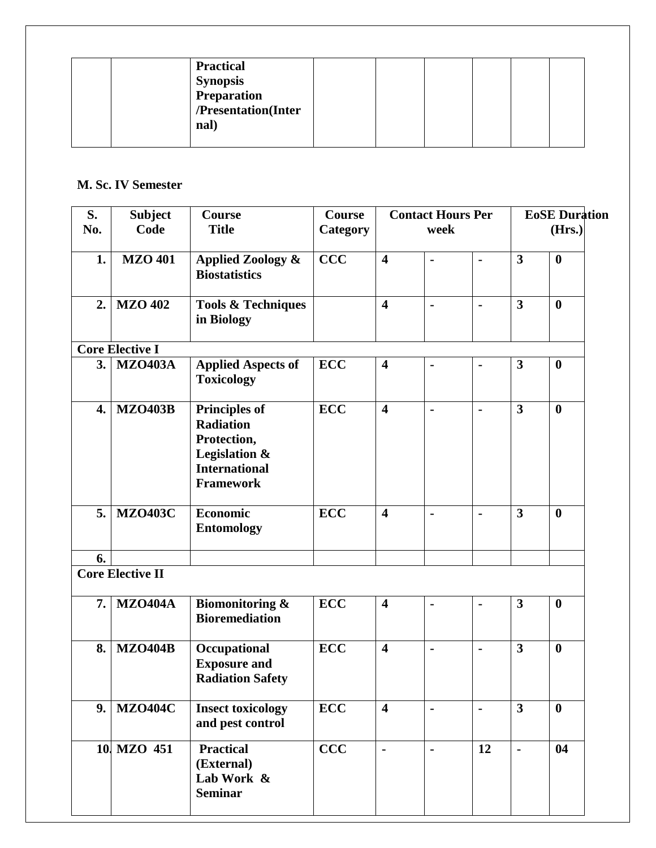| nal) |
|------|
|------|

## **M. Sc. IV Semester**

| S.  | <b>Subject</b>          | Course                                                                                                                   | Course     |                         | <b>Contact Hours Per</b> |                |                         | <b>EoSE</b> Duration |
|-----|-------------------------|--------------------------------------------------------------------------------------------------------------------------|------------|-------------------------|--------------------------|----------------|-------------------------|----------------------|
| No. | Code                    | <b>Title</b>                                                                                                             | Category   |                         | week                     |                |                         | (Hrs.)               |
| 1.  | <b>MZO 401</b>          | <b>Applied Zoology &amp;</b><br><b>Biostatistics</b>                                                                     | CCC        | $\overline{\mathbf{4}}$ | $\blacksquare$           | $\blacksquare$ | $\mathbf{3}$            | $\boldsymbol{0}$     |
| 2.  | <b>MZO 402</b>          | <b>Tools &amp; Techniques</b><br>in Biology                                                                              |            | $\overline{\mathbf{4}}$ | $\blacksquare$           | $\blacksquare$ | $\mathbf{3}$            | $\boldsymbol{0}$     |
|     | <b>Core Elective I</b>  |                                                                                                                          |            |                         |                          |                |                         |                      |
| 3.  | <b>MZO403A</b>          | <b>Applied Aspects of</b><br><b>Toxicology</b>                                                                           | <b>ECC</b> | $\overline{\mathbf{4}}$ | $\blacksquare$           |                | $\mathbf{3}$            | $\bf{0}$             |
| 4.  | <b>MZO403B</b>          | Principles of<br><b>Radiation</b><br>Protection,<br><b>Legislation &amp;</b><br><b>International</b><br><b>Framework</b> | <b>ECC</b> | $\overline{\mathbf{4}}$ | $\overline{a}$           |                | $\overline{\mathbf{3}}$ | $\bf{0}$             |
| 5.  | <b>MZO403C</b>          | <b>Economic</b><br><b>Entomology</b>                                                                                     | <b>ECC</b> | $\overline{\mathbf{4}}$ | $\blacksquare$           |                | $\overline{3}$          | $\bf{0}$             |
| 6.  |                         |                                                                                                                          |            |                         |                          |                |                         |                      |
|     | <b>Core Elective II</b> |                                                                                                                          |            |                         |                          |                |                         |                      |
| 7.  | <b>MZO404A</b>          | <b>Biomonitoring &amp;</b><br><b>Bioremediation</b>                                                                      | <b>ECC</b> | $\overline{\mathbf{4}}$ | $\blacksquare$           |                | 3                       | $\boldsymbol{0}$     |
| 8.  | <b>MZO404B</b>          | Occupational<br><b>Exposure and</b><br><b>Radiation Safety</b>                                                           | <b>ECC</b> | $\overline{\mathbf{4}}$ | $\blacksquare$           |                | $\overline{\mathbf{3}}$ | $\bf{0}$             |
| 9.  | <b>MZO404C</b>          | <b>Insect toxicology</b><br>and pest control                                                                             | <b>ECC</b> | $\overline{\mathbf{4}}$ | $\blacksquare$           | $\blacksquare$ | $\mathbf{3}$            | $\bf{0}$             |
|     | 10 MZO 451              | <b>Practical</b><br>(External)<br>Lab Work &<br><b>Seminar</b>                                                           | <b>CCC</b> | $\blacksquare$          | $\blacksquare$           | 12             | $\blacksquare$          | 04                   |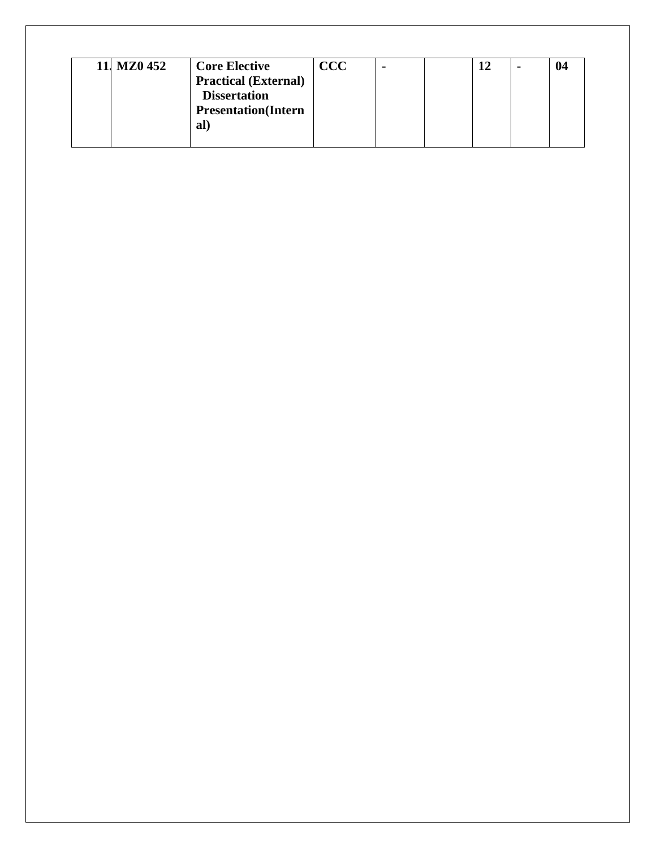| 11 MZ0 452 | <b>Core Elective</b>        | $\bf{CCC}$ | $\blacksquare$ | 12 |  |
|------------|-----------------------------|------------|----------------|----|--|
|            | <b>Practical (External)</b> |            |                |    |  |
|            | <b>Dissertation</b>         |            |                |    |  |
|            | <b>Presentation</b> (Intern |            |                |    |  |
|            | al                          |            |                |    |  |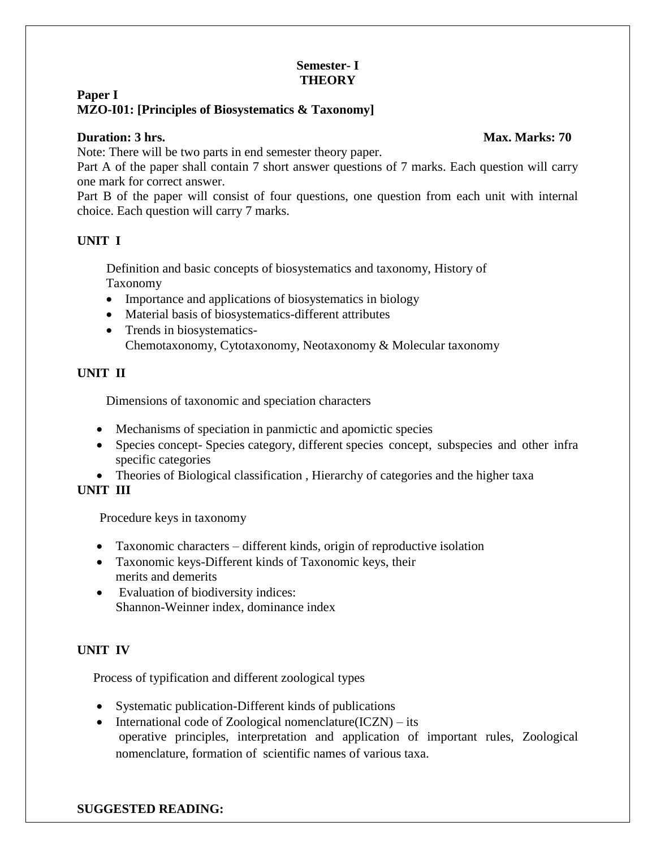## **Semester- I THEORY**

#### **Paper I MZO-I01: [Principles of Biosystematics & Taxonomy]**

#### **Duration: 3 hrs.** Max. Marks: 70

Note: There will be two parts in end semester theory paper.

Part A of the paper shall contain 7 short answer questions of 7 marks. Each question will carry one mark for correct answer.

Part B of the paper will consist of four questions, one question from each unit with internal choice. Each question will carry 7 marks.

#### **UNIT I**

Definition and basic concepts of biosystematics and taxonomy, History of Taxonomy

- Importance and applications of biosystematics in biology
- Material basis of biosystematics-different attributes
- Trends in biosystematics-Chemotaxonomy, Cytotaxonomy, Neotaxonomy & Molecular taxonomy

#### **UNIT II**

Dimensions of taxonomic and speciation characters

- Mechanisms of speciation in panmictic and apomictic species
- Species concept- Species category, different species concept, subspecies and other infra specific categories
- Theories of Biological classification , Hierarchy of categories and the higher taxa

#### **UNIT III**

Procedure keys in taxonomy

- Taxonomic characters different kinds, origin of reproductive isolation
- Taxonomic keys-Different kinds of Taxonomic keys, their merits and demerits
- Evaluation of biodiversity indices: Shannon-Weinner index, dominance index

## **UNIT IV**

Process of typification and different zoological types

- Systematic publication-Different kinds of publications
- International code of Zoological nomenclature(ICZN) its operative principles, interpretation and application of important rules, Zoological nomenclature, formation of scientific names of various taxa.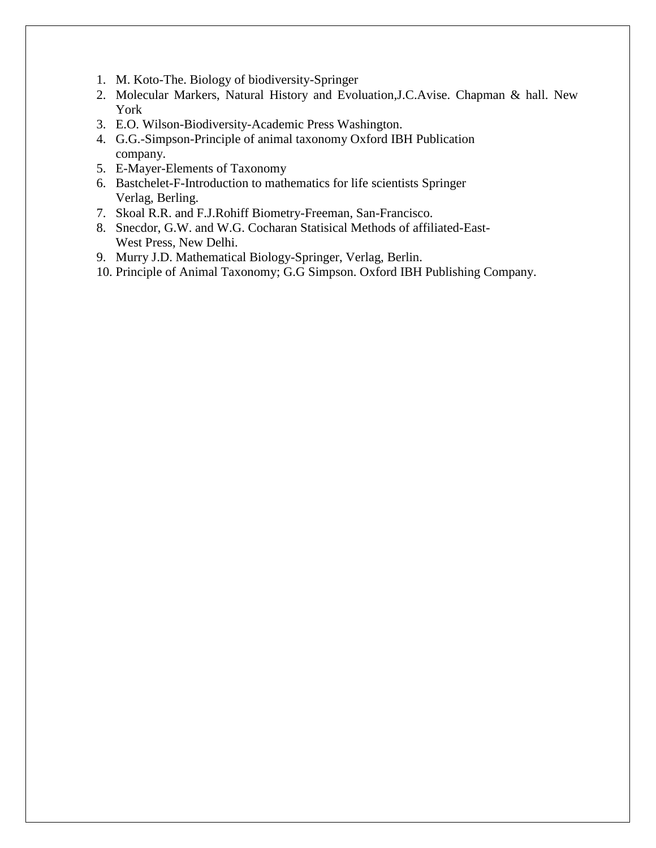- 1. M. Koto-The. Biology of biodiversity-Springer
- 2. Molecular Markers, Natural History and Evoluation,J.C.Avise. Chapman & hall. New York
- 3. E.O. Wilson-Biodiversity-Academic Press Washington.
- 4. G.G.-Simpson-Principle of animal taxonomy Oxford IBH Publication company.
- 5. E-Mayer-Elements of Taxonomy
- 6. Bastchelet-F-Introduction to mathematics for life scientists Springer Verlag, Berling.
- 7. Skoal R.R. and F.J.Rohiff Biometry-Freeman, San-Francisco.
- 8. Snecdor, G.W. and W.G. Cocharan Statisical Methods of affiliated-East-West Press, New Delhi.
- 9. Murry J.D. Mathematical Biology-Springer, Verlag, Berlin.
- 10. Principle of Animal Taxonomy; G.G Simpson. Oxford IBH Publishing Company.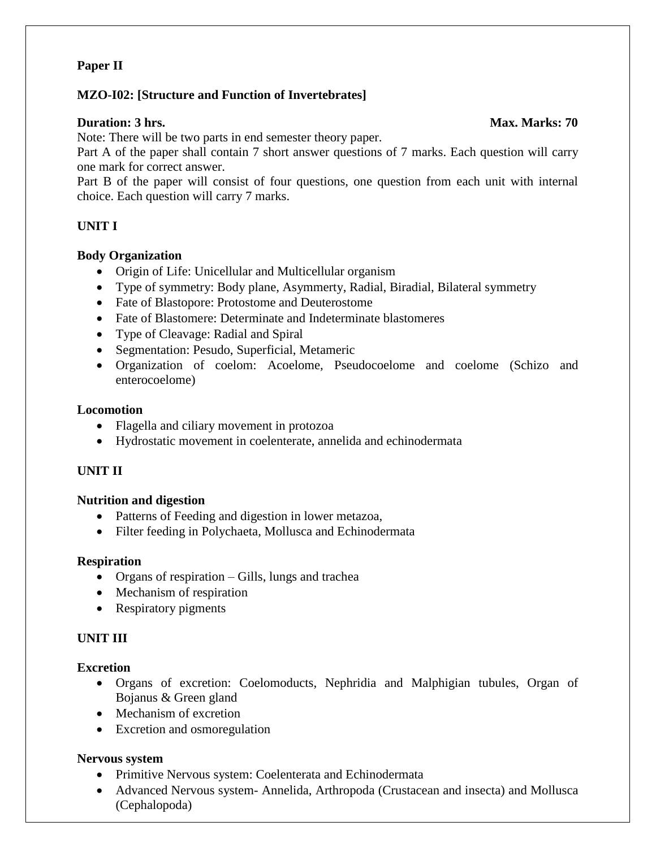### **Paper II**

### **MZO-I02: [Structure and Function of Invertebrates]**

### **Duration: 3 hrs. Max. Marks: 70**

Note: There will be two parts in end semester theory paper.

Part A of the paper shall contain 7 short answer questions of 7 marks. Each question will carry one mark for correct answer.

Part B of the paper will consist of four questions, one question from each unit with internal choice. Each question will carry 7 marks.

## **UNIT I**

## **Body Organization**

- Origin of Life: Unicellular and Multicellular organism
- Type of symmetry: Body plane, Asymmerty, Radial, Biradial, Bilateral symmetry
- Fate of Blastopore: Protostome and Deuterostome
- Fate of Blastomere: Determinate and Indeterminate blastomeres
- Type of Cleavage: Radial and Spiral
- Segmentation: Pesudo, Superficial, Metameric
- Organization of coelom: Acoelome, Pseudocoelome and coelome (Schizo and enterocoelome)

#### **Locomotion**

- Flagella and ciliary movement in protozoa
- Hydrostatic movement in coelenterate, annelida and echinodermata

#### **UNIT II**

#### **Nutrition and digestion**

- Patterns of Feeding and digestion in lower metazoa,
- Filter feeding in Polychaeta, Mollusca and Echinodermata

#### **Respiration**

- Organs of respiration Gills, lungs and trachea
- Mechanism of respiration
- Respiratory pigments

## **UNIT III**

## **Excretion**

- Organs of excretion: Coelomoducts, Nephridia and Malphigian tubules, Organ of Bojanus & Green gland
- Mechanism of excretion
- Excretion and osmoregulation

## **Nervous system**

- Primitive Nervous system: Coelenterata and Echinodermata
- Advanced Nervous system- Annelida, Arthropoda (Crustacean and insecta) and Mollusca (Cephalopoda)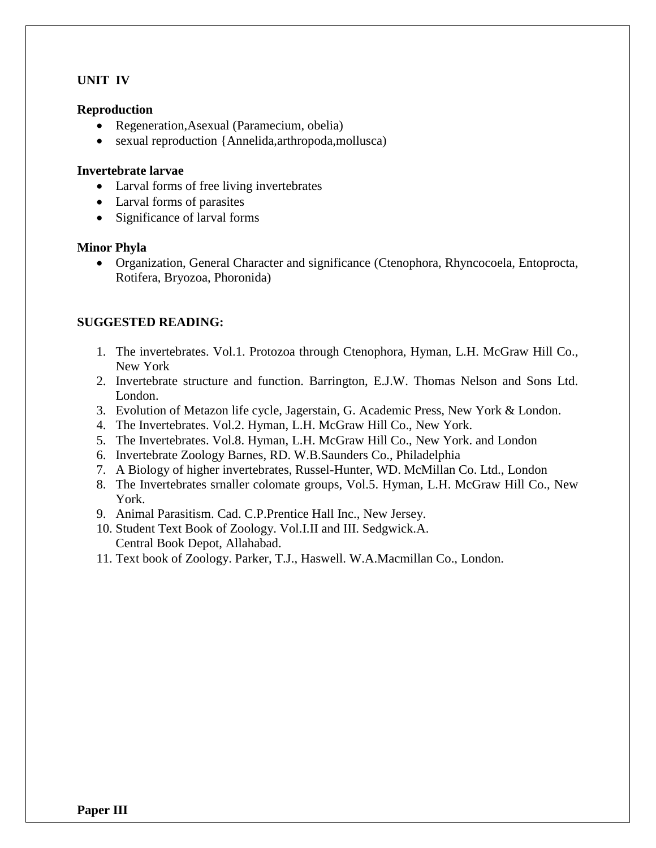### **UNIT IV**

#### **Reproduction**

- Regeneration,Asexual (Paramecium, obelia)
- sexual reproduction {Annelida,arthropoda,mollusca)

#### **Invertebrate larvae**

- Larval forms of free living invertebrates
- Larval forms of parasites
- Significance of larval forms

#### **Minor Phyla**

 Organization, General Character and significance (Ctenophora, Rhyncocoela, Entoprocta, Rotifera, Bryozoa, Phoronida)

#### **SUGGESTED READING:**

- 1. The invertebrates. Vol.1. Protozoa through Ctenophora, Hyman, L.H. McGraw Hill Co., New York
- 2. Invertebrate structure and function. Barrington, E.J.W. Thomas Nelson and Sons Ltd. London.
- 3. Evolution of Metazon life cycle, Jagerstain, G. Academic Press, New York & London.
- 4. The Invertebrates. Vol.2. Hyman, L.H. McGraw Hill Co., New York.
- 5. The Invertebrates. Vol.8. Hyman, L.H. McGraw Hill Co., New York. and London
- 6. Invertebrate Zoology Barnes, RD. W.B.Saunders Co., Philadelphia
- 7. A Biology of higher invertebrates, Russel-Hunter, WD. McMillan Co. Ltd., London
- 8. The Invertebrates srnaller colomate groups, Vol.5. Hyman, L.H. McGraw Hill Co., New York.
- 9. Animal Parasitism. Cad. C.P.Prentice Hall Inc., New Jersey.
- 10. Student Text Book of Zoology. Vol.I.II and III. Sedgwick.A. Central Book Depot, Allahabad.
- 11. Text book of Zoology. Parker, T.J., Haswell. W.A.Macmillan Co., London.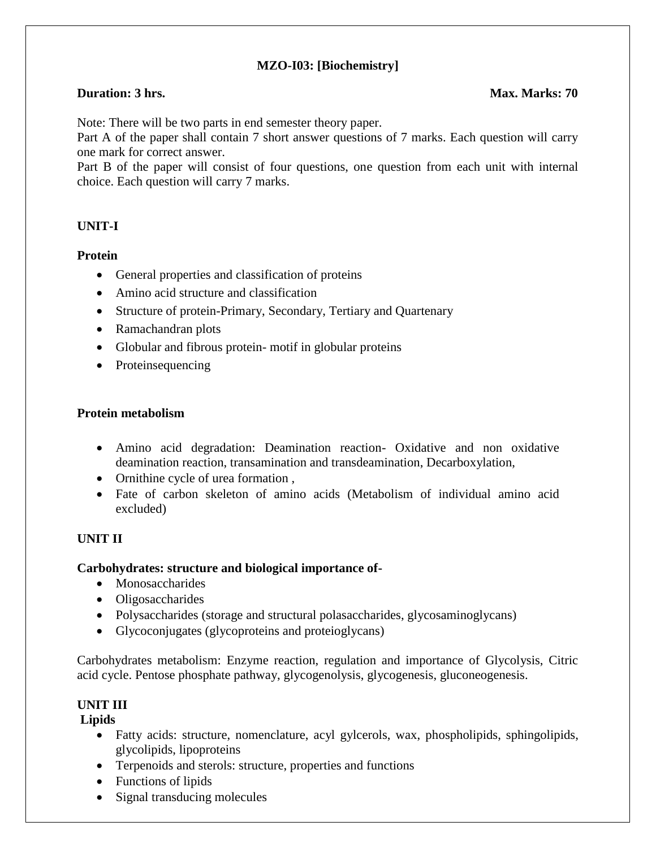## **MZO-I03: [Biochemistry]**

#### **Duration: 3 hrs. Max. Marks: 70**

Note: There will be two parts in end semester theory paper.

Part A of the paper shall contain 7 short answer questions of 7 marks. Each question will carry one mark for correct answer.

Part B of the paper will consist of four questions, one question from each unit with internal choice. Each question will carry 7 marks.

#### **UNIT-I**

#### **Protein**

- General properties and classification of proteins
- Amino acid structure and classification
- Structure of protein-Primary, Secondary, Tertiary and Quartenary
- Ramachandran plots
- Globular and fibrous protein- motif in globular proteins
- Proteinsequencing

#### **Protein metabolism**

- Amino acid degradation: Deamination reaction- Oxidative and non oxidative deamination reaction, transamination and transdeamination, Decarboxylation,
- Ornithine cycle of urea formation,
- Fate of carbon skeleton of amino acids (Metabolism of individual amino acid excluded)

#### **UNIT II**

#### **Carbohydrates: structure and biological importance of-**

- Monosaccharides
- Oligosaccharides
- Polysaccharides (storage and structural polasaccharides, glycosaminoglycans)
- Glycoconjugates (glycoproteins and proteioglycans)

Carbohydrates metabolism: Enzyme reaction, regulation and importance of Glycolysis, Citric acid cycle. Pentose phosphate pathway, glycogenolysis, glycogenesis, gluconeogenesis.

#### **UNIT III**

**Lipids**

- Fatty acids: structure, nomenclature, acyl gylcerols, wax, phospholipids, sphingolipids, glycolipids, lipoproteins
- Terpenoids and sterols: structure, properties and functions
- Functions of lipids
- Signal transducing molecules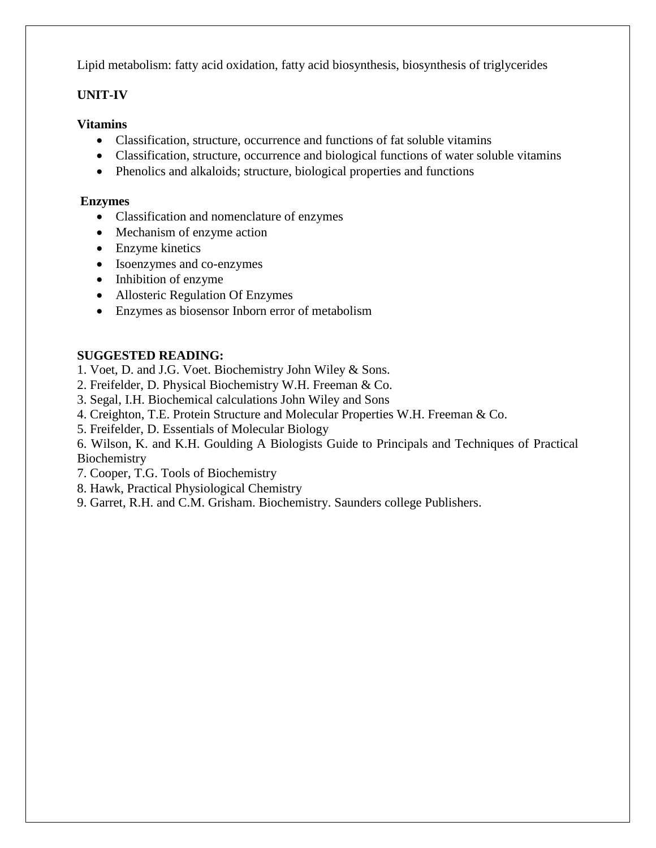Lipid metabolism: fatty acid oxidation, fatty acid biosynthesis, biosynthesis of triglycerides

## **UNIT-IV**

#### **Vitamins**

- Classification, structure, occurrence and functions of fat soluble vitamins
- Classification, structure, occurrence and biological functions of water soluble vitamins
- Phenolics and alkaloids; structure, biological properties and functions

#### **Enzymes**

- Classification and nomenclature of enzymes
- Mechanism of enzyme action
- Enzyme kinetics
- Isoenzymes and co-enzymes
- Inhibition of enzyme
- Allosteric Regulation Of Enzymes
- Enzymes as biosensor Inborn error of metabolism

## **SUGGESTED READING:**

- 1. Voet, D. and J.G. Voet. Biochemistry John Wiley & Sons.
- 2. Freifelder, D. Physical Biochemistry W.H. Freeman & Co.
- 3. Segal, I.H. Biochemical calculations John Wiley and Sons
- 4. Creighton, T.E. Protein Structure and Molecular Properties W.H. Freeman & Co.
- 5. Freifelder, D. Essentials of Molecular Biology

6. Wilson, K. and K.H. Goulding A Biologists Guide to Principals and Techniques of Practical Biochemistry

- 7. Cooper, T.G. Tools of Biochemistry
- 8. Hawk, Practical Physiological Chemistry
- 9. Garret, R.H. and C.M. Grisham. Biochemistry. Saunders college Publishers.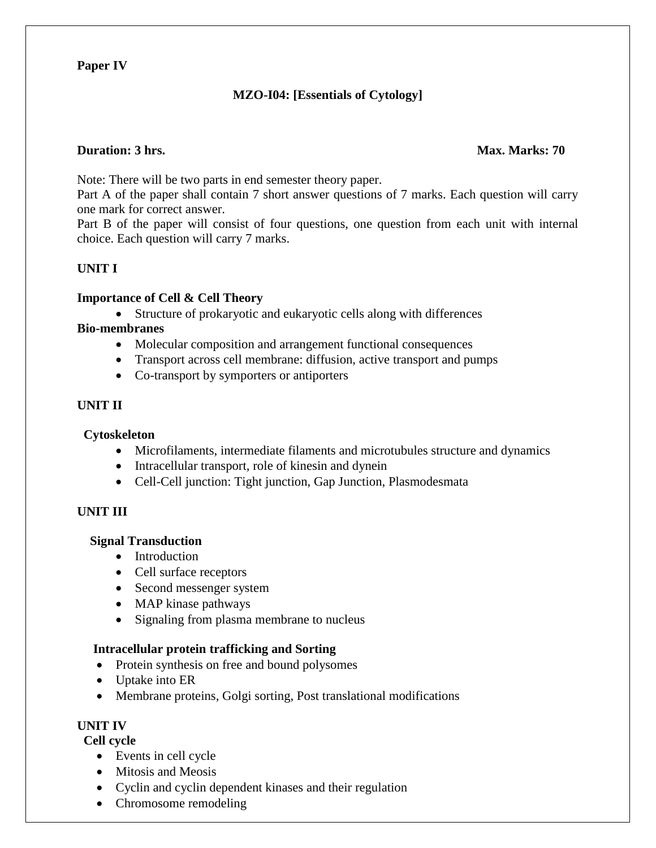#### **Paper IV**

## **MZO-I04: [Essentials of Cytology]**

#### **Duration: 3 hrs. Max. Marks: 70**

Note: There will be two parts in end semester theory paper.

Part A of the paper shall contain 7 short answer questions of 7 marks. Each question will carry one mark for correct answer.

Part B of the paper will consist of four questions, one question from each unit with internal choice. Each question will carry 7 marks.

## **UNIT I**

#### **Importance of Cell & Cell Theory**

Structure of prokaryotic and eukaryotic cells along with differences

#### **Bio-membranes**

- Molecular composition and arrangement functional consequences
- Transport across cell membrane: diffusion, active transport and pumps
- Co-transport by symporters or antiporters

## **UNIT II**

#### **Cytoskeleton**

- Microfilaments, intermediate filaments and microtubules structure and dynamics
- Intracellular transport, role of kinesin and dynein
- Cell-Cell junction: Tight junction, Gap Junction, Plasmodesmata

## **UNIT III**

#### **Signal Transduction**

- Introduction
- Cell surface receptors
- Second messenger system
- MAP kinase pathways
- Signaling from plasma membrane to nucleus

#### **Intracellular protein trafficking and Sorting**

- Protein synthesis on free and bound polysomes
- Uptake into ER
- Membrane proteins, Golgi sorting, Post translational modifications

## **UNIT IV**

#### **Cell cycle**

- Events in cell cycle
- Mitosis and Meosis
- Cyclin and cyclin dependent kinases and their regulation
- Chromosome remodeling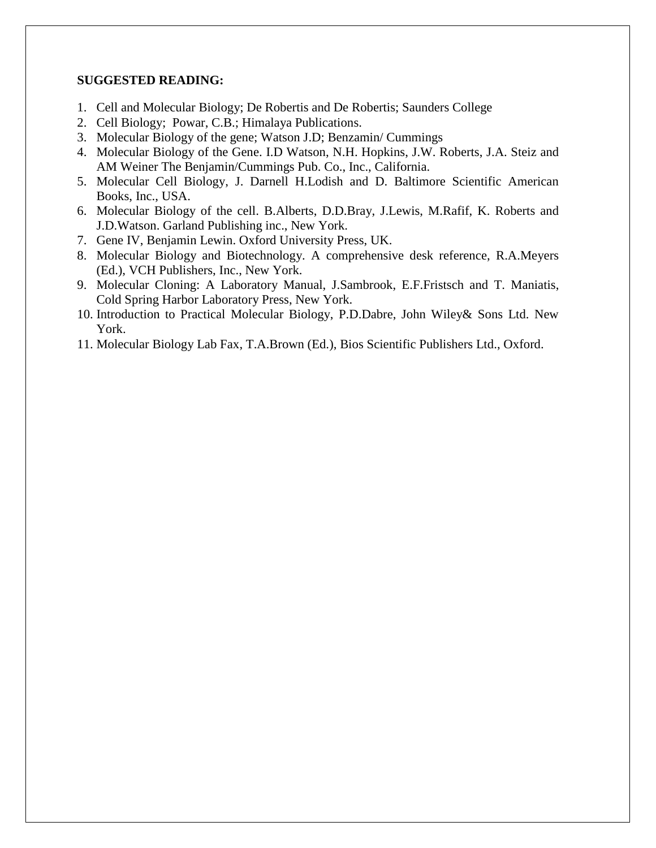#### **SUGGESTED READING:**

- 1. Cell and Molecular Biology; De Robertis and De Robertis; Saunders College
- 2. Cell Biology; Powar, C.B.; Himalaya Publications.
- 3. Molecular Biology of the gene; Watson J.D; Benzamin/ Cummings
- 4. Molecular Biology of the Gene. I.D Watson, N.H. Hopkins, J.W. Roberts, J.A. Steiz and AM Weiner The Benjamin/Cummings Pub. Co., Inc., California.
- 5. Molecular Cell Biology, J. Darnell H.Lodish and D. Baltimore Scientific American Books, Inc., USA.
- 6. Molecular Biology of the cell. B.Alberts, D.D.Bray, J.Lewis, M.Rafif, K. Roberts and J.D.Watson. Garland Publishing inc., New York.
- 7. Gene IV, Benjamin Lewin. Oxford University Press, UK.
- 8. Molecular Biology and Biotechnology. A comprehensive desk reference, R.A.Meyers (Ed.), VCH Publishers, Inc., New York.
- 9. Molecular Cloning: A Laboratory Manual, J.Sambrook, E.F.Fristsch and T. Maniatis, Cold Spring Harbor Laboratory Press, New York.
- 10. Introduction to Practical Molecular Biology, P.D.Dabre, John Wiley& Sons Ltd. New York.
- 11. Molecular Biology Lab Fax, T.A.Brown (Ed.), Bios Scientific Publishers Ltd., Oxford.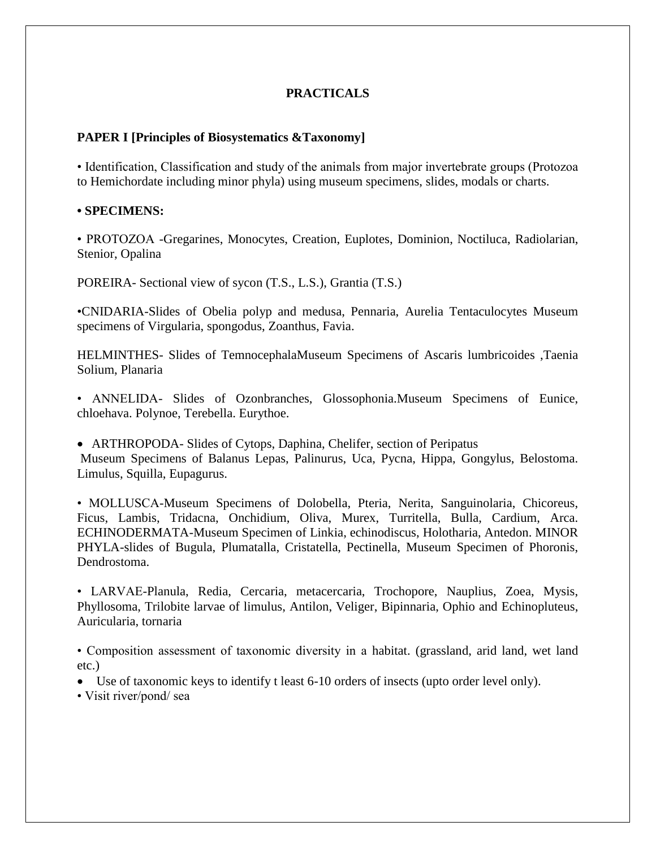#### **PRACTICALS**

#### **PAPER I [Principles of Biosystematics &Taxonomy]**

• Identification, Classification and study of the animals from major invertebrate groups (Protozoa to Hemichordate including minor phyla) using museum specimens, slides, modals or charts.

#### **• SPECIMENS:**

• PROTOZOA -Gregarines, Monocytes, Creation, Euplotes, Dominion, Noctiluca, Radiolarian, Stenior, Opalina

POREIRA- Sectional view of sycon (T.S., L.S.), Grantia (T.S.)

•CNIDARIA-Slides of Obelia polyp and medusa, Pennaria, Aurelia Tentaculocytes Museum specimens of Virgularia, spongodus, Zoanthus, Favia.

HELMINTHES- Slides of TemnocephalaMuseum Specimens of Ascaris lumbricoides ,Taenia Solium, Planaria

• ANNELIDA- Slides of Ozonbranches, Glossophonia.Museum Specimens of Eunice, chloehava. Polynoe, Terebella. Eurythoe.

 ARTHROPODA- Slides of Cytops, Daphina, Chelifer, section of Peripatus Museum Specimens of Balanus Lepas, Palinurus, Uca, Pycna, Hippa, Gongylus, Belostoma. Limulus, Squilla, Eupagurus.

• MOLLUSCA-Museum Specimens of Dolobella, Pteria, Nerita, Sanguinolaria, Chicoreus, Ficus, Lambis, Tridacna, Onchidium, Oliva, Murex, Turritella, Bulla, Cardium, Arca. ECHINODERMATA-Museum Specimen of Linkia, echinodiscus, Holotharia, Antedon. MINOR PHYLA-slides of Bugula, Plumatalla, Cristatella, Pectinella, Museum Specimen of Phoronis, Dendrostoma.

• LARVAE-Planula, Redia, Cercaria, metacercaria, Trochopore, Nauplius, Zoea, Mysis, Phyllosoma, Trilobite larvae of limulus, Antilon, Veliger, Bipinnaria, Ophio and Echinopluteus, Auricularia, tornaria

• Composition assessment of taxonomic diversity in a habitat. (grassland, arid land, wet land etc.)

Use of taxonomic keys to identify t least 6-10 orders of insects (upto order level only).

• Visit river/pond/ sea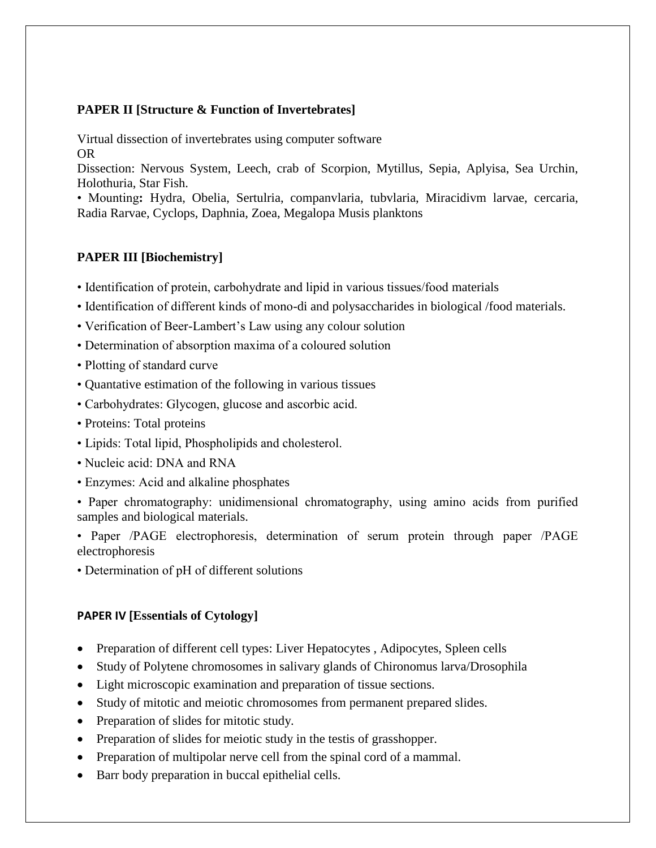#### **PAPER II [Structure & Function of Invertebrates]**

Virtual dissection of invertebrates using computer software OR

Dissection: Nervous System, Leech, crab of Scorpion, Mytillus, Sepia, Aplyisa, Sea Urchin, Holothuria, Star Fish.

• Mounting**:** Hydra, Obelia, Sertulria, companvlaria, tubvlaria, Miracidivm larvae, cercaria, Radia Rarvae, Cyclops, Daphnia, Zoea, Megalopa Musis planktons

## **PAPER III [Biochemistry]**

- Identification of protein, carbohydrate and lipid in various tissues/food materials
- Identification of different kinds of mono-di and polysaccharides in biological /food materials.
- Verification of Beer-Lambert's Law using any colour solution
- Determination of absorption maxima of a coloured solution
- Plotting of standard curve
- Quantative estimation of the following in various tissues
- Carbohydrates: Glycogen, glucose and ascorbic acid.
- Proteins: Total proteins
- Lipids: Total lipid, Phospholipids and cholesterol.
- Nucleic acid: DNA and RNA
- Enzymes: Acid and alkaline phosphates

• Paper chromatography: unidimensional chromatography, using amino acids from purified samples and biological materials.

• Paper /PAGE electrophoresis, determination of serum protein through paper /PAGE electrophoresis

• Determination of pH of different solutions

## **PAPER IV [Essentials of Cytology]**

- Preparation of different cell types: Liver Hepatocytes, Adipocytes, Spleen cells
- Study of Polytene chromosomes in salivary glands of Chironomus larva/Drosophila
- Light microscopic examination and preparation of tissue sections.
- Study of mitotic and meiotic chromosomes from permanent prepared slides.
- Preparation of slides for mitotic study.
- Preparation of slides for meiotic study in the testis of grasshopper.
- Preparation of multipolar nerve cell from the spinal cord of a mammal.
- Barr body preparation in buccal epithelial cells.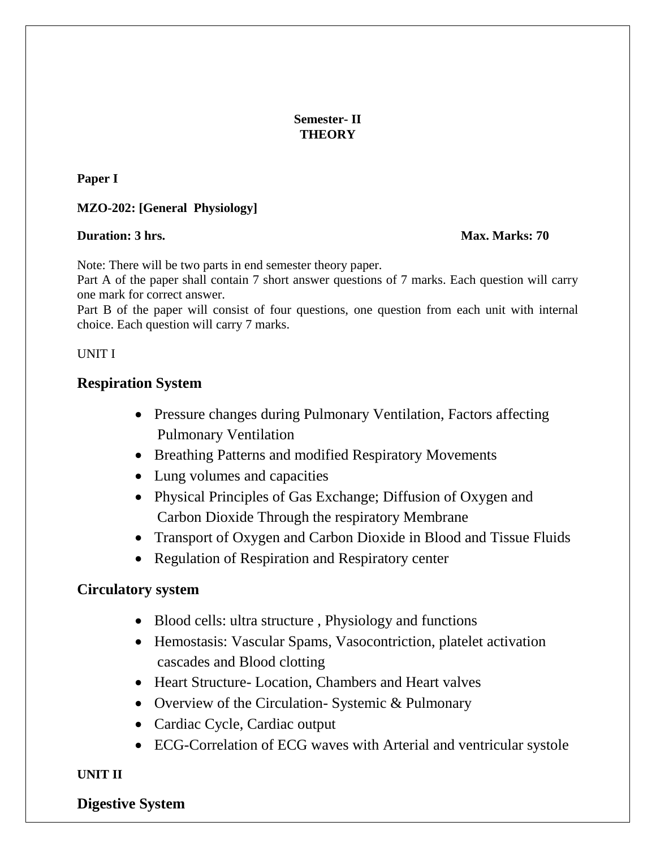## **Semester- II THEORY**

**Paper I**

## **MZO-202: [General Physiology]**

## **Duration: 3 hrs.** Max. Marks: 70

Note: There will be two parts in end semester theory paper.

Part A of the paper shall contain 7 short answer questions of 7 marks. Each question will carry one mark for correct answer.

Part B of the paper will consist of four questions, one question from each unit with internal choice. Each question will carry 7 marks.

## UNIT I

## **Respiration System**

- Pressure changes during Pulmonary Ventilation, Factors affecting Pulmonary Ventilation
- Breathing Patterns and modified Respiratory Movements
- Lung volumes and capacities
- Physical Principles of Gas Exchange; Diffusion of Oxygen and Carbon Dioxide Through the respiratory Membrane
- Transport of Oxygen and Carbon Dioxide in Blood and Tissue Fluids
- Regulation of Respiration and Respiratory center

## **Circulatory system**

- Blood cells: ultra structure, Physiology and functions
- Hemostasis: Vascular Spams, Vasocontriction, platelet activation cascades and Blood clotting
- Heart Structure- Location, Chambers and Heart valves
- Overview of the Circulation- Systemic & Pulmonary
- Cardiac Cycle, Cardiac output
- ECG-Correlation of ECG waves with Arterial and ventricular systole

## **UNIT II**

## **Digestive System**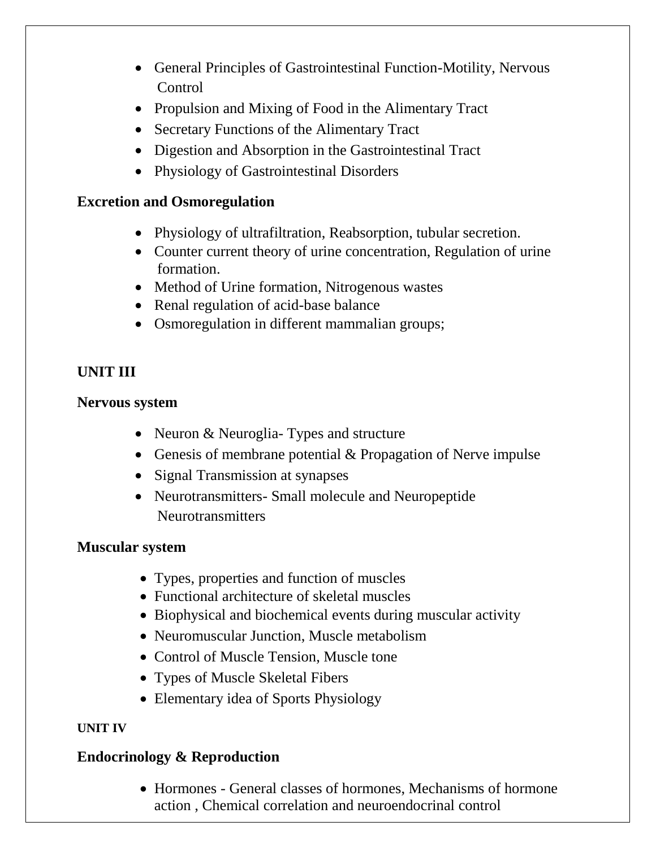- General Principles of Gastrointestinal Function-Motility, Nervous Control
- Propulsion and Mixing of Food in the Alimentary Tract
- Secretary Functions of the Alimentary Tract
- Digestion and Absorption in the Gastrointestinal Tract
- Physiology of Gastrointestinal Disorders

## **Excretion and Osmoregulation**

- Physiology of ultrafiltration, Reabsorption, tubular secretion.
- Counter current theory of urine concentration, Regulation of urine formation.
- Method of Urine formation, Nitrogenous wastes
- Renal regulation of acid-base balance
- Osmoregulation in different mammalian groups;

# **UNIT III**

## **Nervous system**

- Neuron & Neuroglia-Types and structure
- Genesis of membrane potential & Propagation of Nerve impulse
- Signal Transmission at synapses
- Neurotransmitters- Small molecule and Neuropeptide Neurotransmitters

## **Muscular system**

- Types, properties and function of muscles
- Functional architecture of skeletal muscles
- Biophysical and biochemical events during muscular activity
- Neuromuscular Junction, Muscle metabolism
- Control of Muscle Tension, Muscle tone
- Types of Muscle Skeletal Fibers
- Elementary idea of Sports Physiology

## **UNIT IV**

# **Endocrinology & Reproduction**

• Hormones - General classes of hormones, Mechanisms of hormone action , Chemical correlation and neuroendocrinal control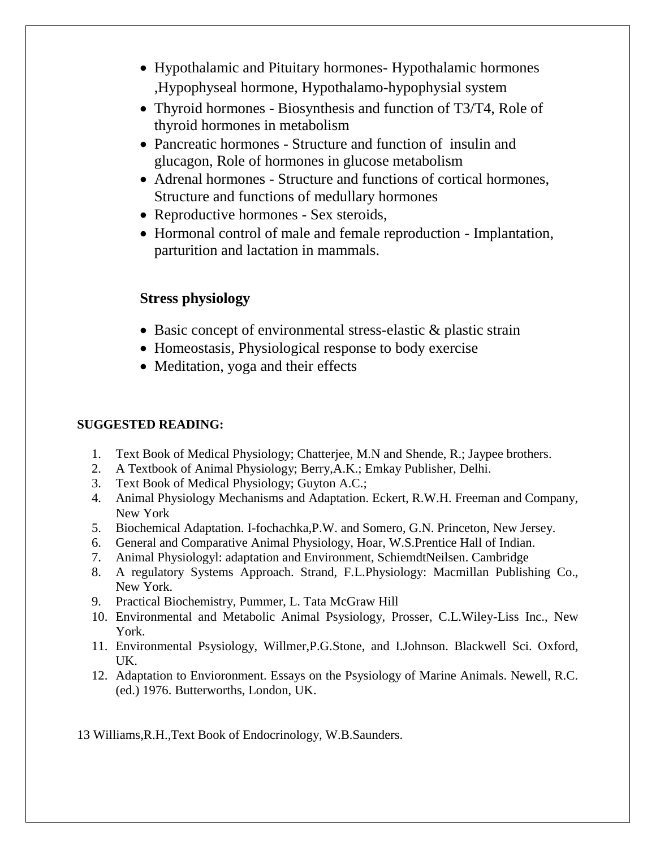- Hypothalamic and Pituitary hormones- Hypothalamic hormones ,Hypophyseal hormone, Hypothalamo-hypophysial system
- Thyroid hormones Biosynthesis and function of T3/T4, Role of thyroid hormones in metabolism
- Pancreatic hormones Structure and function of insulin and glucagon, Role of hormones in glucose metabolism
- Adrenal hormones Structure and functions of cortical hormones, Structure and functions of medullary hormones
- Reproductive hormones Sex steroids,
- Hormonal control of male and female reproduction Implantation, parturition and lactation in mammals.

## **Stress physiology**

- Basic concept of environmental stress-elastic & plastic strain
- Homeostasis, Physiological response to body exercise
- Meditation, yoga and their effects

## **SUGGESTED READING:**

- 1. Text Book of Medical Physiology; Chatterjee, M.N and Shende, R.; Jaypee brothers.
- 2. A Textbook of Animal Physiology; Berry,A.K.; Emkay Publisher, Delhi.
- 3. Text Book of Medical Physiology; Guyton A.C.;
- 4. Animal Physiology Mechanisms and Adaptation. Eckert, R.W.H. Freeman and Company, New York
- 5. Biochemical Adaptation. I-fochachka,P.W. and Somero, G.N. Princeton, New Jersey.
- 6. General and Comparative Animal Physiology, Hoar, W.S.Prentice Hall of Indian.
- 7. Animal Physiologyl: adaptation and Environment, SchiemdtNeilsen. Cambridge
- 8. A regulatory Systems Approach. Strand, F.L.Physiology: Macmillan Publishing Co., New York.
- 9. Practical Biochemistry, Pummer, L. Tata McGraw Hill
- 10. Environmental and Metabolic Animal Psysiology, Prosser, C.L.Wiley-Liss Inc., New York.
- 11. Environmental Psysiology, Willmer,P.G.Stone, and I.Johnson. Blackwell Sci. Oxford, UK.
- 12. Adaptation to Envioronment. Essays on the Psysiology of Marine Animals. Newell, R.C. (ed.) 1976. Butterworths, London, UK.

13 Williams,R.H.,Text Book of Endocrinology, W.B.Saunders.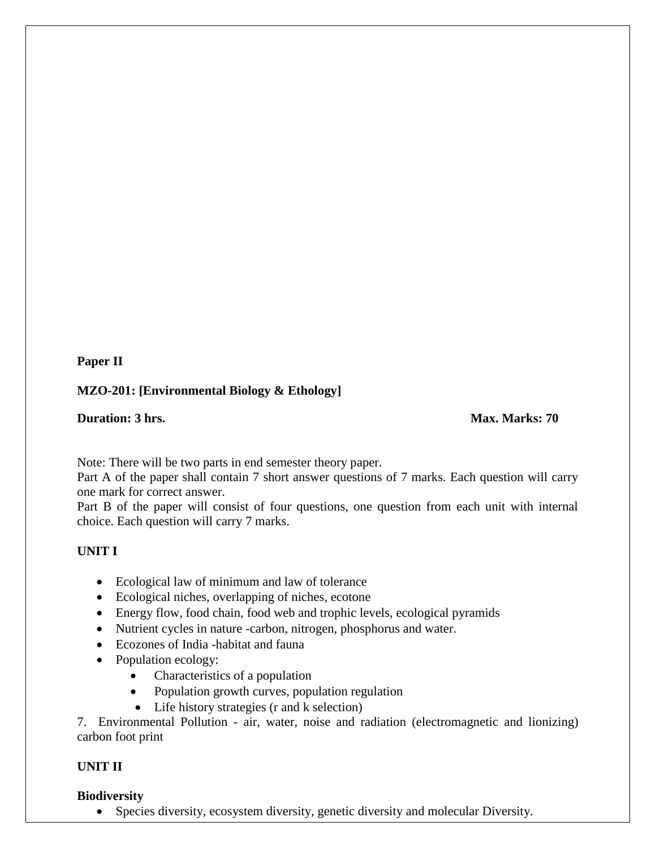#### **Paper II**

#### **MZO-201: [Environmental Biology & Ethology]**

#### **Duration: 3 hrs.** Max. Marks: 70

Note: There will be two parts in end semester theory paper.

Part A of the paper shall contain 7 short answer questions of 7 marks. Each question will carry one mark for correct answer.

Part B of the paper will consist of four questions, one question from each unit with internal choice. Each question will carry 7 marks.

#### **UNIT I**

- Ecological law of minimum and law of tolerance
- Ecological niches, overlapping of niches, ecotone
- Energy flow, food chain, food web and trophic levels, ecological pyramids
- Nutrient cycles in nature -carbon, nitrogen, phosphorus and water.
- Ecozones of India -habitat and fauna
- Population ecology:
	- Characteristics of a population
	- Population growth curves, population regulation
	- Life history strategies (r and k selection)

7. Environmental Pollution - air, water, noise and radiation (electromagnetic and lionizing) carbon foot print

#### **UNIT II**

#### **Biodiversity**

Species diversity, ecosystem diversity, genetic diversity and molecular Diversity.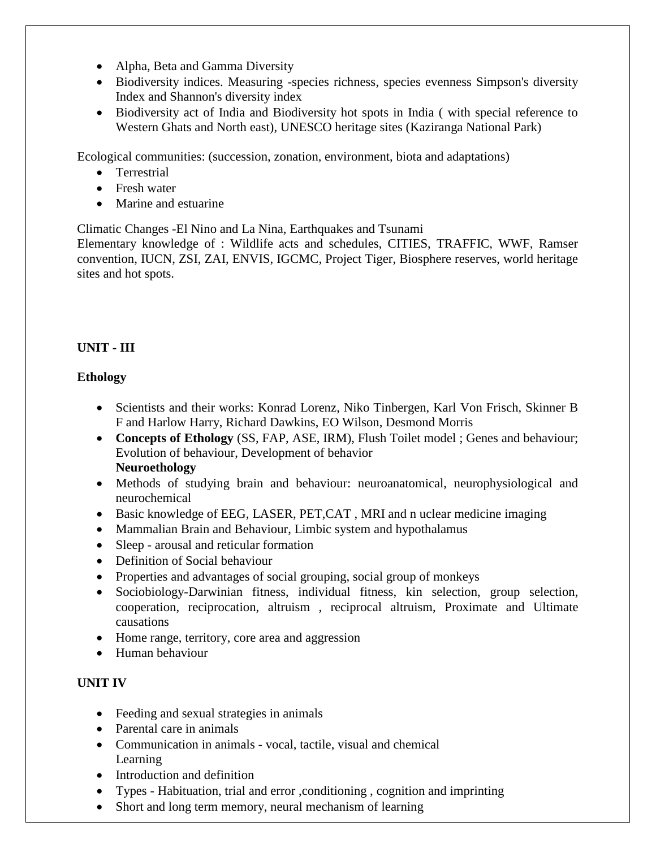- Alpha, Beta and Gamma Diversity
- Biodiversity indices. Measuring -species richness, species evenness Simpson's diversity Index and Shannon's diversity index
- Biodiversity act of India and Biodiversity hot spots in India ( with special reference to Western Ghats and North east), UNESCO heritage sites (Kaziranga National Park)

Ecological communities: (succession, zonation, environment, biota and adaptations)

- Terrestrial
- Fresh water
- Marine and estuarine

Climatic Changes -El Nino and La Nina, Earthquakes and Tsunami

Elementary knowledge of : Wildlife acts and schedules, CITIES, TRAFFIC, WWF, Ramser convention, IUCN, ZSI, ZAI, ENVIS, IGCMC, Project Tiger, Biosphere reserves, world heritage sites and hot spots.

## **UNIT - III**

## **Ethology**

- Scientists and their works: Konrad Lorenz, Niko Tinbergen, Karl Von Frisch, Skinner B F and Harlow Harry, Richard Dawkins, EO Wilson, Desmond Morris
- **Concepts of Ethology** (SS, FAP, ASE, IRM), Flush Toilet model ; Genes and behaviour; Evolution of behaviour, Development of behavior **Neuroethology**
- Methods of studying brain and behaviour: neuroanatomical, neurophysiological and neurochemical
- Basic knowledge of EEG, LASER, PET,CAT , MRI and n uclear medicine imaging
- Mammalian Brain and Behaviour, Limbic system and hypothalamus
- Sleep arousal and reticular formation
- Definition of Social behaviour
- Properties and advantages of social grouping, social group of monkeys
- Sociobiology-Darwinian fitness, individual fitness, kin selection, group selection, cooperation, reciprocation, altruism , reciprocal altruism, Proximate and Ultimate causations
- Home range, territory, core area and aggression
- Human behaviour

## **UNIT IV**

- Feeding and sexual strategies in animals
- Parental care in animals
- Communication in animals vocal, tactile, visual and chemical Learning
- Introduction and definition
- Types Habituation, trial and error ,conditioning , cognition and imprinting
- Short and long term memory, neural mechanism of learning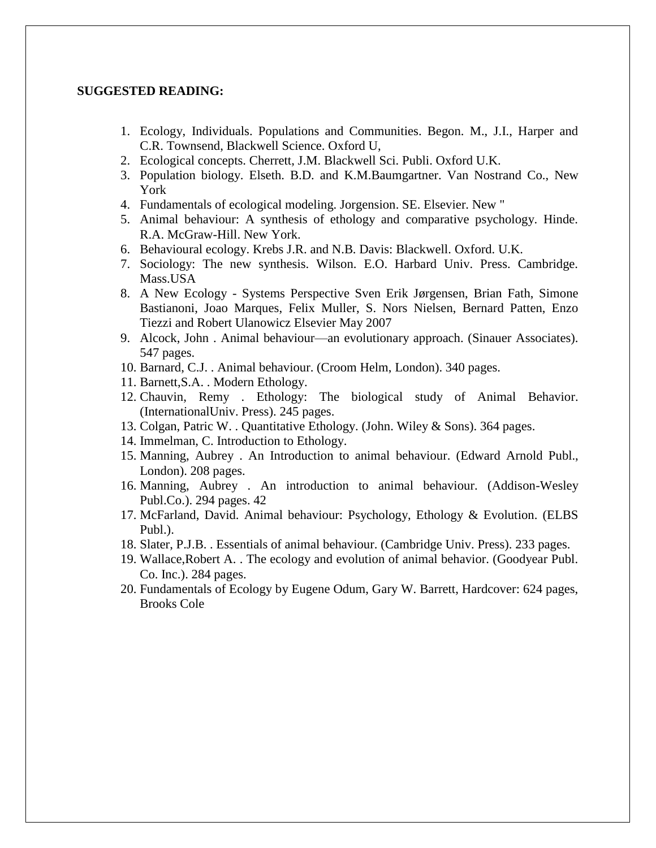#### **SUGGESTED READING:**

- 1. Ecology, Individuals. Populations and Communities. Begon. M., J.I., Harper and C.R. Townsend, Blackwell Science. Oxford U,
- 2. Ecological concepts. Cherrett, J.M. Blackwell Sci. Publi. Oxford U.K.
- 3. Population biology. Elseth. B.D. and K.M.Baumgartner. Van Nostrand Co., New York
- 4. Fundamentals of ecological modeling. Jorgension. SE. Elsevier. New "
- 5. Animal behaviour: A synthesis of ethology and comparative psychology. Hinde. R.A. McGraw-Hill. New York.
- 6. Behavioural ecology. Krebs J.R. and N.B. Davis: Blackwell. Oxford. U.K.
- 7. Sociology: The new synthesis. Wilson. E.O. Harbard Univ. Press. Cambridge. Mass.USA
- 8. A New Ecology Systems Perspective Sven Erik Jørgensen, Brian Fath, Simone Bastianoni, Joao Marques, Felix Muller, S. Nors Nielsen, Bernard Patten, Enzo Tiezzi and Robert Ulanowicz Elsevier May 2007
- 9. Alcock, John . Animal behaviour—an evolutionary approach. (Sinauer Associates). 547 pages.
- 10. Barnard, C.J. . Animal behaviour. (Croom Helm, London). 340 pages.
- 11. Barnett,S.A. . Modern Ethology.
- 12. Chauvin, Remy . Ethology: The biological study of Animal Behavior. (InternationalUniv. Press). 245 pages.
- 13. Colgan, Patric W. . Quantitative Ethology. (John. Wiley & Sons). 364 pages.
- 14. Immelman, C. Introduction to Ethology.
- 15. Manning, Aubrey . An Introduction to animal behaviour. (Edward Arnold Publ., London). 208 pages.
- 16. Manning, Aubrey . An introduction to animal behaviour. (Addison-Wesley Publ.Co.). 294 pages. 42
- 17. McFarland, David. Animal behaviour: Psychology, Ethology & Evolution. (ELBS Publ.).
- 18. Slater, P.J.B. . Essentials of animal behaviour. (Cambridge Univ. Press). 233 pages.
- 19. Wallace,Robert A. . The ecology and evolution of animal behavior. (Goodyear Publ. Co. Inc.). 284 pages.
- 20. Fundamentals of Ecology by Eugene Odum, Gary W. Barrett, Hardcover: 624 pages, Brooks Cole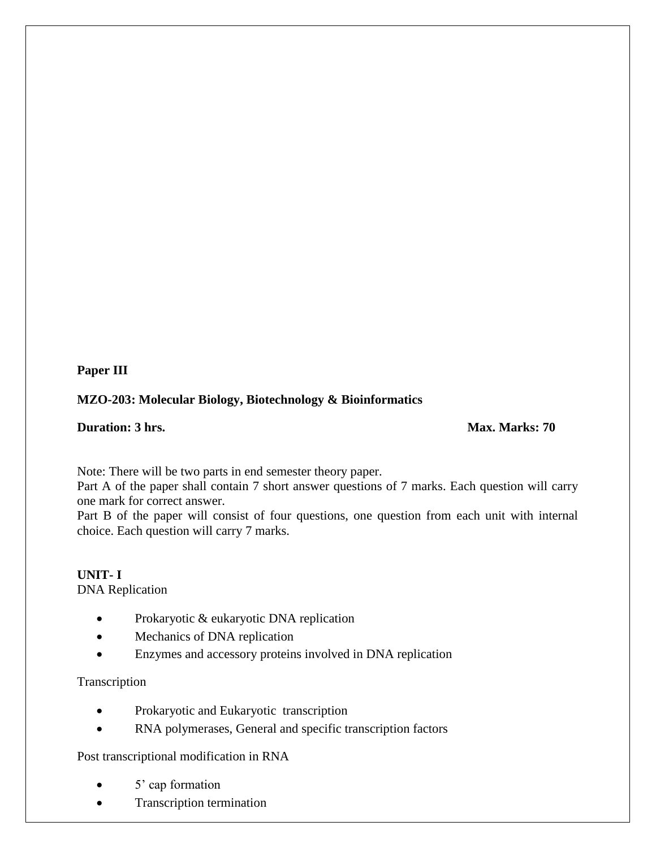#### **Paper III**

#### **MZO-203: Molecular Biology, Biotechnology & Bioinformatics**

#### **Duration: 3 hrs. Max. Marks: 70**

Note: There will be two parts in end semester theory paper.

Part A of the paper shall contain 7 short answer questions of 7 marks. Each question will carry one mark for correct answer.

Part B of the paper will consist of four questions, one question from each unit with internal choice. Each question will carry 7 marks.

#### **UNIT- I**

DNA Replication

- Prokaryotic & eukaryotic DNA replication
- Mechanics of DNA replication
- Enzymes and accessory proteins involved in DNA replication

#### Transcription

- Prokaryotic and Eukaryotic transcription
- RNA polymerases, General and specific transcription factors

#### Post transcriptional modification in RNA

- 5' cap formation
- Transcription termination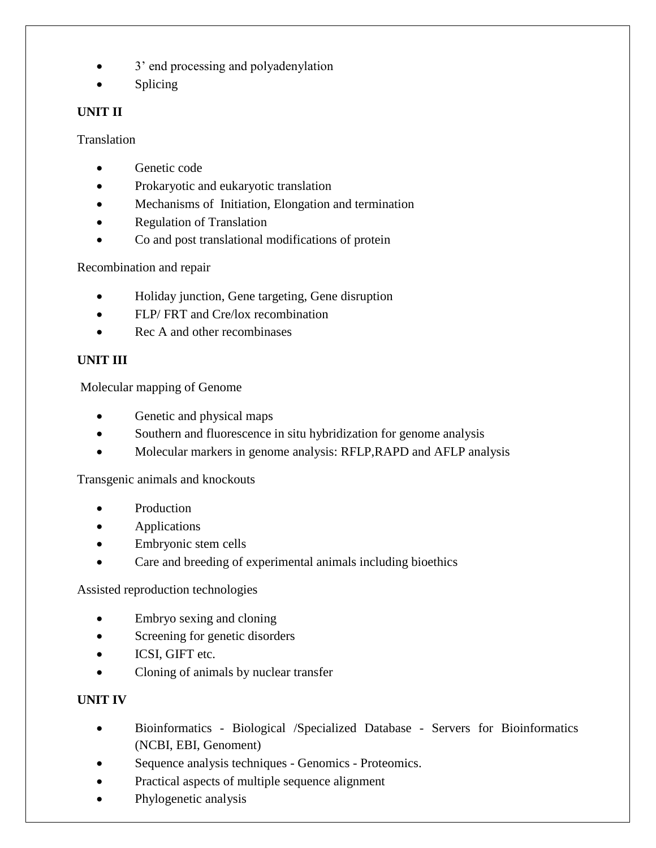- 3' end processing and polyadenylation
- Splicing

## **UNIT II**

**Translation** 

- Genetic code
- Prokaryotic and eukaryotic translation
- Mechanisms of Initiation, Elongation and termination
- Regulation of Translation
- Co and post translational modifications of protein

Recombination and repair

- Holiday junction, Gene targeting, Gene disruption
- FLP/ FRT and Cre/lox recombination
- Rec A and other recombinases

# **UNIT III**

Molecular mapping of Genome

- Genetic and physical maps
- Southern and fluorescence in situ hybridization for genome analysis
- Molecular markers in genome analysis: RFLP,RAPD and AFLP analysis

Transgenic animals and knockouts

- Production
- **Applications**
- Embryonic stem cells
- Care and breeding of experimental animals including bioethics

Assisted reproduction technologies

- Embryo sexing and cloning
- Screening for genetic disorders
- ICSI, GIFT etc.
- Cloning of animals by nuclear transfer

# **UNIT IV**

- Bioinformatics Biological /Specialized Database Servers for Bioinformatics (NCBI, EBI, Genoment)
- Sequence analysis techniques Genomics Proteomics.
- Practical aspects of multiple sequence alignment
- Phylogenetic analysis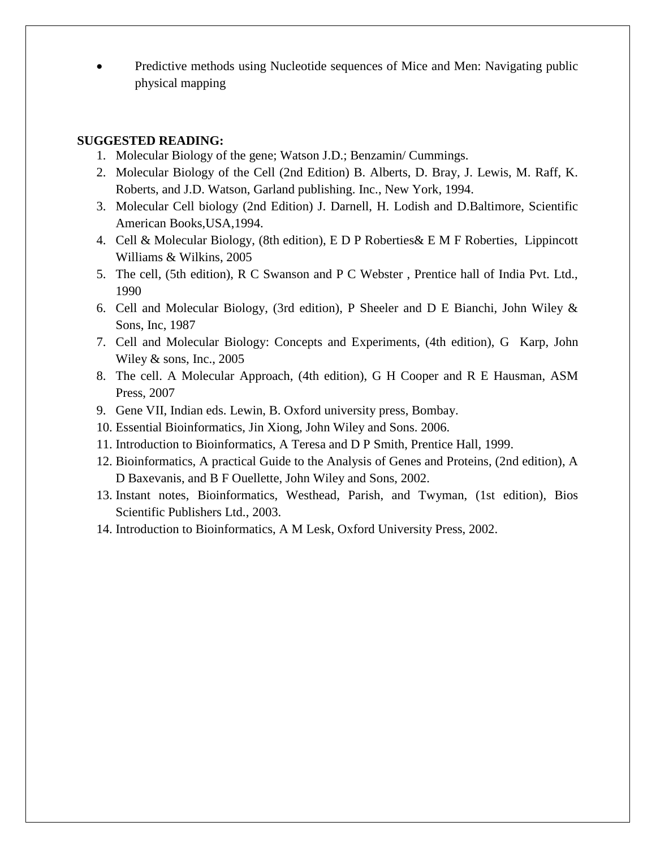Predictive methods using Nucleotide sequences of Mice and Men: Navigating public physical mapping

#### **SUGGESTED READING:**

- 1. Molecular Biology of the gene; Watson J.D.; Benzamin/ Cummings.
- 2. Molecular Biology of the Cell (2nd Edition) B. Alberts, D. Bray, J. Lewis, M. Raff, K. Roberts, and J.D. Watson, Garland publishing. Inc., New York, 1994.
- 3. Molecular Cell biology (2nd Edition) J. Darnell, H. Lodish and D.Baltimore, Scientific American Books,USA,1994.
- 4. Cell & Molecular Biology, (8th edition), E D P Roberties& E M F Roberties, Lippincott Williams & Wilkins, 2005
- 5. The cell, (5th edition), R C Swanson and P C Webster , Prentice hall of India Pvt. Ltd., 1990
- 6. Cell and Molecular Biology, (3rd edition), P Sheeler and D E Bianchi, John Wiley & Sons, Inc, 1987
- 7. Cell and Molecular Biology: Concepts and Experiments, (4th edition), G Karp, John Wiley & sons, Inc., 2005
- 8. The cell. A Molecular Approach, (4th edition), G H Cooper and R E Hausman, ASM Press, 2007
- 9. Gene VII, Indian eds. Lewin, B. Oxford university press, Bombay.
- 10. Essential Bioinformatics, Jin Xiong, John Wiley and Sons. 2006.
- 11. Introduction to Bioinformatics, A Teresa and D P Smith, Prentice Hall, 1999.
- 12. Bioinformatics, A practical Guide to the Analysis of Genes and Proteins, (2nd edition), A D Baxevanis, and B F Ouellette, John Wiley and Sons, 2002.
- 13. Instant notes, Bioinformatics, Westhead, Parish, and Twyman, (1st edition), Bios Scientific Publishers Ltd., 2003.
- 14. Introduction to Bioinformatics, A M Lesk, Oxford University Press, 2002.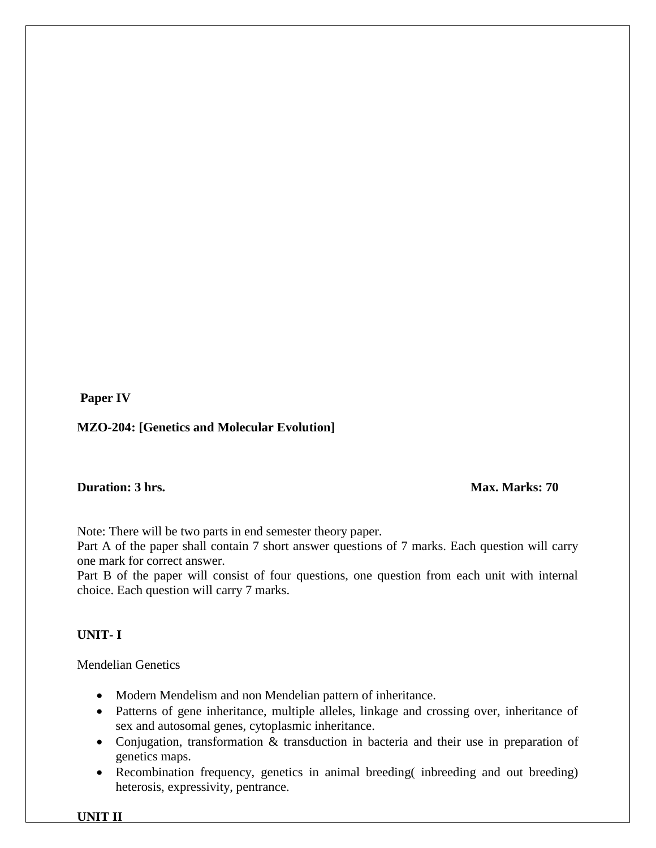#### **Paper IV**

#### **MZO-204: [Genetics and Molecular Evolution]**

#### **Duration: 3 hrs.** Max. Marks: 70

Note: There will be two parts in end semester theory paper.

Part A of the paper shall contain 7 short answer questions of 7 marks. Each question will carry one mark for correct answer.

Part B of the paper will consist of four questions, one question from each unit with internal choice. Each question will carry 7 marks.

#### **UNIT- I**

#### Mendelian Genetics

- Modern Mendelism and non Mendelian pattern of inheritance.
- Patterns of gene inheritance, multiple alleles, linkage and crossing over, inheritance of sex and autosomal genes, cytoplasmic inheritance.
- Conjugation, transformation & transduction in bacteria and their use in preparation of genetics maps.
- Recombination frequency, genetics in animal breeding( inbreeding and out breeding) heterosis, expressivity, pentrance.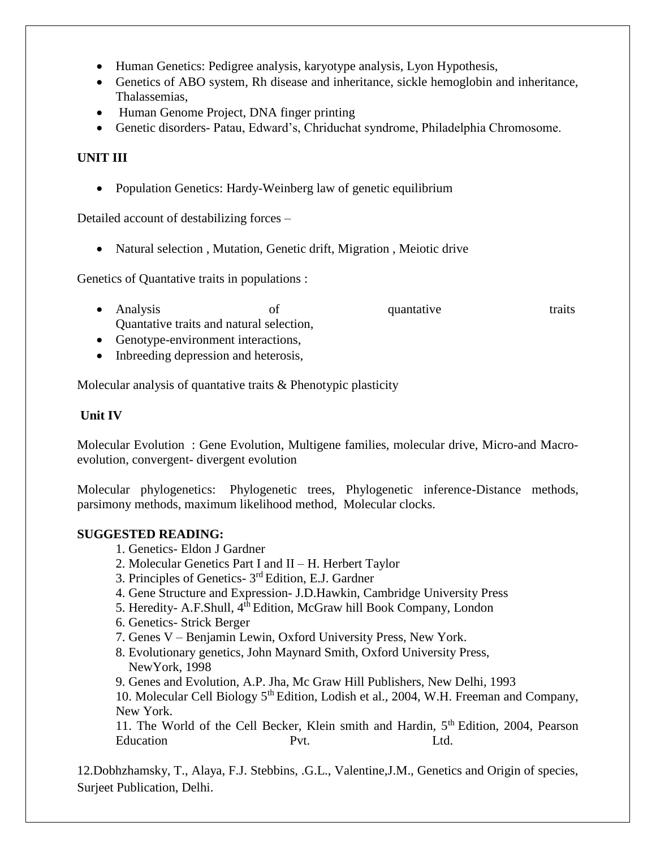- Human Genetics: Pedigree analysis, karyotype analysis, Lyon Hypothesis,
- Genetics of ABO system, Rh disease and inheritance, sickle hemoglobin and inheritance, Thalassemias,
- Human Genome Project, DNA finger printing
- Genetic disorders- Patau, Edward's, Chriduchat syndrome, Philadelphia Chromosome.

## **UNIT III**

• Population Genetics: Hardy-Weinberg law of genetic equilibrium

Detailed account of destabilizing forces –

• Natural selection, Mutation, Genetic drift, Migration, Meiotic drive

Genetics of Quantative traits in populations :

- Analysis of quantative traits traits Quantative traits and natural selection,
- Genotype-environment interactions,
- Inbreeding depression and heterosis,

Molecular analysis of quantative traits & Phenotypic plasticity

## **Unit IV**

Molecular Evolution : Gene Evolution, Multigene families, molecular drive, Micro-and Macroevolution, convergent- divergent evolution

Molecular phylogenetics: Phylogenetic trees, Phylogenetic inference-Distance methods, parsimony methods, maximum likelihood method, Molecular clocks.

#### **SUGGESTED READING:**

- 1. Genetics- Eldon J Gardner
- 2. Molecular Genetics Part I and II H. Herbert Taylor
- 3. Principles of Genetics- 3<sup>rd</sup> Edition, E.J. Gardner
- 4. Gene Structure and Expression- J.D.Hawkin, Cambridge University Press
- 5. Heredity- A.F.Shull,  $4^{th}$  Edition, McGraw hill Book Company, London
- 6. Genetics- Strick Berger
- 7. Genes V Benjamin Lewin, Oxford University Press, New York.
- 8. Evolutionary genetics, John Maynard Smith, Oxford University Press, NewYork, 1998
- 9. Genes and Evolution, A.P. Jha, Mc Graw Hill Publishers, New Delhi, 1993

10. Molecular Cell Biology 5<sup>th</sup> Edition, Lodish et al., 2004, W.H. Freeman and Company, New York.

11. The World of the Cell Becker, Klein smith and Hardin, 5<sup>th</sup> Edition, 2004. Pearson Education Pvt. Put.

12.Dobhzhamsky, T., Alaya, F.J. Stebbins, .G.L., Valentine,J.M., Genetics and Origin of species, Surjeet Publication, Delhi.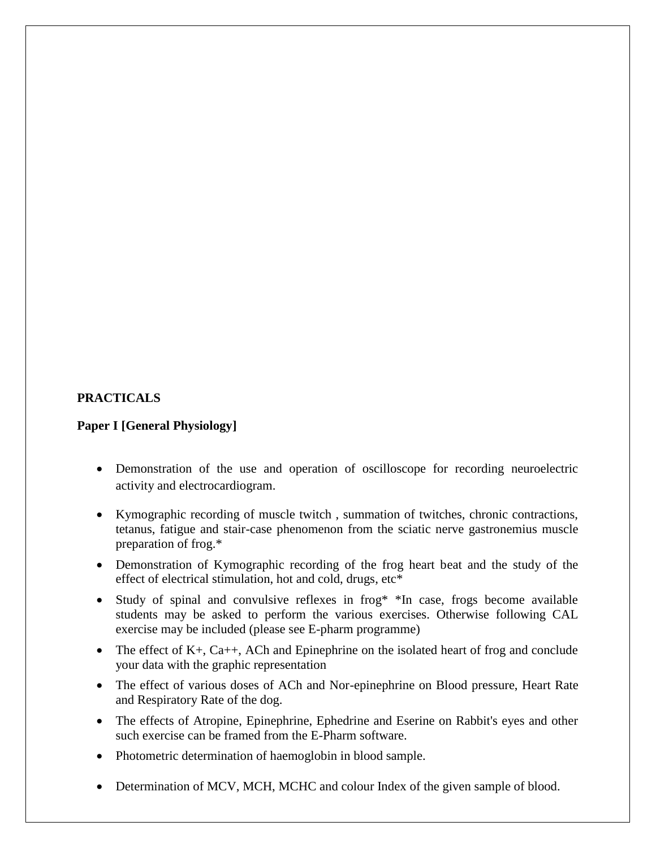#### **PRACTICALS**

#### **Paper I [General Physiology]**

- Demonstration of the use and operation of oscilloscope for recording neuroelectric activity and electrocardiogram.
- Kymographic recording of muscle twitch , summation of twitches, chronic contractions, tetanus, fatigue and stair-case phenomenon from the sciatic nerve gastronemius muscle preparation of frog.\*
- Demonstration of Kymographic recording of the frog heart beat and the study of the effect of electrical stimulation, hot and cold, drugs, etc\*
- Study of spinal and convulsive reflexes in frog\* \*In case, frogs become available students may be asked to perform the various exercises. Otherwise following CAL exercise may be included (please see E-pharm programme)
- The effect of  $K<sub>+</sub>$ ,  $Ca++$ ,  $ACh$  and Epinephrine on the isolated heart of frog and conclude your data with the graphic representation
- The effect of various doses of ACh and Nor-epinephrine on Blood pressure, Heart Rate and Respiratory Rate of the dog.
- The effects of Atropine, Epinephrine, Ephedrine and Eserine on Rabbit's eyes and other such exercise can be framed from the E-Pharm software.
- Photometric determination of haemoglobin in blood sample.
- Determination of MCV, MCH, MCHC and colour Index of the given sample of blood.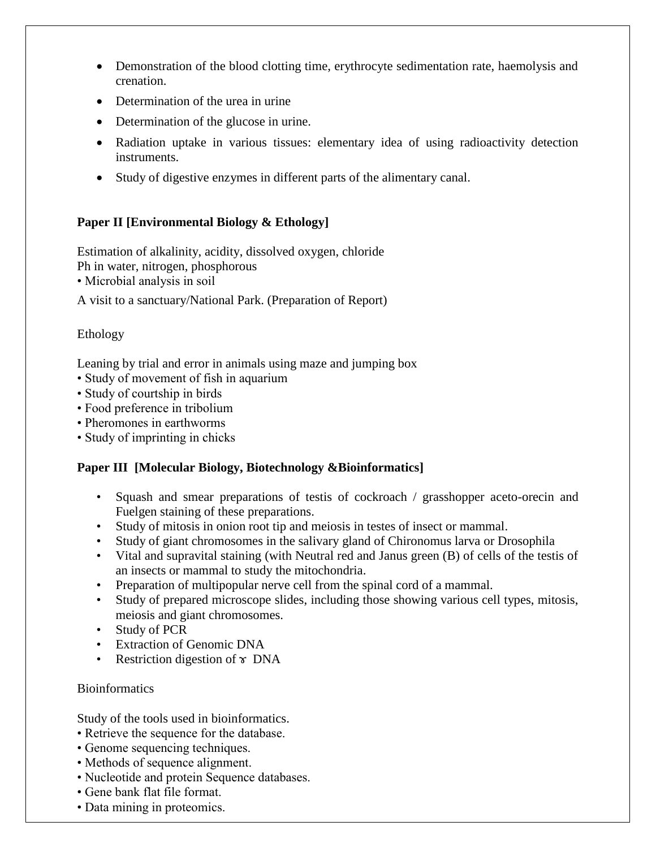- Demonstration of the blood clotting time, erythrocyte sedimentation rate, haemolysis and crenation.
- Determination of the urea in urine
- Determination of the glucose in urine.
- Radiation uptake in various tissues: elementary idea of using radioactivity detection instruments.
- Study of digestive enzymes in different parts of the alimentary canal.

#### **Paper II [Environmental Biology & Ethology]**

Estimation of alkalinity, acidity, dissolved oxygen, chloride Ph in water, nitrogen, phosphorous • Microbial analysis in soil

A visit to a sanctuary/National Park. (Preparation of Report)

#### Ethology

Leaning by trial and error in animals using maze and jumping box

- Study of movement of fish in aquarium
- Study of courtship in birds
- Food preference in tribolium
- Pheromones in earthworms
- Study of imprinting in chicks

#### **Paper III [Molecular Biology, Biotechnology &Bioinformatics]**

- Squash and smear preparations of testis of cockroach / grasshopper aceto-orecin and Fuelgen staining of these preparations.
- Study of mitosis in onion root tip and meiosis in testes of insect or mammal.
- Study of giant chromosomes in the salivary gland of Chironomus larva or Drosophila
- Vital and supravital staining (with Neutral red and Janus green (B) of cells of the testis of an insects or mammal to study the mitochondria.
- Preparation of multipopular nerve cell from the spinal cord of a mammal.
- Study of prepared microscope slides, including those showing various cell types, mitosis, meiosis and giant chromosomes.
- Study of PCR
- Extraction of Genomic DNA
- Restriction digestion of *τ* DNA

#### **Bioinformatics**

Study of the tools used in bioinformatics.

- Retrieve the sequence for the database.
- Genome sequencing techniques.
- Methods of sequence alignment.
- Nucleotide and protein Sequence databases.
- Gene bank flat file format.
- Data mining in proteomics.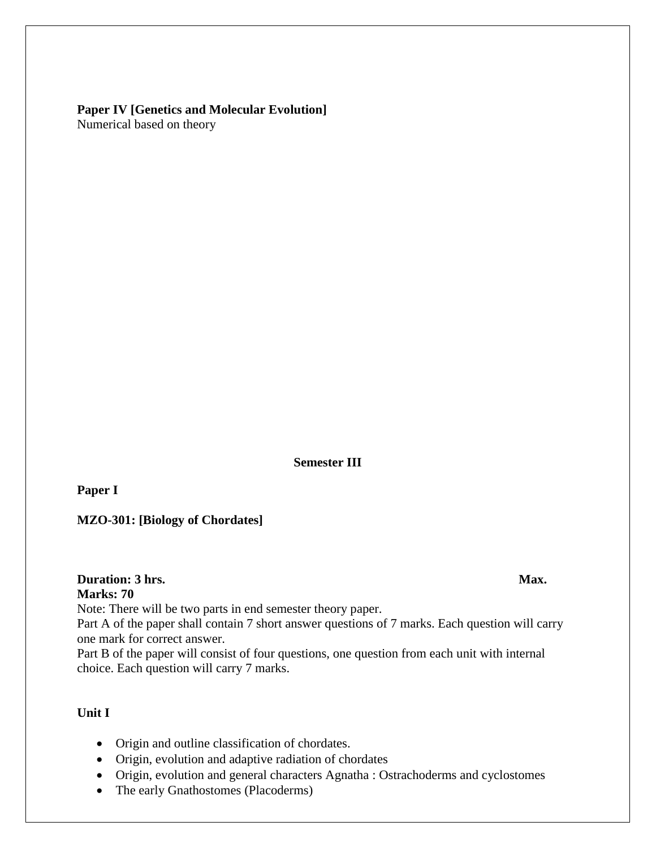# **Paper IV [Genetics and Molecular Evolution]**

Numerical based on theory

**Semester III**

**Paper I**

**MZO-301: [Biology of Chordates]**

# **Duration: 3 hrs.** Max.

## **Marks: 70**

Note: There will be two parts in end semester theory paper.

Part A of the paper shall contain 7 short answer questions of 7 marks. Each question will carry one mark for correct answer.

Part B of the paper will consist of four questions, one question from each unit with internal choice. Each question will carry 7 marks.

### **Unit I**

- Origin and outline classification of chordates.
- Origin, evolution and adaptive radiation of chordates
- Origin, evolution and general characters Agnatha : Ostrachoderms and cyclostomes
- The early Gnathostomes (Placoderms)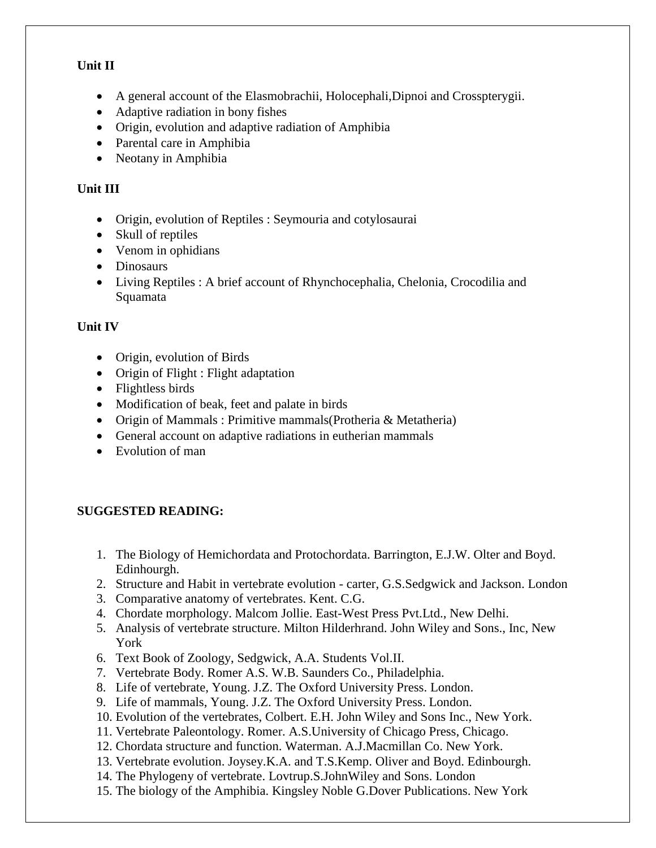#### **Unit II**

- A general account of the Elasmobrachii, Holocephali,Dipnoi and Crosspterygii.
- Adaptive radiation in bony fishes
- Origin, evolution and adaptive radiation of Amphibia
- Parental care in Amphibia
- Neotany in Amphibia

## **Unit III**

- Origin, evolution of Reptiles : Seymouria and cotylosaurai
- Skull of reptiles
- Venom in ophidians
- Dinosaurs
- Living Reptiles : A brief account of Rhynchocephalia, Chelonia, Crocodilia and Squamata

## **Unit IV**

- Origin, evolution of Birds
- Origin of Flight : Flight adaptation
- Flightless birds
- Modification of beak, feet and palate in birds
- Origin of Mammals : Primitive mammals (Protheria & Metatheria)
- General account on adaptive radiations in eutherian mammals
- Evolution of man

## **SUGGESTED READING:**

- 1. The Biology of Hemichordata and Protochordata. Barrington, E.J.W. Olter and Boyd. Edinhourgh.
- 2. Structure and Habit in vertebrate evolution carter, G.S.Sedgwick and Jackson. London
- 3. Comparative anatomy of vertebrates. Kent. C.G.
- 4. Chordate morphology. Malcom Jollie. East-West Press Pvt.Ltd., New Delhi.
- 5. Analysis of vertebrate structure. Milton Hilderhrand. John Wiley and Sons., Inc, New York
- 6. Text Book of Zoology, Sedgwick, A.A. Students Vol.II.
- 7. Vertebrate Body. Romer A.S. W.B. Saunders Co., Philadelphia.
- 8. Life of vertebrate, Young. J.Z. The Oxford University Press. London.
- 9. Life of mammals, Young. J.Z. The Oxford University Press. London.
- 10. Evolution of the vertebrates, Colbert. E.H. John Wiley and Sons Inc., New York.
- 11. Vertebrate Paleontology. Romer. A.S.University of Chicago Press, Chicago.
- 12. Chordata structure and function. Waterman. A.J.Macmillan Co. New York.
- 13. Vertebrate evolution. Joysey.K.A. and T.S.Kemp. Oliver and Boyd. Edinbourgh.
- 14. The Phylogeny of vertebrate. Lovtrup.S.JohnWiley and Sons. London
- 15. The biology of the Amphibia. Kingsley Noble G.Dover Publications. New York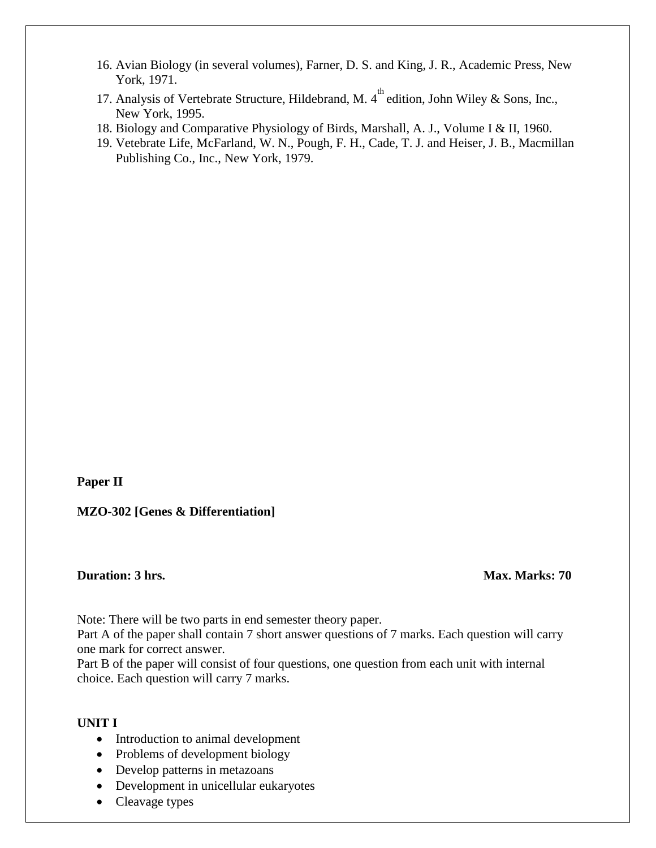- 16. Avian Biology (in several volumes), Farner, D. S. and King, J. R., Academic Press, New York, 1971.
- 17. Analysis of Vertebrate Structure, Hildebrand, M.  $4^{\text{th}}$  edition, John Wiley & Sons, Inc., New York, 1995.
- 18. Biology and Comparative Physiology of Birds, Marshall, A. J., Volume I & II, 1960.
- 19. Vetebrate Life, McFarland, W. N., Pough, F. H., Cade, T. J. and Heiser, J. B., Macmillan Publishing Co., Inc., New York, 1979.

**Paper II**

**MZO-302 [Genes & Differentiation]**

**Duration: 3 hrs.** Max. Marks: 70

Note: There will be two parts in end semester theory paper.

Part A of the paper shall contain 7 short answer questions of 7 marks. Each question will carry one mark for correct answer.

Part B of the paper will consist of four questions, one question from each unit with internal choice. Each question will carry 7 marks.

#### **UNIT I**

- Introduction to animal development
- Problems of development biology
- Develop patterns in metazoans
- Development in unicellular eukaryotes
- Cleavage types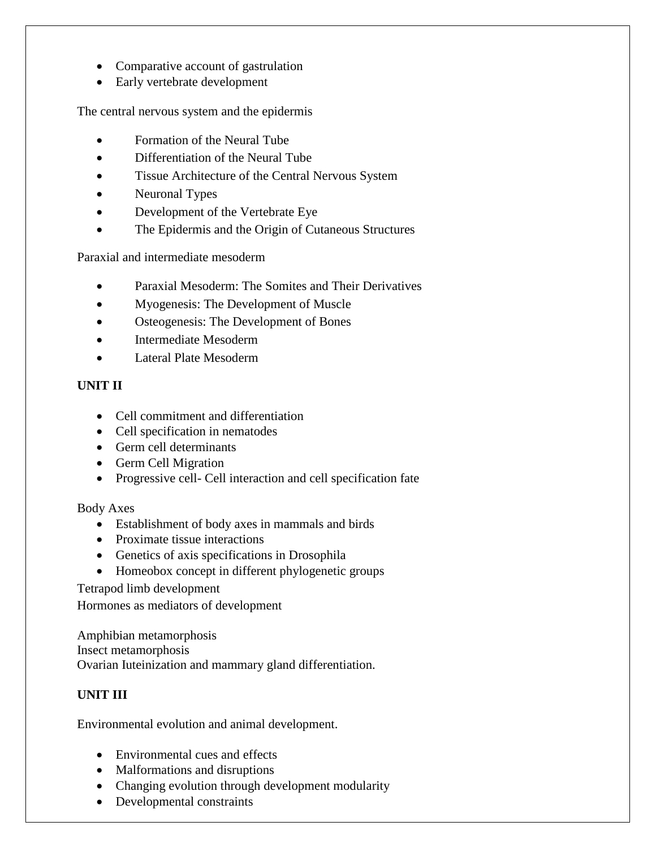- Comparative account of gastrulation
- Early vertebrate development

The central nervous system and the epidermis

- Formation of the Neural Tube
- Differentiation of the Neural Tube
- Tissue Architecture of the Central Nervous System
- Neuronal Types
- Development of the Vertebrate Eye
- The Epidermis and the Origin of Cutaneous Structures

Paraxial and intermediate mesoderm

- Paraxial Mesoderm: The Somites and Their Derivatives
- Myogenesis: The Development of Muscle
- Osteogenesis: The Development of Bones
- Intermediate Mesoderm
- Lateral Plate Mesoderm

# **UNIT II**

- Cell commitment and differentiation
- Cell specification in nematodes
- Germ cell determinants
- Germ Cell Migration
- Progressive cell- Cell interaction and cell specification fate

# Body Axes

- Establishment of body axes in mammals and birds
- Proximate tissue interactions
- Genetics of axis specifications in Drosophila
- Homeobox concept in different phylogenetic groups

# Tetrapod limb development

Hormones as mediators of development

Amphibian metamorphosis Insect metamorphosis Ovarian Iuteinization and mammary gland differentiation.

# **UNIT III**

Environmental evolution and animal development.

- Environmental cues and effects
- Malformations and disruptions
- Changing evolution through development modularity
- Developmental constraints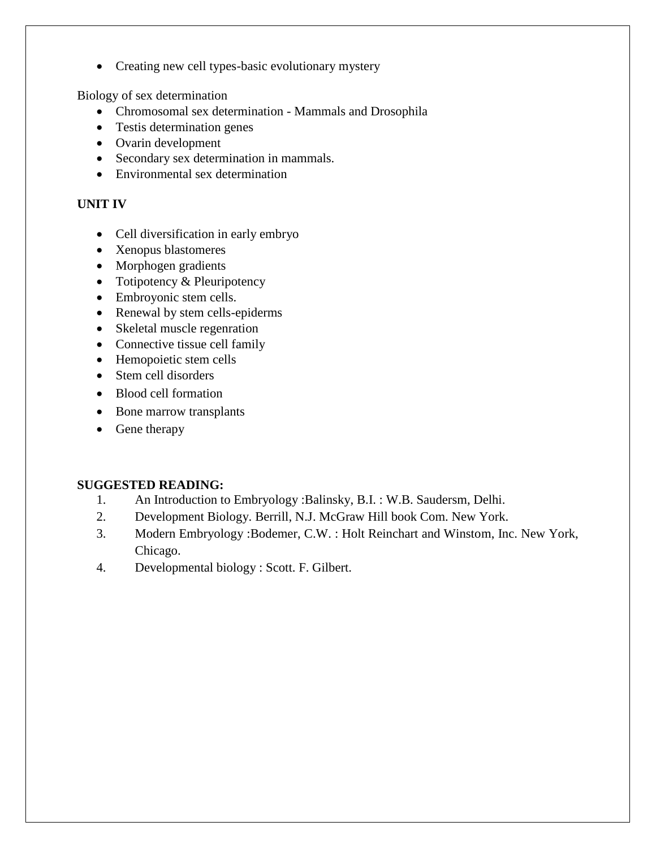• Creating new cell types-basic evolutionary mystery

Biology of sex determination

- Chromosomal sex determination Mammals and Drosophila
- Testis determination genes
- Ovarin development
- Secondary sex determination in mammals.
- Environmental sex determination

# **UNIT IV**

- Cell diversification in early embryo
- Xenopus blastomeres
- Morphogen gradients
- Totipotency & Pleuripotency
- Embroyonic stem cells.
- Renewal by stem cells-epiderms
- Skeletal muscle regenration
- Connective tissue cell family
- Hemopoietic stem cells
- Stem cell disorders
- Blood cell formation
- Bone marrow transplants
- Gene therapy

#### **SUGGESTED READING:**

- 1. An Introduction to Embryology :Balinsky, B.I. : W.B. Saudersm, Delhi.
- 2. Development Biology. Berrill, N.J. McGraw Hill book Com. New York.
- 3. Modern Embryology :Bodemer, C.W. : Holt Reinchart and Winstom, Inc. New York, Chicago.
- 4. Developmental biology : Scott. F. Gilbert.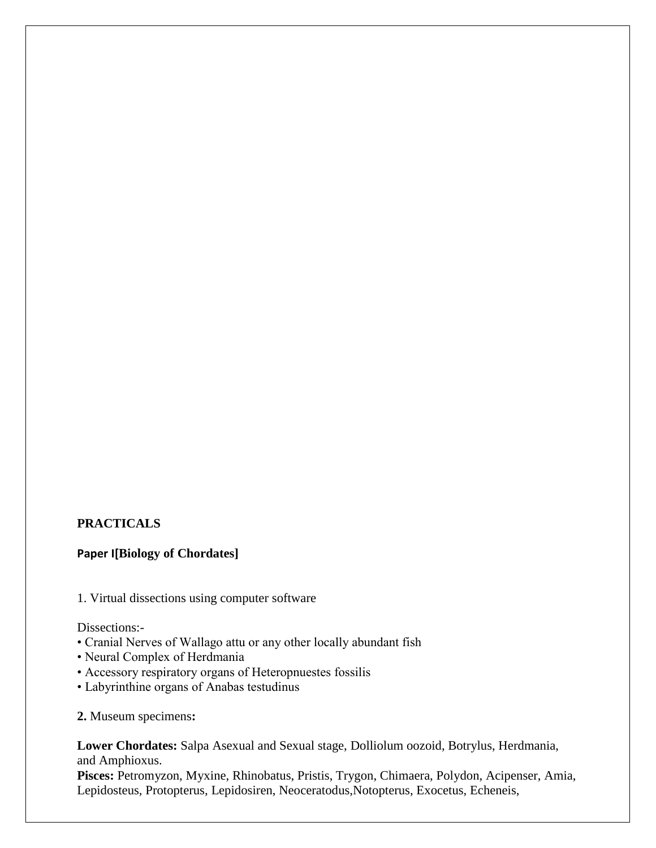## **PRACTICALS**

#### **Paper I[Biology of Chordates]**

1. Virtual dissections using computer software

Dissections:-

- Cranial Nerves of Wallago attu or any other locally abundant fish
- Neural Complex of Herdmania
- Accessory respiratory organs of Heteropnuestes fossilis
- Labyrinthine organs of Anabas testudinus
- **2.** Museum specimens**:**

**Lower Chordates:** Salpa Asexual and Sexual stage, Dolliolum oozoid, Botrylus, Herdmania, and Amphioxus.

**Pisces:** Petromyzon, Myxine, Rhinobatus, Pristis, Trygon, Chimaera, Polydon, Acipenser, Amia, Lepidosteus, Protopterus, Lepidosiren, Neoceratodus,Notopterus, Exocetus, Echeneis,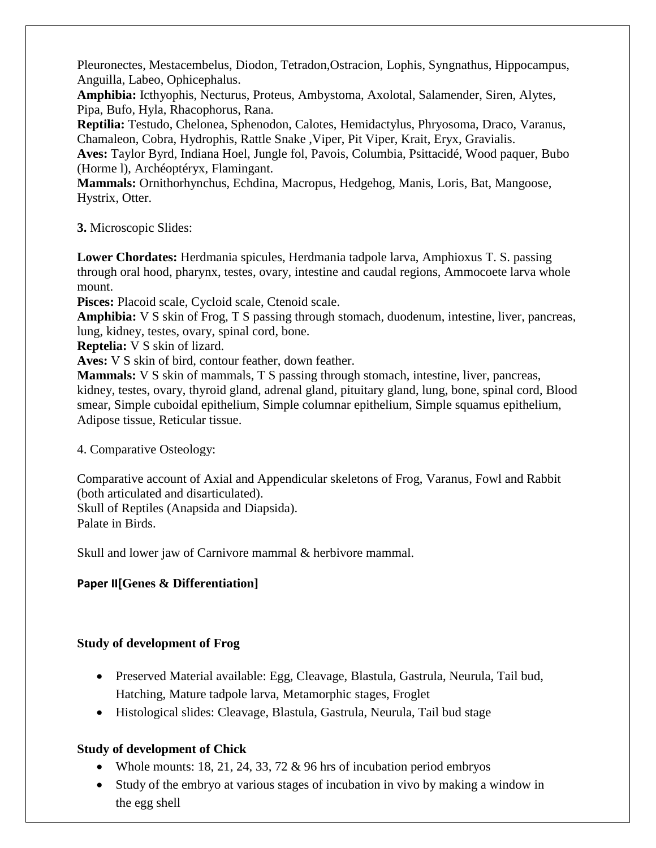Pleuronectes, Mestacembelus, Diodon, Tetradon,Ostracion, Lophis, Syngnathus, Hippocampus, Anguilla, Labeo, Ophicephalus.

**Amphibia:** Icthyophis, Necturus, Proteus, Ambystoma, Axolotal, Salamender, Siren, Alytes, Pipa, Bufo, Hyla, Rhacophorus, Rana.

**Reptilia:** Testudo, Chelonea, Sphenodon, Calotes, Hemidactylus, Phryosoma, Draco, Varanus, Chamaleon, Cobra, Hydrophis, Rattle Snake ,Viper, Pit Viper, Krait, Eryx, Gravialis.

**Aves:** Taylor Byrd, Indiana Hoel, Jungle fol, Pavois, Columbia, Psittacidé, Wood paquer, Bubo (Horme l), Archéoptéryx, Flamingant.

**Mammals:** Ornithorhynchus, Echdina, Macropus, Hedgehog, Manis, Loris, Bat, Mangoose, Hystrix, Otter.

**3.** Microscopic Slides:

**Lower Chordates:** Herdmania spicules, Herdmania tadpole larva, Amphioxus T. S. passing through oral hood, pharynx, testes, ovary, intestine and caudal regions, Ammocoete larva whole mount.

**Pisces:** Placoid scale, Cycloid scale, Ctenoid scale.

**Amphibia:** V S skin of Frog, T S passing through stomach, duodenum, intestine, liver, pancreas, lung, kidney, testes, ovary, spinal cord, bone.

**Reptelia:** V S skin of lizard.

**Aves:** V S skin of bird, contour feather, down feather.

**Mammals:** V S skin of mammals, T S passing through stomach, intestine, liver, pancreas, kidney, testes, ovary, thyroid gland, adrenal gland, pituitary gland, lung, bone, spinal cord, Blood smear, Simple cuboidal epithelium, Simple columnar epithelium, Simple squamus epithelium, Adipose tissue, Reticular tissue.

4. Comparative Osteology:

Comparative account of Axial and Appendicular skeletons of Frog, Varanus, Fowl and Rabbit (both articulated and disarticulated).

Skull of Reptiles (Anapsida and Diapsida).

Palate in Birds.

Skull and lower jaw of Carnivore mammal & herbivore mammal.

# **Paper II[Genes & Differentiation]**

# **Study of development of Frog**

- Preserved Material available: Egg, Cleavage, Blastula, Gastrula, Neurula, Tail bud, Hatching, Mature tadpole larva, Metamorphic stages, Froglet
- Histological slides: Cleavage, Blastula, Gastrula, Neurula, Tail bud stage

# **Study of development of Chick**

- Whole mounts: 18, 21, 24, 33, 72  $& 96$  hrs of incubation period embryos
- Study of the embryo at various stages of incubation in vivo by making a window in the egg shell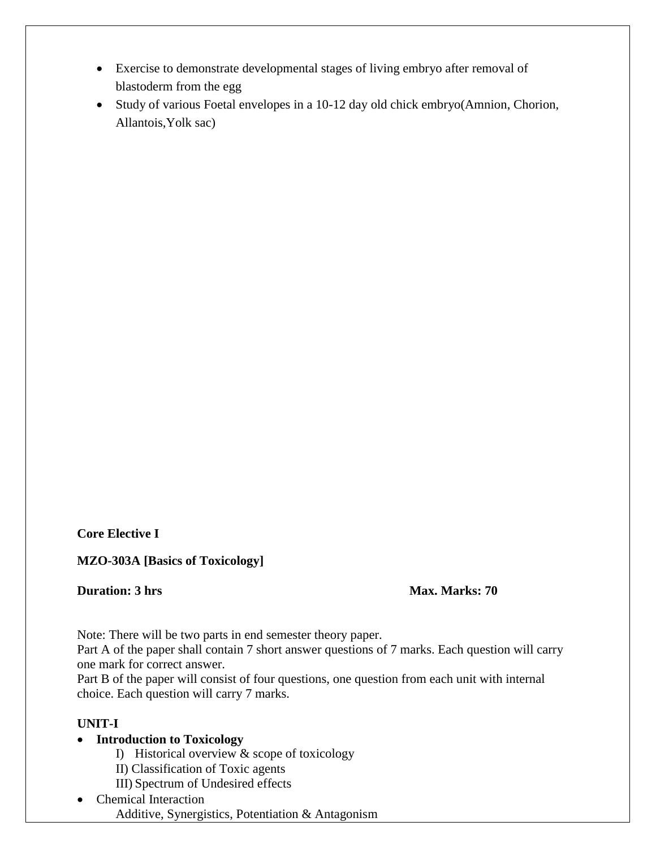- Exercise to demonstrate developmental stages of living embryo after removal of blastoderm from the egg
- Study of various Foetal envelopes in a 10-12 day old chick embryo(Amnion, Chorion, Allantois,Yolk sac)

**Core Elective I**

**MZO-303A [Basics of Toxicology]**

**Duration: 3 hrs** Max. Marks: 70

Note: There will be two parts in end semester theory paper.

Part A of the paper shall contain 7 short answer questions of 7 marks. Each question will carry one mark for correct answer.

Part B of the paper will consist of four questions, one question from each unit with internal choice. Each question will carry 7 marks.

#### **UNIT-I**

#### **Introduction to Toxicology**

I) Historical overview & scope of toxicology

- II) Classification of Toxic agents
- III) Spectrum of Undesired effects
- Chemical Interaction Additive, Synergistics, Potentiation & Antagonism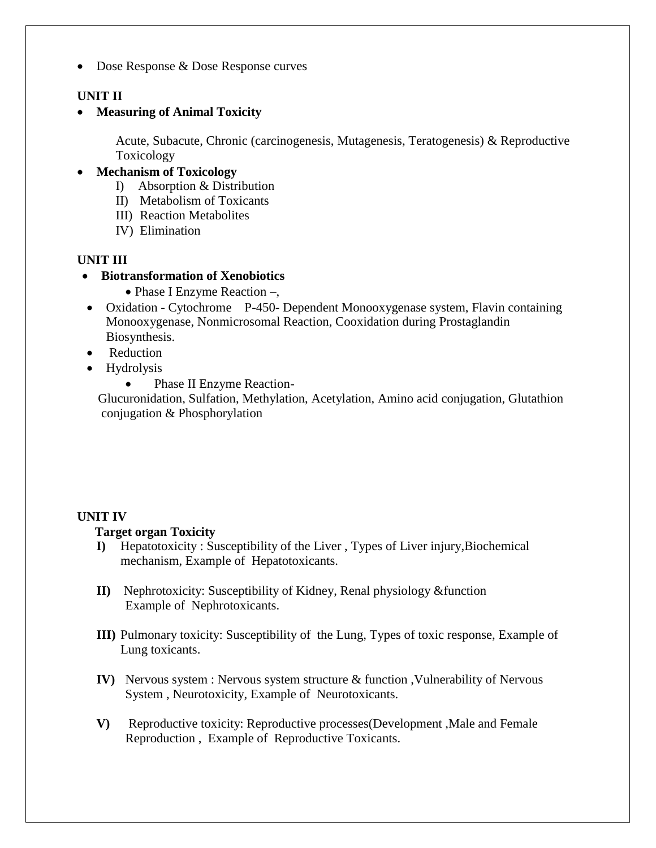• Dose Response & Dose Response curves

## **UNIT II**

**Measuring of Animal Toxicity**

Acute, Subacute, Chronic (carcinogenesis, Mutagenesis, Teratogenesis) & Reproductive Toxicology

- **Mechanism of Toxicology**
	- I) Absorption & Distribution
	- II) Metabolism of Toxicants
	- III) Reaction Metabolites
	- IV) Elimination

## **UNIT III**

## **Biotransformation of Xenobiotics**

- Phase I Enzyme Reaction –,
- Oxidation Cytochrome P-450- Dependent Monooxygenase system, Flavin containing Monooxygenase, Nonmicrosomal Reaction, Cooxidation during Prostaglandin Biosynthesis.
- Reduction
- Hydrolysis
	- Phase II Enzyme Reaction-

 Glucuronidation, Sulfation, Methylation, Acetylation, Amino acid conjugation, Glutathion conjugation & Phosphorylation

#### **UNIT IV**

#### **Target organ Toxicity**

- **I)** Hepatotoxicity : Susceptibility of the Liver , Types of Liver injury,Biochemical mechanism, Example of Hepatotoxicants.
- **II)** Nephrotoxicity: Susceptibility of Kidney, Renal physiology &function Example of Nephrotoxicants.
- **III)** Pulmonary toxicity: Susceptibility of the Lung, Types of toxic response, Example of Lung toxicants.
- **IV)** Nervous system : Nervous system structure & function ,Vulnerability of Nervous System , Neurotoxicity, Example of Neurotoxicants.
- **V)** Reproductive toxicity: Reproductive processes(Development ,Male and Female Reproduction , Example of Reproductive Toxicants.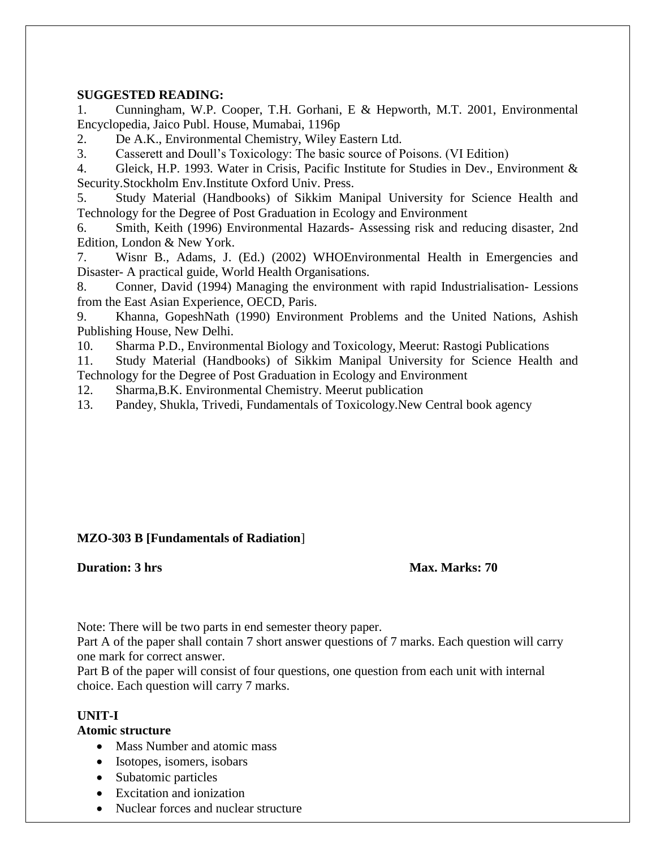#### **SUGGESTED READING:**

1. Cunningham, W.P. Cooper, T.H. Gorhani, E & Hepworth, M.T. 2001, Environmental Encyclopedia, Jaico Publ. House, Mumabai, 1196p

2. De A.K., Environmental Chemistry, Wiley Eastern Ltd.

3. Casserett and Doull's Toxicology: The basic source of Poisons. (VI Edition)

4. Gleick, H.P. 1993. Water in Crisis, Pacific Institute for Studies in Dev., Environment & Security.Stockholm Env.Institute Oxford Univ. Press.

5. Study Material (Handbooks) of Sikkim Manipal University for Science Health and Technology for the Degree of Post Graduation in Ecology and Environment

6. Smith, Keith (1996) Environmental Hazards- Assessing risk and reducing disaster, 2nd Edition, London & New York.

7. Wisnr B., Adams, J. (Ed.) (2002) WHOEnvironmental Health in Emergencies and Disaster- A practical guide, World Health Organisations.

8. Conner, David (1994) Managing the environment with rapid Industrialisation- Lessions from the East Asian Experience, OECD, Paris.

9. Khanna, GopeshNath (1990) Environment Problems and the United Nations, Ashish Publishing House, New Delhi.

10. Sharma P.D., Environmental Biology and Toxicology, Meerut: Rastogi Publications

11. Study Material (Handbooks) of Sikkim Manipal University for Science Health and Technology for the Degree of Post Graduation in Ecology and Environment

12. Sharma,B.K. Environmental Chemistry. Meerut publication

13. Pandey, Shukla, Trivedi, Fundamentals of Toxicology.New Central book agency

# **MZO-303 B [Fundamentals of Radiation**]

#### **Duration: 3 hrs** Max. Marks: 70

Note: There will be two parts in end semester theory paper.

Part A of the paper shall contain 7 short answer questions of 7 marks. Each question will carry one mark for correct answer.

Part B of the paper will consist of four questions, one question from each unit with internal choice. Each question will carry 7 marks.

#### **UNIT-I**

#### **Atomic structure**

- Mass Number and atomic mass
- Isotopes, isomers, isobars
- Subatomic particles
- Excitation and ionization
- Nuclear forces and nuclear structure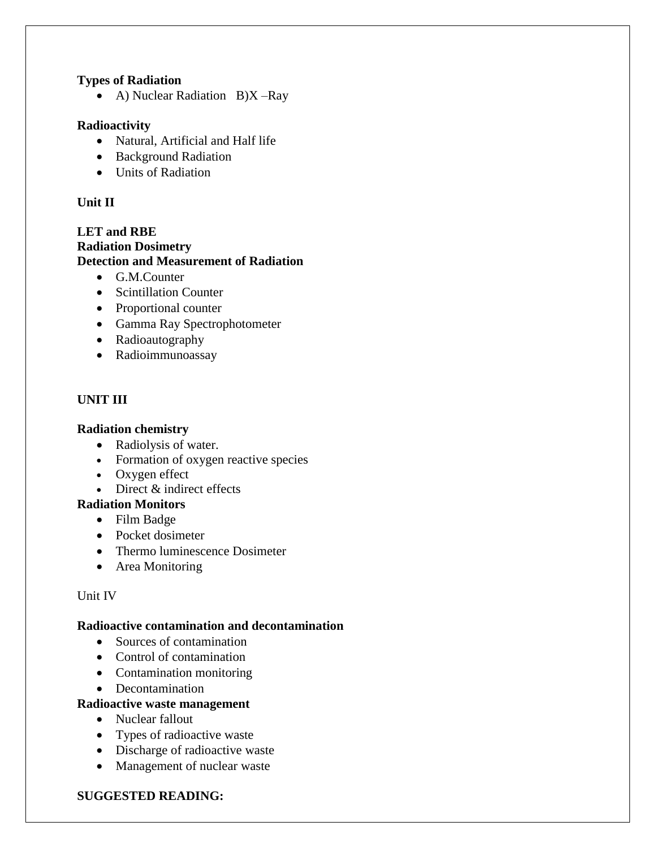## **Types of Radiation**

• A) Nuclear Radiation B)X-Ray

#### **Radioactivity**

- Natural, Artificial and Half life
- Background Radiation
- Units of Radiation

## **Unit II**

# **LET and RBE Radiation Dosimetry Detection and Measurement of Radiation**

- G.M.Counter
- Scintillation Counter
- Proportional counter
- Gamma Ray Spectrophotometer
- Radioautography
- Radioimmunoassay

# **UNIT III**

#### **Radiation chemistry**

- Radiolysis of water.
- Formation of oxygen reactive species
- Oxygen effect
- Direct & indirect effects

# **Radiation Monitors**

- Film Badge
- Pocket dosimeter
- Thermo luminescence Dosimeter
- Area Monitoring

#### Unit IV

#### **Radioactive contamination and decontamination**

- Sources of contamination
- Control of contamination
- Contamination monitoring
- Decontamination
- **Radioactive waste management**
	- Nuclear fallout
	- Types of radioactive waste
	- Discharge of radioactive waste
	- Management of nuclear waste

# **SUGGESTED READING:**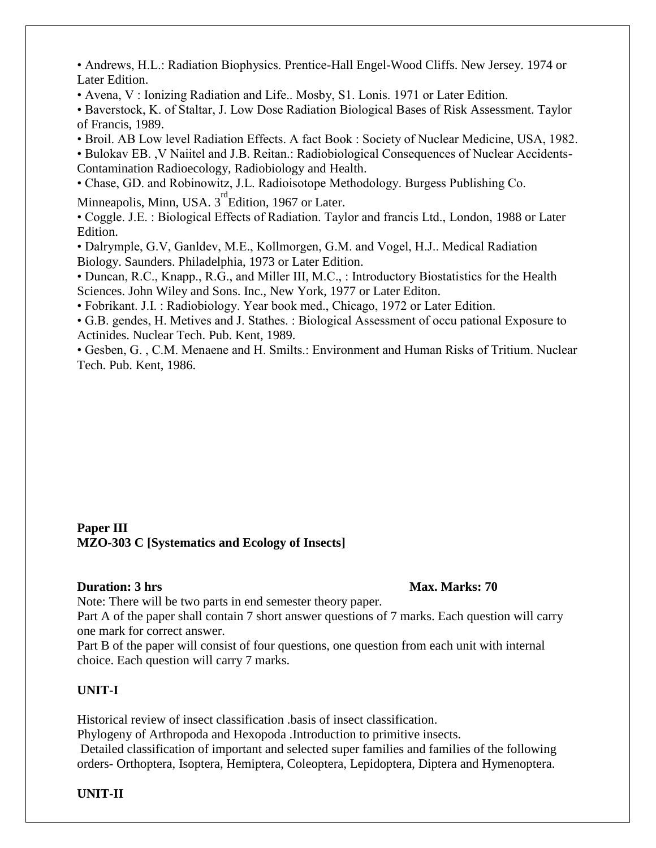• Andrews, H.L.: Radiation Biophysics. Prentice-Hall Engel-Wood Cliffs. New Jersey. 1974 or Later Edition.

• Avena, V : Ionizing Radiation and Life.. Mosby, S1. Lonis. 1971 or Later Edition.

• Baverstock, K. of Staltar, J. Low Dose Radiation Biological Bases of Risk Assessment. Taylor of Francis, 1989.

• Broil. AB Low level Radiation Effects. A fact Book : Society of Nuclear Medicine, USA, 1982.

• Bulokav EB. ,V Naiitel and J.B. Reitan.: Radiobiological Consequences of Nuclear Accidents-Contamination Radioecology, Radiobiology and Health.

• Chase, GD. and Robinowitz, J.L. Radioisotope Methodology. Burgess Publishing Co.

Minneapolis, Minn, USA. 3<sup>rd</sup> Edition, 1967 or Later.

• Coggle. J.E. : Biological Effects of Radiation. Taylor and francis Ltd., London, 1988 or Later Edition.

• Dalrymple, G.V, Ganldev, M.E., Kollmorgen, G.M. and Vogel, H.J.. Medical Radiation Biology. Saunders. Philadelphia, 1973 or Later Edition.

• Duncan, R.C., Knapp., R.G., and Miller III, M.C., : Introductory Biostatistics for the Health Sciences. John Wiley and Sons. Inc., New York, 1977 or Later Editon.

• Fobrikant. J.I. : Radiobiology. Year book med., Chicago, 1972 or Later Edition.

• G.B. gendes, H. Metives and J. Stathes. : Biological Assessment of occu pational Exposure to Actinides. Nuclear Tech. Pub. Kent, 1989.

• Gesben, G. , C.M. Menaene and H. Smilts.: Environment and Human Risks of Tritium. Nuclear Tech. Pub. Kent, 1986.

# **Paper III MZO-303 C [Systematics and Ecology of Insects]**

#### **Duration: 3 hrs** Max. Marks: 70

Note: There will be two parts in end semester theory paper.

Part A of the paper shall contain 7 short answer questions of 7 marks. Each question will carry one mark for correct answer.

Part B of the paper will consist of four questions, one question from each unit with internal choice. Each question will carry 7 marks.

# **UNIT-I**

Historical review of insect classification .basis of insect classification.

Phylogeny of Arthropoda and Hexopoda .Introduction to primitive insects.

Detailed classification of important and selected super families and families of the following orders- Orthoptera, Isoptera, Hemiptera, Coleoptera, Lepidoptera, Diptera and Hymenoptera.

# **UNIT-II**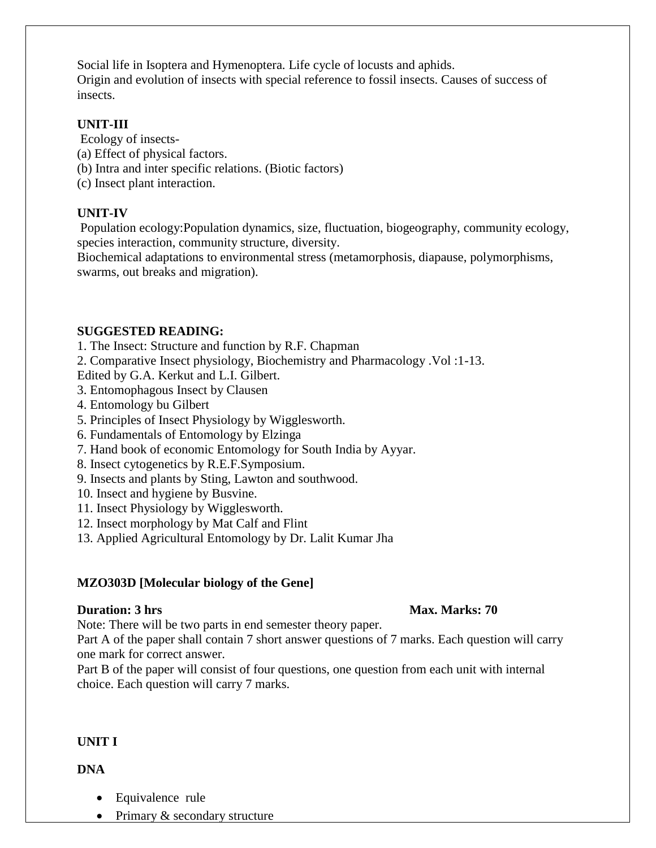Social life in Isoptera and Hymenoptera. Life cycle of locusts and aphids. Origin and evolution of insects with special reference to fossil insects. Causes of success of insects.

## **UNIT-III**

Ecology of insects- (a) Effect of physical factors. (b) Intra and inter specific relations. (Biotic factors) (c) Insect plant interaction.

# **UNIT-IV**

Population ecology:Population dynamics, size, fluctuation, biogeography, community ecology, species interaction, community structure, diversity.

Biochemical adaptations to environmental stress (metamorphosis, diapause, polymorphisms, swarms, out breaks and migration).

# **SUGGESTED READING:**

1. The Insect: Structure and function by R.F. Chapman

2. Comparative Insect physiology, Biochemistry and Pharmacology .Vol :1-13.

Edited by G.A. Kerkut and L.I. Gilbert.

- 3. Entomophagous Insect by Clausen
- 4. Entomology bu Gilbert
- 5. Principles of Insect Physiology by Wigglesworth.
- 6. Fundamentals of Entomology by Elzinga
- 7. Hand book of economic Entomology for South India by Ayyar.
- 8. Insect cytogenetics by R.E.F.Symposium.
- 9. Insects and plants by Sting, Lawton and southwood.
- 10. Insect and hygiene by Busvine.
- 11. Insect Physiology by Wigglesworth.
- 12. Insect morphology by Mat Calf and Flint
- 13. Applied Agricultural Entomology by Dr. Lalit Kumar Jha

# **MZO303D [Molecular biology of the Gene]**

# **Duration: 3 hrs** Max. Marks: 70

Note: There will be two parts in end semester theory paper.

Part A of the paper shall contain 7 short answer questions of 7 marks. Each question will carry one mark for correct answer.

Part B of the paper will consist of four questions, one question from each unit with internal choice. Each question will carry 7 marks.

#### **UNIT I**

**DNA**

- Equivalence rule
- $\bullet$  Primary  $\&$  secondary structure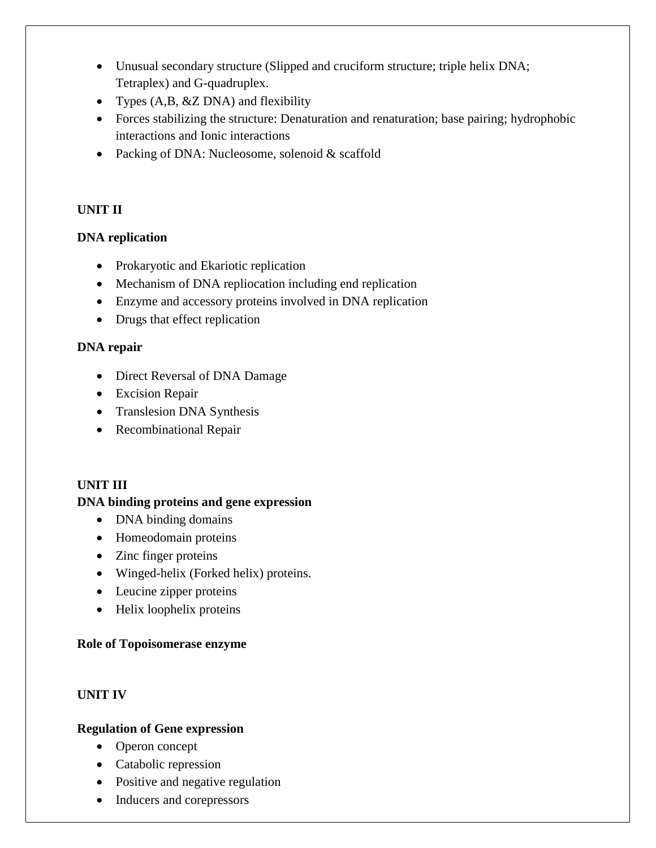- Unusual secondary structure (Slipped and cruciform structure; triple helix DNA; Tetraplex) and G-quadruplex.
- Types  $(A,B, \&Z$  DNA) and flexibility
- Forces stabilizing the structure: Denaturation and renaturation; base pairing; hydrophobic interactions and Ionic interactions
- Packing of DNA: Nucleosome, solenoid & scaffold

# **UNIT II**

# **DNA replication**

- Prokaryotic and Ekariotic replication
- Mechanism of DNA repliocation including end replication
- Enzyme and accessory proteins involved in DNA replication
- Drugs that effect replication

# **DNA repair**

- Direct Reversal of DNA Damage
- Excision Repair
- Translesion DNA Synthesis
- Recombinational Repair

# **UNIT III**

# **DNA binding proteins and gene expression**

- DNA binding domains
- Homeodomain proteins
- Zinc finger proteins
- Winged-helix (Forked helix) proteins.
- Leucine zipper proteins
- Helix loophelix proteins

# **Role of Topoisomerase enzyme**

# **UNIT IV**

# **Regulation of Gene expression**

- Operon concept
- Catabolic repression
- Positive and negative regulation
- Inducers and corepressors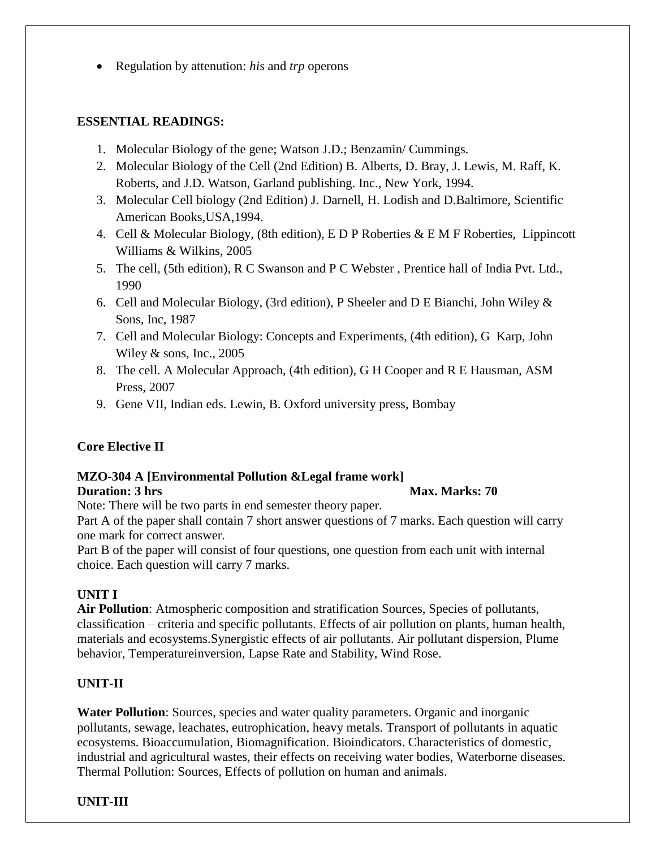• Regulation by attenution: *his* and *trp* operons

#### **ESSENTIAL READINGS:**

- 1. Molecular Biology of the gene; Watson J.D.; Benzamin/ Cummings.
- 2. Molecular Biology of the Cell (2nd Edition) B. Alberts, D. Bray, J. Lewis, M. Raff, K. Roberts, and J.D. Watson, Garland publishing. Inc., New York, 1994.
- 3. Molecular Cell biology (2nd Edition) J. Darnell, H. Lodish and D.Baltimore, Scientific American Books,USA,1994.
- 4. Cell & Molecular Biology, (8th edition), E D P Roberties & E M F Roberties, Lippincott Williams & Wilkins, 2005
- 5. The cell, (5th edition), R C Swanson and P C Webster , Prentice hall of India Pvt. Ltd., 1990
- 6. Cell and Molecular Biology, (3rd edition), P Sheeler and D E Bianchi, John Wiley & Sons, Inc, 1987
- 7. Cell and Molecular Biology: Concepts and Experiments, (4th edition), G Karp, John Wiley & sons, Inc., 2005
- 8. The cell. A Molecular Approach, (4th edition), G H Cooper and R E Hausman, ASM Press, 2007
- 9. Gene VII, Indian eds. Lewin, B. Oxford university press, Bombay

# **Core Elective II**

# **MZO-304 A [Environmental Pollution &Legal frame work]**

#### **Duration: 3 hrs** Max. Marks: 70

Note: There will be two parts in end semester theory paper.

Part A of the paper shall contain 7 short answer questions of 7 marks. Each question will carry one mark for correct answer.

Part B of the paper will consist of four questions, one question from each unit with internal choice. Each question will carry 7 marks.

# **UNIT I**

**Air Pollution**: Atmospheric composition and stratification Sources, Species of pollutants, classification – criteria and specific pollutants. Effects of air pollution on plants, human health, materials and ecosystems.Synergistic effects of air pollutants. Air pollutant dispersion, Plume behavior, Temperatureinversion, Lapse Rate and Stability, Wind Rose.

# **UNIT-II**

**Water Pollution**: Sources, species and water quality parameters. Organic and inorganic pollutants, sewage, leachates, eutrophication, heavy metals. Transport of pollutants in aquatic ecosystems. Bioaccumulation, Biomagnification. Bioindicators. Characteristics of domestic, industrial and agricultural wastes, their effects on receiving water bodies, Waterborne diseases. Thermal Pollution: Sources, Effects of pollution on human and animals.

# **UNIT-III**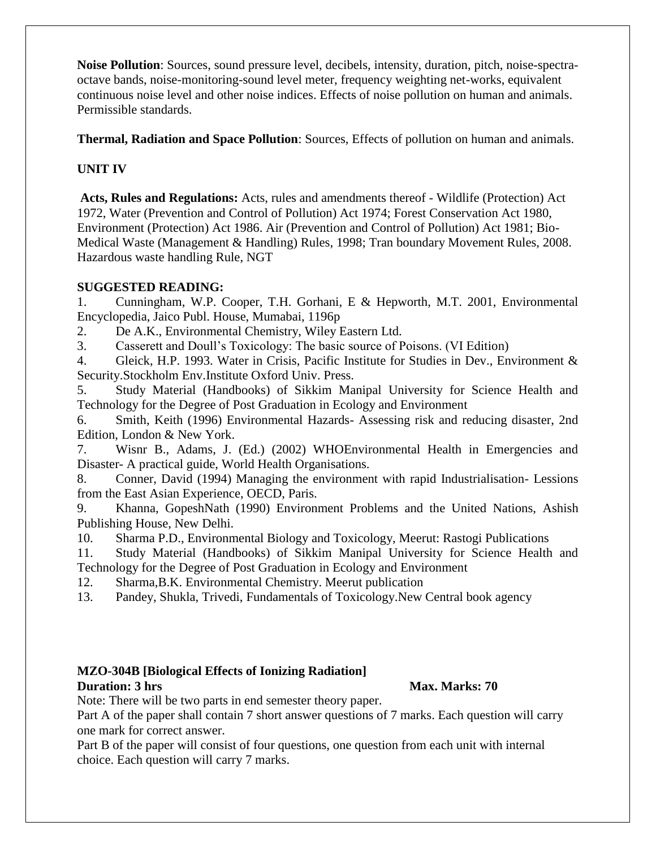**Noise Pollution**: Sources, sound pressure level, decibels, intensity, duration, pitch, noise-spectraoctave bands, noise-monitoring-sound level meter, frequency weighting net-works, equivalent continuous noise level and other noise indices. Effects of noise pollution on human and animals. Permissible standards.

**Thermal, Radiation and Space Pollution**: Sources, Effects of pollution on human and animals.

# **UNIT IV**

**Acts, Rules and Regulations:** Acts, rules and amendments thereof - Wildlife (Protection) Act 1972, Water (Prevention and Control of Pollution) Act 1974; Forest Conservation Act 1980, Environment (Protection) Act 1986. Air (Prevention and Control of Pollution) Act 1981; Bio-Medical Waste (Management & Handling) Rules, 1998; Tran boundary Movement Rules, 2008. Hazardous waste handling Rule, NGT

# **SUGGESTED READING:**

1. Cunningham, W.P. Cooper, T.H. Gorhani, E & Hepworth, M.T. 2001, Environmental Encyclopedia, Jaico Publ. House, Mumabai, 1196p

- 2. De A.K., Environmental Chemistry, Wiley Eastern Ltd.
- 3. Casserett and Doull's Toxicology: The basic source of Poisons. (VI Edition)

4. Gleick, H.P. 1993. Water in Crisis, Pacific Institute for Studies in Dev., Environment & Security.Stockholm Env.Institute Oxford Univ. Press.

5. Study Material (Handbooks) of Sikkim Manipal University for Science Health and Technology for the Degree of Post Graduation in Ecology and Environment

6. Smith, Keith (1996) Environmental Hazards- Assessing risk and reducing disaster, 2nd Edition, London & New York.

7. Wisnr B., Adams, J. (Ed.) (2002) WHOEnvironmental Health in Emergencies and Disaster- A practical guide, World Health Organisations.

8. Conner, David (1994) Managing the environment with rapid Industrialisation- Lessions from the East Asian Experience, OECD, Paris.

9. Khanna, GopeshNath (1990) Environment Problems and the United Nations, Ashish Publishing House, New Delhi.

10. Sharma P.D., Environmental Biology and Toxicology, Meerut: Rastogi Publications

11. Study Material (Handbooks) of Sikkim Manipal University for Science Health and Technology for the Degree of Post Graduation in Ecology and Environment

12. Sharma,B.K. Environmental Chemistry. Meerut publication

13. Pandey, Shukla, Trivedi, Fundamentals of Toxicology.New Central book agency

# **MZO-304B [Biological Effects of Ionizing Radiation]**

# **Duration: 3 hrs** Max. Marks: 70

Note: There will be two parts in end semester theory paper.

Part A of the paper shall contain 7 short answer questions of 7 marks. Each question will carry one mark for correct answer.

Part B of the paper will consist of four questions, one question from each unit with internal choice. Each question will carry 7 marks.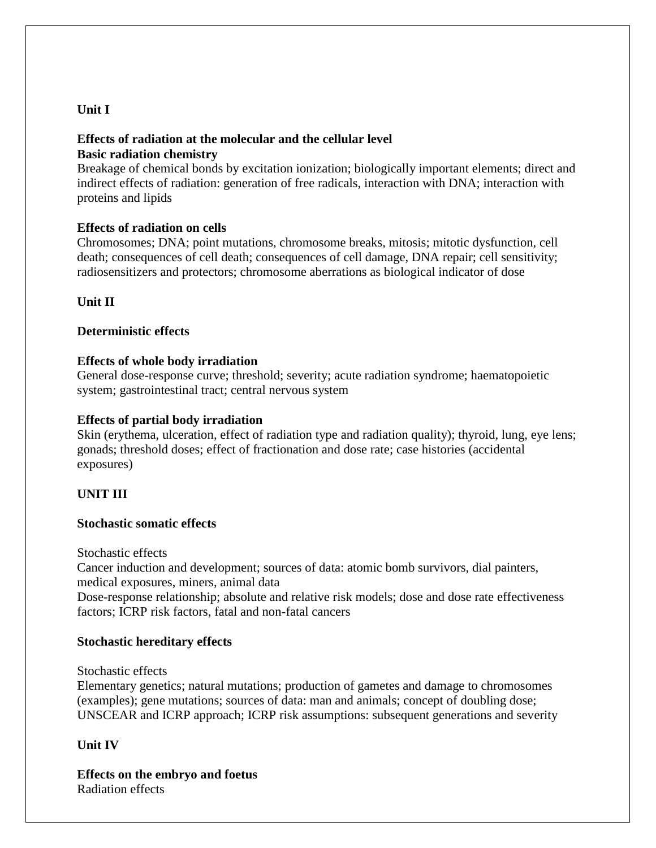# **Unit I**

## **Effects of radiation at the molecular and the cellular level Basic radiation chemistry**

Breakage of chemical bonds by excitation ionization; biologically important elements; direct and indirect effects of radiation: generation of free radicals, interaction with DNA; interaction with proteins and lipids

## **Effects of radiation on cells**

Chromosomes; DNA; point mutations, chromosome breaks, mitosis; mitotic dysfunction, cell death; consequences of cell death; consequences of cell damage, DNA repair; cell sensitivity; radiosensitizers and protectors; chromosome aberrations as biological indicator of dose

# **Unit II**

## **Deterministic effects**

## **Effects of whole body irradiation**

General dose-response curve; threshold; severity; acute radiation syndrome; haematopoietic system; gastrointestinal tract; central nervous system

#### **Effects of partial body irradiation**

Skin (erythema, ulceration, effect of radiation type and radiation quality); thyroid, lung, eye lens; gonads; threshold doses; effect of fractionation and dose rate; case histories (accidental exposures)

# **UNIT III**

# **Stochastic somatic effects**

Stochastic effects

Cancer induction and development; sources of data: atomic bomb survivors, dial painters, medical exposures, miners, animal data Dose-response relationship; absolute and relative risk models; dose and dose rate effectiveness factors; ICRP risk factors, fatal and non-fatal cancers

#### **Stochastic hereditary effects**

Stochastic effects

Elementary genetics; natural mutations; production of gametes and damage to chromosomes (examples); gene mutations; sources of data: man and animals; concept of doubling dose; UNSCEAR and ICRP approach; ICRP risk assumptions: subsequent generations and severity

# **Unit IV**

**Effects on the embryo and foetus**  Radiation effects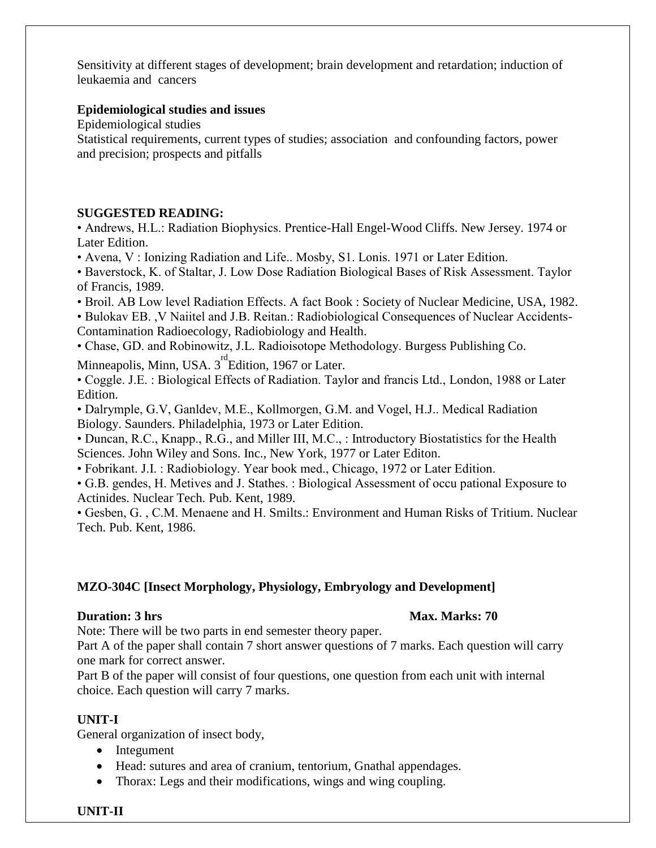Sensitivity at different stages of development; brain development and retardation; induction of leukaemia and cancers

#### **Epidemiological studies and issues**

Epidemiological studies

Statistical requirements, current types of studies; association and confounding factors, power and precision; prospects and pitfalls

#### **SUGGESTED READING:**

• Andrews, H.L.: Radiation Biophysics. Prentice-Hall Engel-Wood Cliffs. New Jersey. 1974 or Later Edition.

• Avena, V : Ionizing Radiation and Life.. Mosby, S1. Lonis. 1971 or Later Edition.

• Baverstock, K. of Staltar, J. Low Dose Radiation Biological Bases of Risk Assessment. Taylor of Francis, 1989.

• Broil. AB Low level Radiation Effects. A fact Book : Society of Nuclear Medicine, USA, 1982.

• Bulokav EB. ,V Naiitel and J.B. Reitan.: Radiobiological Consequences of Nuclear Accidents-Contamination Radioecology, Radiobiology and Health.

• Chase, GD. and Robinowitz, J.L. Radioisotope Methodology. Burgess Publishing Co.

Minneapolis, Minn, USA. 3<sup>rd</sup> Edition, 1967 or Later.

• Coggle. J.E. : Biological Effects of Radiation. Taylor and francis Ltd., London, 1988 or Later Edition.

• Dalrymple, G.V, Ganldev, M.E., Kollmorgen, G.M. and Vogel, H.J.. Medical Radiation Biology. Saunders. Philadelphia, 1973 or Later Edition.

• Duncan, R.C., Knapp., R.G., and Miller III, M.C., : Introductory Biostatistics for the Health Sciences. John Wiley and Sons. Inc., New York, 1977 or Later Editon.

• Fobrikant. J.I. : Radiobiology. Year book med., Chicago, 1972 or Later Edition.

• G.B. gendes, H. Metives and J. Stathes. : Biological Assessment of occu pational Exposure to Actinides. Nuclear Tech. Pub. Kent, 1989.

• Gesben, G. , C.M. Menaene and H. Smilts.: Environment and Human Risks of Tritium. Nuclear Tech. Pub. Kent, 1986.

# **MZO-304C [Insect Morphology, Physiology, Embryology and Development]**

#### **Duration: 3 hrs** Max. Marks: 70

Note: There will be two parts in end semester theory paper.

Part A of the paper shall contain 7 short answer questions of 7 marks. Each question will carry one mark for correct answer.

Part B of the paper will consist of four questions, one question from each unit with internal choice. Each question will carry 7 marks.

#### **UNIT-I**

General organization of insect body,

- Integument
- Head: sutures and area of cranium, tentorium, Gnathal appendages.
- Thorax: Legs and their modifications, wings and wing coupling.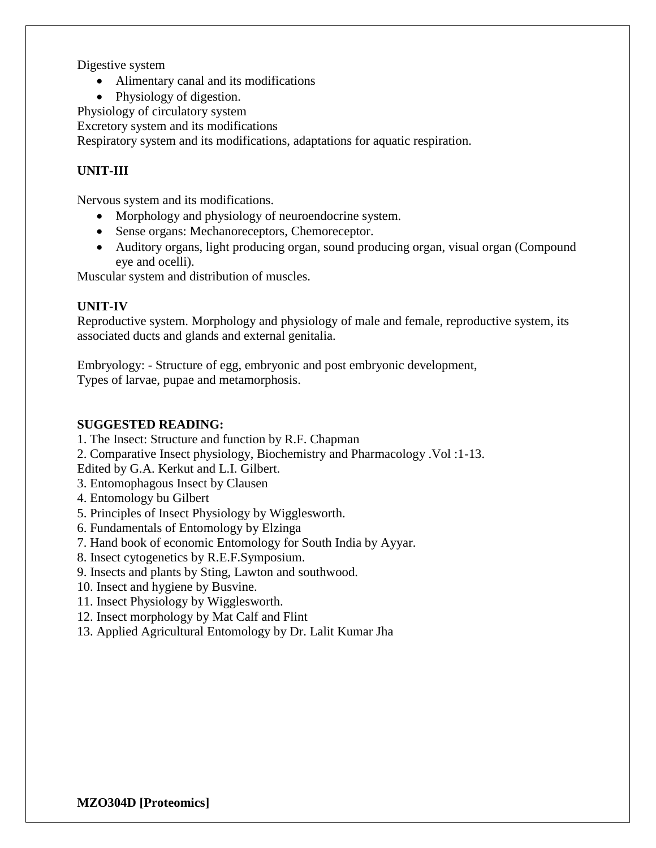Digestive system

- Alimentary canal and its modifications
- Physiology of digestion.

Physiology of circulatory system

Excretory system and its modifications

Respiratory system and its modifications, adaptations for aquatic respiration.

# **UNIT-III**

Nervous system and its modifications.

- Morphology and physiology of neuroendocrine system.
- Sense organs: Mechanoreceptors, Chemoreceptor.
- Auditory organs, light producing organ, sound producing organ, visual organ (Compound eye and ocelli).

Muscular system and distribution of muscles.

# **UNIT-IV**

Reproductive system. Morphology and physiology of male and female, reproductive system, its associated ducts and glands and external genitalia.

Embryology: - Structure of egg, embryonic and post embryonic development, Types of larvae, pupae and metamorphosis.

# **SUGGESTED READING:**

- 1. The Insect: Structure and function by R.F. Chapman
- 2. Comparative Insect physiology, Biochemistry and Pharmacology .Vol :1-13.

Edited by G.A. Kerkut and L.I. Gilbert.

- 3. Entomophagous Insect by Clausen
- 4. Entomology bu Gilbert
- 5. Principles of Insect Physiology by Wigglesworth.
- 6. Fundamentals of Entomology by Elzinga
- 7. Hand book of economic Entomology for South India by Ayyar.
- 8. Insect cytogenetics by R.E.F.Symposium.
- 9. Insects and plants by Sting, Lawton and southwood.
- 10. Insect and hygiene by Busvine.
- 11. Insect Physiology by Wigglesworth.
- 12. Insect morphology by Mat Calf and Flint
- 13. Applied Agricultural Entomology by Dr. Lalit Kumar Jha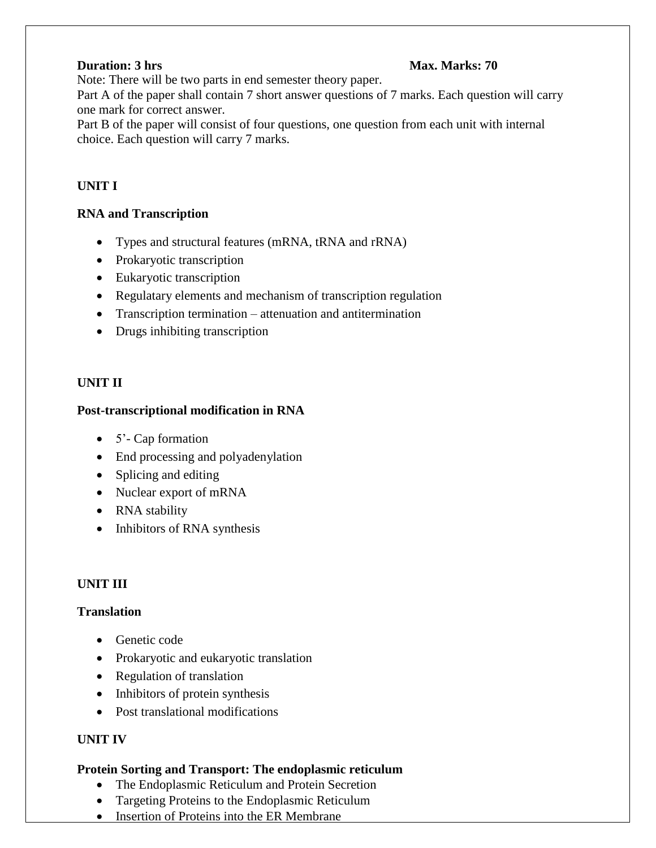## **Duration: 3 hrs** Max. Marks: 70

Note: There will be two parts in end semester theory paper.

Part A of the paper shall contain 7 short answer questions of 7 marks. Each question will carry one mark for correct answer.

Part B of the paper will consist of four questions, one question from each unit with internal choice. Each question will carry 7 marks.

# **UNIT I**

## **RNA and Transcription**

- Types and structural features (mRNA, tRNA and rRNA)
- Prokaryotic transcription
- Eukaryotic transcription
- Regulatary elements and mechanism of transcription regulation
- Transcription termination attenuation and antitermination
- Drugs inhibiting transcription

# **UNIT II**

#### **Post-transcriptional modification in RNA**

- 5'- Cap formation
- End processing and polyadenylation
- Splicing and editing
- Nuclear export of mRNA
- RNA stability
- Inhibitors of RNA synthesis

# **UNIT III**

#### **Translation**

- Genetic code
- Prokaryotic and eukaryotic translation
- Regulation of translation
- Inhibitors of protein synthesis
- Post translational modifications

# **UNIT IV**

#### **Protein Sorting and Transport: The endoplasmic reticulum**

- The Endoplasmic Reticulum and Protein Secretion
- Targeting Proteins to the Endoplasmic Reticulum
- Insertion of Proteins into the ER Membrane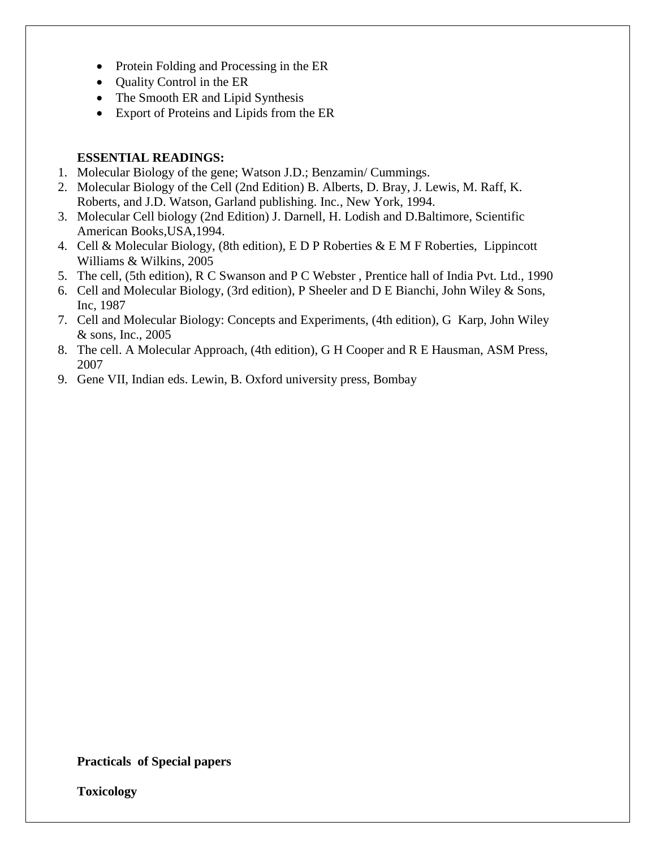- Protein Folding and Processing in the ER
- Quality Control in the ER
- The Smooth ER and Lipid Synthesis
- Export of Proteins and Lipids from the ER

## **ESSENTIAL READINGS:**

- 1. Molecular Biology of the gene; Watson J.D.; Benzamin/ Cummings.
- 2. Molecular Biology of the Cell (2nd Edition) B. Alberts, D. Bray, J. Lewis, M. Raff, K. Roberts, and J.D. Watson, Garland publishing. Inc., New York, 1994.
- 3. Molecular Cell biology (2nd Edition) J. Darnell, H. Lodish and D.Baltimore, Scientific American Books,USA,1994.
- 4. Cell & Molecular Biology, (8th edition), E D P Roberties & E M F Roberties, Lippincott Williams & Wilkins, 2005
- 5. The cell, (5th edition), R C Swanson and P C Webster , Prentice hall of India Pvt. Ltd., 1990
- 6. Cell and Molecular Biology, (3rd edition), P Sheeler and D E Bianchi, John Wiley & Sons, Inc, 1987
- 7. Cell and Molecular Biology: Concepts and Experiments, (4th edition), G Karp, John Wiley & sons, Inc., 2005
- 8. The cell. A Molecular Approach, (4th edition), G H Cooper and R E Hausman, ASM Press, 2007
- 9. Gene VII, Indian eds. Lewin, B. Oxford university press, Bombay

**Practicals of Special papers**

**Toxicology**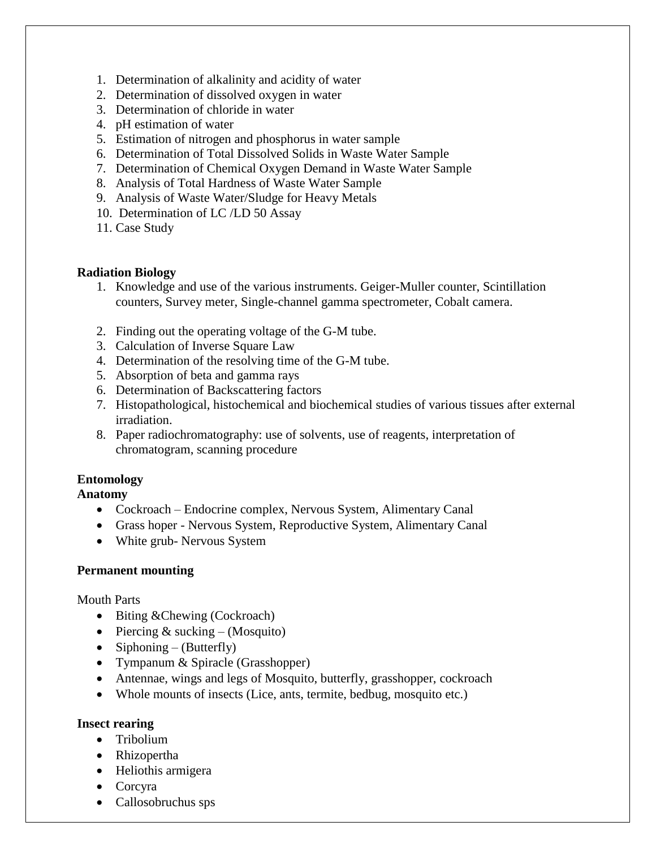- 1. Determination of alkalinity and acidity of water
- 2. Determination of dissolved oxygen in water
- 3. Determination of chloride in water
- 4. pH estimation of water
- 5. Estimation of nitrogen and phosphorus in water sample
- 6. Determination of Total Dissolved Solids in Waste Water Sample
- 7. Determination of Chemical Oxygen Demand in Waste Water Sample
- 8. Analysis of Total Hardness of Waste Water Sample
- 9. Analysis of Waste Water/Sludge for Heavy Metals
- 10. Determination of LC /LD 50 Assay
- 11. Case Study

#### **Radiation Biology**

- 1. Knowledge and use of the various instruments. Geiger-Muller counter, Scintillation counters, Survey meter, Single-channel gamma spectrometer, Cobalt camera.
- 2. Finding out the operating voltage of the G-M tube.
- 3. Calculation of Inverse Square Law
- 4. Determination of the resolving time of the G-M tube.
- 5. Absorption of beta and gamma rays
- 6. Determination of Backscattering factors
- 7. Histopathological, histochemical and biochemical studies of various tissues after external irradiation.
- 8. Paper radiochromatography: use of solvents, use of reagents, interpretation of chromatogram, scanning procedure

# **Entomology**

**Anatomy**

- Cockroach Endocrine complex, Nervous System, Alimentary Canal
- Grass hoper Nervous System, Reproductive System, Alimentary Canal
- White grub- Nervous System

#### **Permanent mounting**

Mouth Parts

- Biting & Chewing (Cockroach)
- Piercing  $&$  sucking (Mosquito)
- Siphoning (Butterfly)
- Tympanum & Spiracle (Grasshopper)
- Antennae, wings and legs of Mosquito, butterfly, grasshopper, cockroach
- Whole mounts of insects (Lice, ants, termite, bedbug, mosquito etc.)

#### **Insect rearing**

- Tribolium
- Rhizopertha
- Heliothis armigera
- Corcyra
- Callosobruchus sps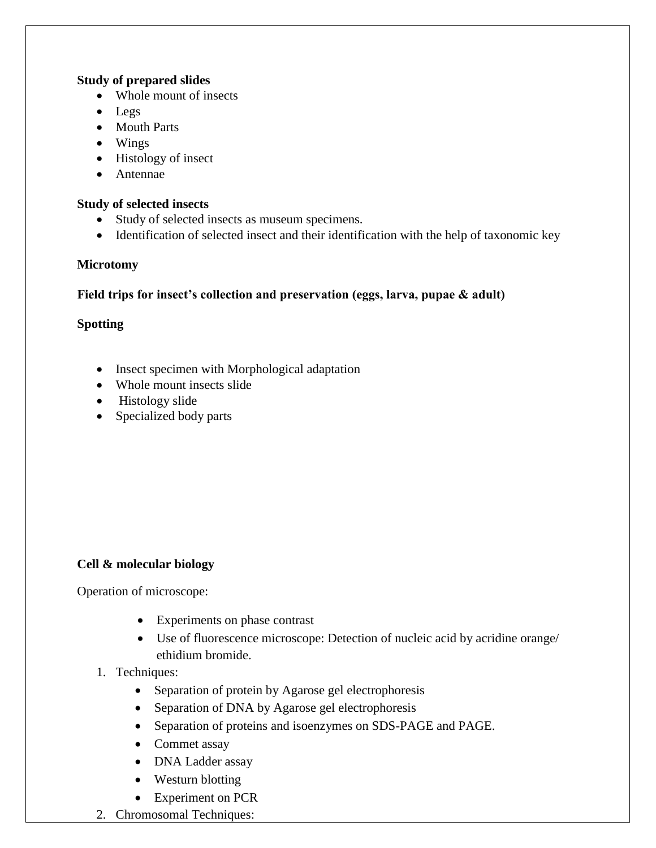## **Study of prepared slides**

- Whole mount of insects
- Legs
- Mouth Parts
- Wings
- Histology of insect
- Antennae

## **Study of selected insects**

- Study of selected insects as museum specimens.
- Identification of selected insect and their identification with the help of taxonomic key

# **Microtomy**

**Field trips for insect's collection and preservation (eggs, larva, pupae & adult)**

# **Spotting**

- Insect specimen with Morphological adaptation
- Whole mount insects slide
- Histology slide
- Specialized body parts

# **Cell & molecular biology**

Operation of microscope:

- Experiments on phase contrast
- Use of fluorescence microscope: Detection of nucleic acid by acridine orange/ ethidium bromide.
- 1. Techniques:
	- Separation of protein by Agarose gel electrophoresis
	- Separation of DNA by Agarose gel electrophoresis
	- Separation of proteins and isoenzymes on SDS-PAGE and PAGE.
	- Commet assay
	- DNA Ladder assay
	- Westurn blotting
	- Experiment on PCR
- 2. Chromosomal Techniques: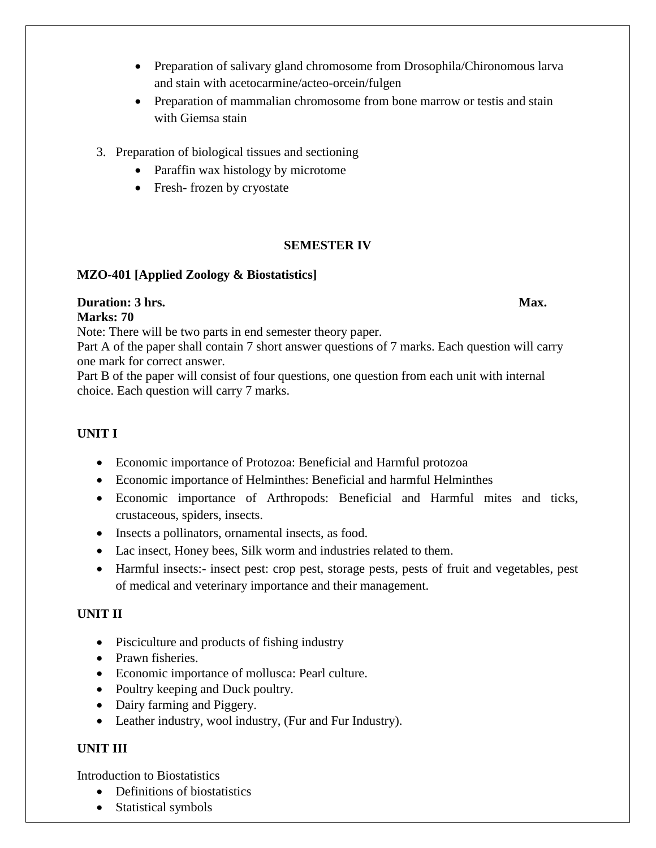- Preparation of salivary gland chromosome from Drosophila/Chironomous larva and stain with acetocarmine/acteo-orcein/fulgen
- Preparation of mammalian chromosome from bone marrow or testis and stain with Giemsa stain
- 3. Preparation of biological tissues and sectioning
	- Paraffin wax histology by microtome
	- Fresh-frozen by cryostate

# **SEMESTER IV**

# **MZO-401 [Applied Zoology & Biostatistics]**

# **Duration: 3 hrs.** Max. **Max.** Max. **Max. Max. Max. Max. Max. Max. Max. Max. Max. Max. Max. Max. Max. Max. Max. Max. Max. Max. Max. Max. Max. Max. Max. Max. Max. Max. Max**

## **Marks: 70**

Note: There will be two parts in end semester theory paper.

Part A of the paper shall contain 7 short answer questions of 7 marks. Each question will carry one mark for correct answer.

Part B of the paper will consist of four questions, one question from each unit with internal choice. Each question will carry 7 marks.

# **UNIT I**

- Economic importance of Protozoa: Beneficial and Harmful protozoa
- Economic importance of Helminthes: Beneficial and harmful Helminthes
- Economic importance of Arthropods: Beneficial and Harmful mites and ticks, crustaceous, spiders, insects.
- Insects a pollinators, ornamental insects, as food.
- Lac insect, Honey bees, Silk worm and industries related to them.
- Harmful insects:- insect pest: crop pest, storage pests, pests of fruit and vegetables, pest of medical and veterinary importance and their management.

# **UNIT II**

- Pisciculture and products of fishing industry
- Prawn fisheries.
- Economic importance of mollusca: Pearl culture.
- Poultry keeping and Duck poultry.
- Dairy farming and Piggery.
- Leather industry, wool industry, (Fur and Fur Industry).

# **UNIT III**

Introduction to Biostatistics

- Definitions of biostatistics
- Statistical symbols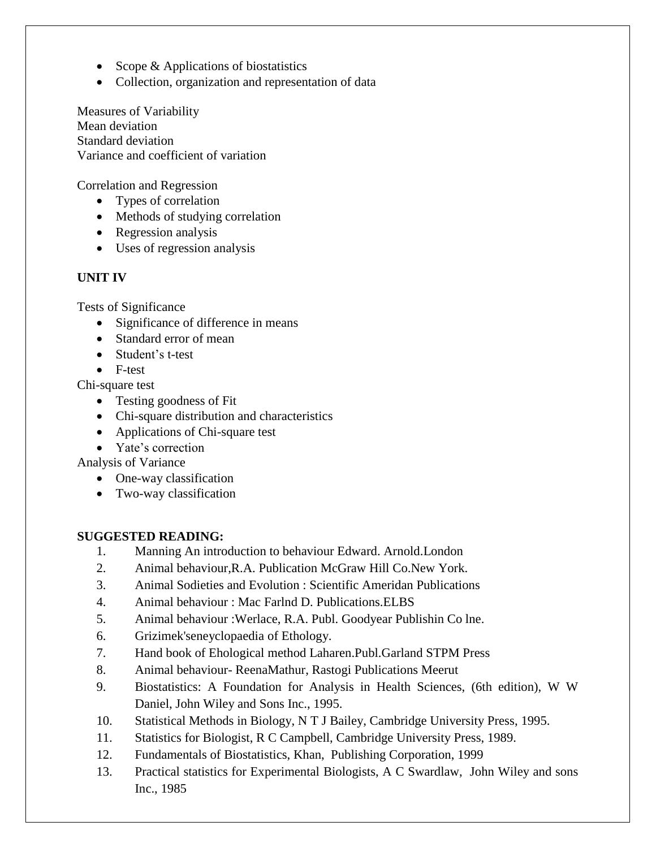- Scope & Applications of biostatistics
- Collection, organization and representation of data

Measures of Variability Mean deviation Standard deviation Variance and coefficient of variation

Correlation and Regression

- Types of correlation
- Methods of studying correlation
- Regression analysis
- Uses of regression analysis

## **UNIT IV**

Tests of Significance

- Significance of difference in means
- Standard error of mean
- Student's t-test
- F-test

Chi-square test

- Testing goodness of Fit
- Chi-square distribution and characteristics
- Applications of Chi-square test
- Yate's correction

Analysis of Variance

- One-way classification
- Two-way classification

#### **SUGGESTED READING:**

- 1. Manning An introduction to behaviour Edward. Arnold.London
- 2. Animal behaviour,R.A. Publication McGraw Hill Co.New York.
- 3. Animal Sodieties and Evolution : Scientific Ameridan Publications
- 4. Animal behaviour : Mac Farlnd D. Publications.ELBS
- 5. Animal behaviour :Werlace, R.A. Publ. Goodyear Publishin Co lne.
- 6. Grizimek'seneyclopaedia of Ethology.
- 7. Hand book of Ehological method Laharen.Publ.Garland STPM Press
- 8. Animal behaviour- ReenaMathur, Rastogi Publications Meerut
- 9. Biostatistics: A Foundation for Analysis in Health Sciences, (6th edition), W W Daniel, John Wiley and Sons Inc., 1995.
- 10. Statistical Methods in Biology, N T J Bailey, Cambridge University Press, 1995.
- 11. Statistics for Biologist, R C Campbell, Cambridge University Press, 1989.
- 12. Fundamentals of Biostatistics, Khan, Publishing Corporation, 1999
- 13. Practical statistics for Experimental Biologists, A C Swardlaw, John Wiley and sons Inc., 1985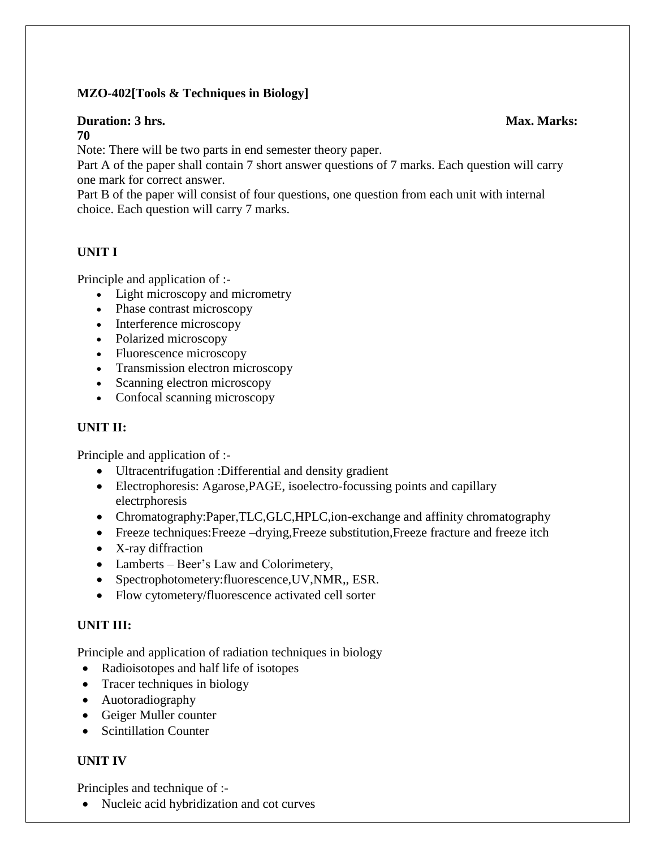# **MZO-402[Tools & Techniques in Biology]**

#### **Duration: 3 hrs.** Max. Marks: **Max. Marks: Max. Marks:**  $\mathbb{R}^n$ **70**

Note: There will be two parts in end semester theory paper.

Part A of the paper shall contain 7 short answer questions of 7 marks. Each question will carry one mark for correct answer.

Part B of the paper will consist of four questions, one question from each unit with internal choice. Each question will carry 7 marks.

# **UNIT I**

Principle and application of :-

- Light microscopy and micrometry
- Phase contrast microscopy
- Interference microscopy
- Polarized microscopy
- Fluorescence microscopy
- Transmission electron microscopy
- Scanning electron microscopy
- Confocal scanning microscopy

# **UNIT II:**

Principle and application of :-

- Ultracentrifugation :Differential and density gradient
- Electrophoresis: Agarose,PAGE, isoelectro-focussing points and capillary electrphoresis
- Chromatography:Paper,TLC,GLC,HPLC,ion-exchange and affinity chromatography
- Freeze techniques:Freeze –drying,Freeze substitution,Freeze fracture and freeze itch
- X-ray diffraction
- Lamberts Beer's Law and Colorimetery,
- Spectrophotometery:fluorescence,UV,NMR,, ESR.
- Flow cytometery/fluorescence activated cell sorter

# **UNIT III:**

Principle and application of radiation techniques in biology

- Radioisotopes and half life of isotopes
- Tracer techniques in biology
- Auotoradiography
- Geiger Muller counter
- Scintillation Counter

# **UNIT IV**

Principles and technique of :-

Nucleic acid hybridization and cot curves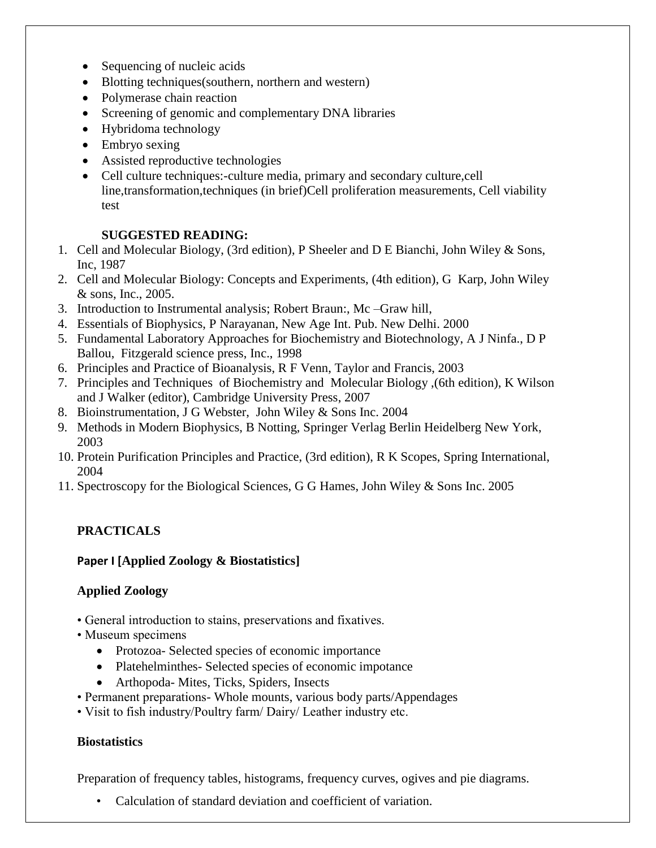- Sequencing of nucleic acids
- Blotting techniques(southern, northern and western)
- Polymerase chain reaction
- Screening of genomic and complementary DNA libraries
- Hybridoma technology
- Embryo sexing
- Assisted reproductive technologies
- Cell culture techniques:-culture media, primary and secondary culture,cell line,transformation,techniques (in brief)Cell proliferation measurements, Cell viability test

# **SUGGESTED READING:**

- 1. Cell and Molecular Biology, (3rd edition), P Sheeler and D E Bianchi, John Wiley & Sons, Inc, 1987
- 2. Cell and Molecular Biology: Concepts and Experiments, (4th edition), G Karp, John Wiley & sons, Inc., 2005.
- 3. Introduction to Instrumental analysis; Robert Braun:, Mc –Graw hill,
- 4. Essentials of Biophysics, P Narayanan, New Age Int. Pub. New Delhi. 2000
- 5. Fundamental Laboratory Approaches for Biochemistry and Biotechnology, A J Ninfa., D P Ballou, Fitzgerald science press, Inc., 1998
- 6. Principles and Practice of Bioanalysis, R F Venn, Taylor and Francis, 2003
- 7. Principles and Techniques of Biochemistry and Molecular Biology ,(6th edition), K Wilson and J Walker (editor), Cambridge University Press, 2007
- 8. Bioinstrumentation, J G Webster, John Wiley & Sons Inc. 2004
- 9. Methods in Modern Biophysics, B Notting, Springer Verlag Berlin Heidelberg New York, 2003
- 10. Protein Purification Principles and Practice, (3rd edition), R K Scopes, Spring International, 2004
- 11. Spectroscopy for the Biological Sciences, G G Hames, John Wiley & Sons Inc. 2005

# **PRACTICALS**

# **Paper I [Applied Zoology & Biostatistics]**

# **Applied Zoology**

- General introduction to stains, preservations and fixatives.
- Museum specimens
	- Protozoa- Selected species of economic importance
	- Platehelminthes- Selected species of economic impotance
	- Arthopoda- Mites, Ticks, Spiders, Insects
- Permanent preparations- Whole mounts, various body parts/Appendages
- Visit to fish industry/Poultry farm/ Dairy/ Leather industry etc.

# **Biostatistics**

Preparation of frequency tables, histograms, frequency curves, ogives and pie diagrams.

• Calculation of standard deviation and coefficient of variation.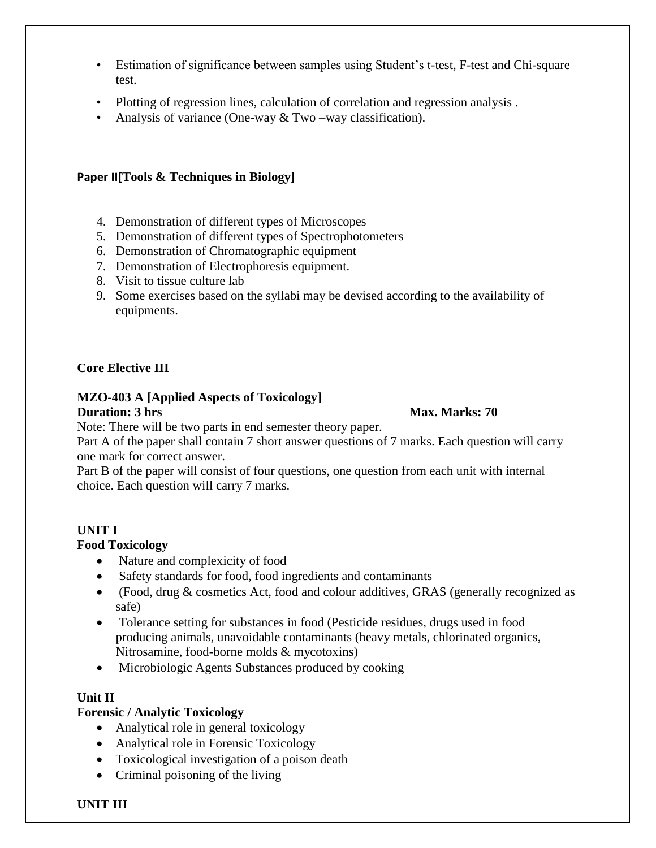- Estimation of significance between samples using Student's t-test, F-test and Chi-square test.
- Plotting of regression lines, calculation of correlation and regression analysis .
- Analysis of variance (One-way  $&$  Two –way classification).

# **Paper II[Tools & Techniques in Biology]**

- 4. Demonstration of different types of Microscopes
- 5. Demonstration of different types of Spectrophotometers
- 6. Demonstration of Chromatographic equipment
- 7. Demonstration of Electrophoresis equipment.
- 8. Visit to tissue culture lab
- 9. Some exercises based on the syllabi may be devised according to the availability of equipments.

# **Core Elective III**

# **MZO-403 A [Applied Aspects of Toxicology] Duration: 3 hrs** Max. Marks: 70

Note: There will be two parts in end semester theory paper.

Part A of the paper shall contain 7 short answer questions of 7 marks. Each question will carry one mark for correct answer.

Part B of the paper will consist of four questions, one question from each unit with internal choice. Each question will carry 7 marks.

# **UNIT I**

# **Food Toxicology**

- Nature and complexicity of food
- Safety standards for food, food ingredients and contaminants
- (Food, drug & cosmetics Act, food and colour additives, GRAS (generally recognized as safe)
- Tolerance setting for substances in food (Pesticide residues, drugs used in food producing animals, unavoidable contaminants (heavy metals, chlorinated organics, Nitrosamine, food-borne molds & mycotoxins)
- Microbiologic Agents Substances produced by cooking

# **Unit II**

# **Forensic / Analytic Toxicology**

- Analytical role in general toxicology
- Analytical role in Forensic Toxicology
- Toxicological investigation of a poison death
- Criminal poisoning of the living

**UNIT III**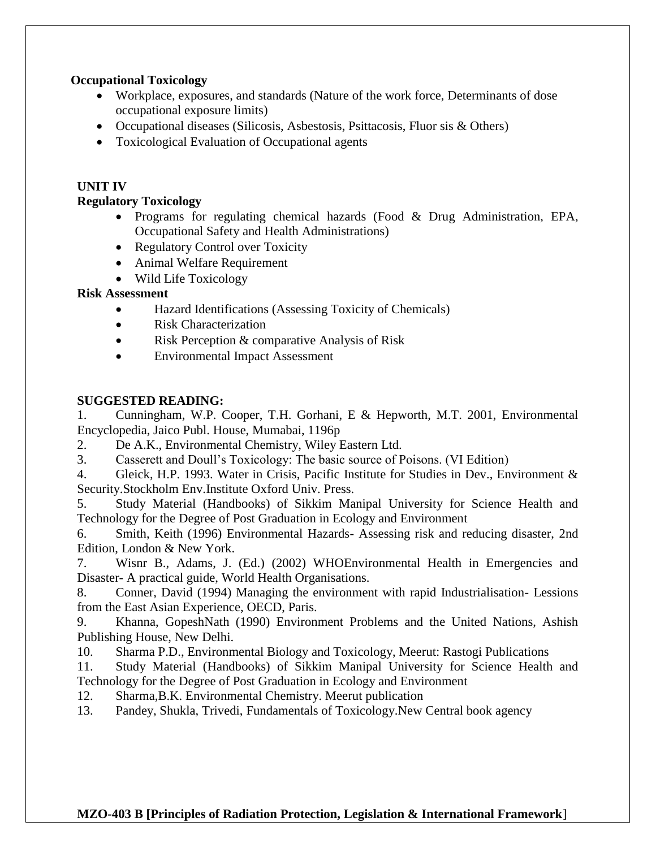# **Occupational Toxicology**

- Workplace, exposures, and standards (Nature of the work force, Determinants of dose occupational exposure limits)
- Occupational diseases (Silicosis, Asbestosis, Psittacosis, Fluor sis & Others)
- Toxicological Evaluation of Occupational agents

# **UNIT IV**

# **Regulatory Toxicology**

- Programs for regulating chemical hazards (Food & Drug Administration, EPA, Occupational Safety and Health Administrations)
- Regulatory Control over Toxicity
- Animal Welfare Requirement
- Wild Life Toxicology

# **Risk Assessment**

- Hazard Identifications (Assessing Toxicity of Chemicals)
- Risk Characterization
- Risk Perception & comparative Analysis of Risk
- Environmental Impact Assessment

# **SUGGESTED READING:**

1. Cunningham, W.P. Cooper, T.H. Gorhani, E & Hepworth, M.T. 2001, Environmental Encyclopedia, Jaico Publ. House, Mumabai, 1196p

2. De A.K., Environmental Chemistry, Wiley Eastern Ltd.

3. Casserett and Doull's Toxicology: The basic source of Poisons. (VI Edition)

4. Gleick, H.P. 1993. Water in Crisis, Pacific Institute for Studies in Dev., Environment & Security.Stockholm Env.Institute Oxford Univ. Press.

5. Study Material (Handbooks) of Sikkim Manipal University for Science Health and Technology for the Degree of Post Graduation in Ecology and Environment

6. Smith, Keith (1996) Environmental Hazards- Assessing risk and reducing disaster, 2nd Edition, London & New York.

7. Wisnr B., Adams, J. (Ed.) (2002) WHOEnvironmental Health in Emergencies and Disaster- A practical guide, World Health Organisations.

8. Conner, David (1994) Managing the environment with rapid Industrialisation- Lessions from the East Asian Experience, OECD, Paris.

9. Khanna, GopeshNath (1990) Environment Problems and the United Nations, Ashish Publishing House, New Delhi.

10. Sharma P.D., Environmental Biology and Toxicology, Meerut: Rastogi Publications

11. Study Material (Handbooks) of Sikkim Manipal University for Science Health and Technology for the Degree of Post Graduation in Ecology and Environment

12. Sharma,B.K. Environmental Chemistry. Meerut publication

13. Pandey, Shukla, Trivedi, Fundamentals of Toxicology.New Central book agency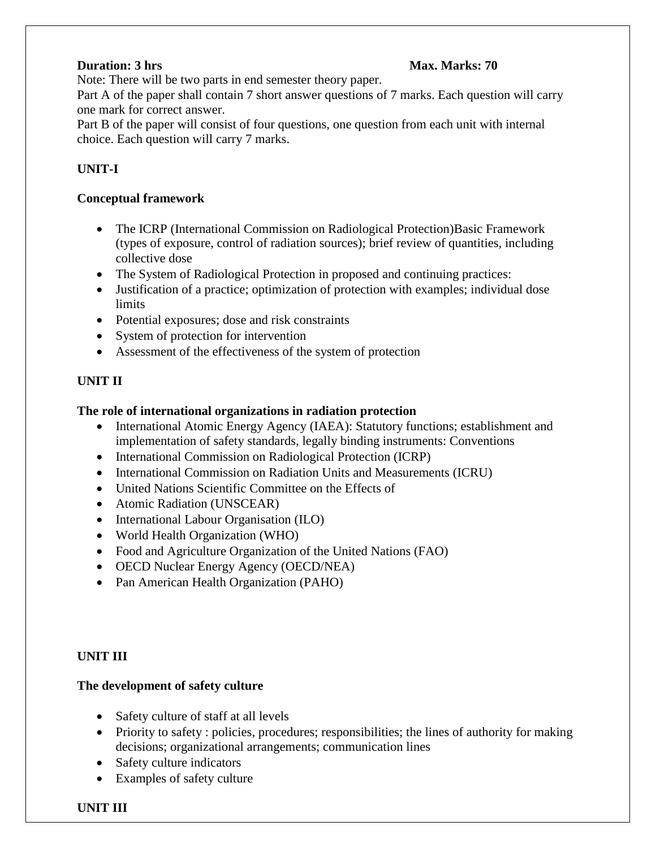## **Duration: 3 hrs** Max. Marks: 70

Note: There will be two parts in end semester theory paper.

Part A of the paper shall contain 7 short answer questions of 7 marks. Each question will carry one mark for correct answer.

Part B of the paper will consist of four questions, one question from each unit with internal choice. Each question will carry 7 marks.

# **UNIT-I**

## **Conceptual framework**

- The ICRP (International Commission on Radiological Protection)Basic Framework (types of exposure, control of radiation sources); brief review of quantities, including collective dose
- The System of Radiological Protection in proposed and continuing practices:
- Justification of a practice; optimization of protection with examples; individual dose limits
- Potential exposures; dose and risk constraints
- System of protection for intervention
- Assessment of the effectiveness of the system of protection

# **UNIT II**

#### **The role of international organizations in radiation protection**

- International Atomic Energy Agency (IAEA): Statutory functions; establishment and implementation of safety standards, legally binding instruments: Conventions
- International Commission on Radiological Protection (ICRP)
- International Commission on Radiation Units and Measurements (ICRU)
- United Nations Scientific Committee on the Effects of
- Atomic Radiation (UNSCEAR)
- International Labour Organisation (ILO)
- World Health Organization (WHO)
- Food and Agriculture Organization of the United Nations (FAO)
- OECD Nuclear Energy Agency (OECD/NEA)
- Pan American Health Organization (PAHO)

#### **UNIT III**

#### **The development of safety culture**

- Safety culture of staff at all levels
- Priority to safety : policies, procedures; responsibilities; the lines of authority for making decisions; organizational arrangements; communication lines
- Safety culture indicators
- Examples of safety culture

#### **UNIT III**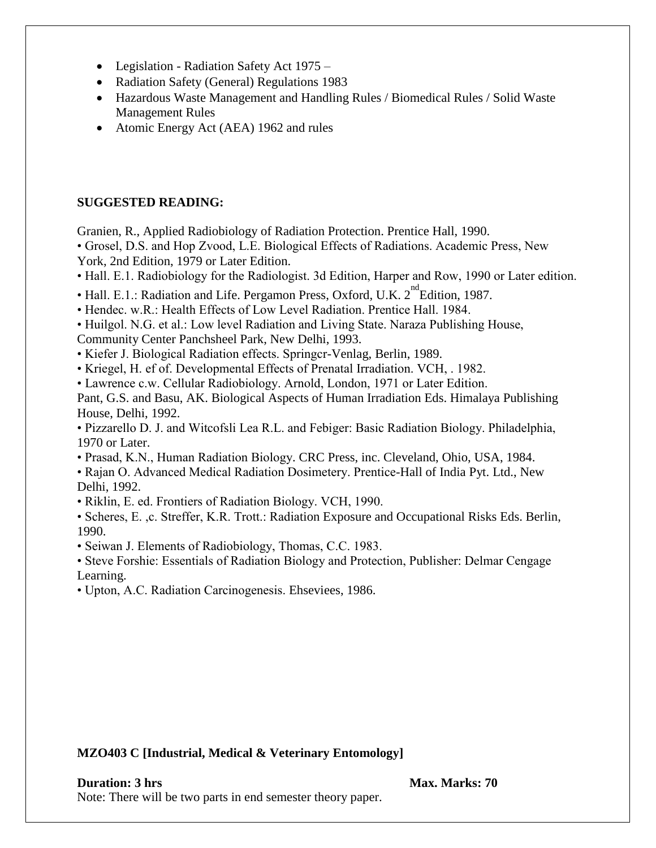- Legislation Radiation Safety Act 1975 –
- Radiation Safety (General) Regulations 1983
- Hazardous Waste Management and Handling Rules / Biomedical Rules / Solid Waste Management Rules
- Atomic Energy Act (AEA) 1962 and rules

# **SUGGESTED READING:**

Granien, R., Applied Radiobiology of Radiation Protection. Prentice Hall, 1990.

• Grosel, D.S. and Hop Zvood, L.E. Biological Effects of Radiations. Academic Press, New York, 2nd Edition, 1979 or Later Edition.

• Hall. E.1. Radiobiology for the Radiologist. 3d Edition, Harper and Row, 1990 or Later edition.

- Hall. E.1.: Radiation and Life. Pergamon Press, Oxford, U.K.  $2^{nd}$ Edition, 1987.
- Hendec. w.R.: Health Effects of Low Level Radiation. Prentice Hall. 1984.
- Huilgol. N.G. et al.: Low level Radiation and Living State. Naraza Publishing House,

Community Center Panchsheel Park, New Delhi, 1993.

• Kiefer J. Biological Radiation effects. Springcr-Venlag, Berlin, 1989.

- Kriegel, H. ef of. Developmental Effects of Prenatal Irradiation. VCH, . 1982.
- Lawrence c.w. Cellular Radiobiology. Arnold, London, 1971 or Later Edition.

Pant, G.S. and Basu, AK. Biological Aspects of Human Irradiation Eds. Himalaya Publishing House, Delhi, 1992.

• Pizzarello D. J. and Witcofsli Lea R.L. and Febiger: Basic Radiation Biology. Philadelphia, 1970 or Later.

• Prasad, K.N., Human Radiation Biology. CRC Press, inc. Cleveland, Ohio, USA, 1984.

• Rajan O. Advanced Medical Radiation Dosimetery. Prentice-Hall of India Pyt. Ltd., New Delhi, 1992.

• Riklin, E. ed. Frontiers of Radiation Biology. VCH, 1990.

• Scheres, E. ,c. Streffer, K.R. Trott.: Radiation Exposure and Occupational Risks Eds. Berlin, 1990.

• Seiwan J. Elements of Radiobiology, Thomas, C.C. 1983.

• Steve Forshie: Essentials of Radiation Biology and Protection, Publisher: Delmar Cengage Learning.

• Upton, A.C. Radiation Carcinogenesis. Ehseviees, 1986.

# **MZO403 C [Industrial, Medical & Veterinary Entomology]**

**Duration: 3 hrs** Max. Marks: 70

Note: There will be two parts in end semester theory paper.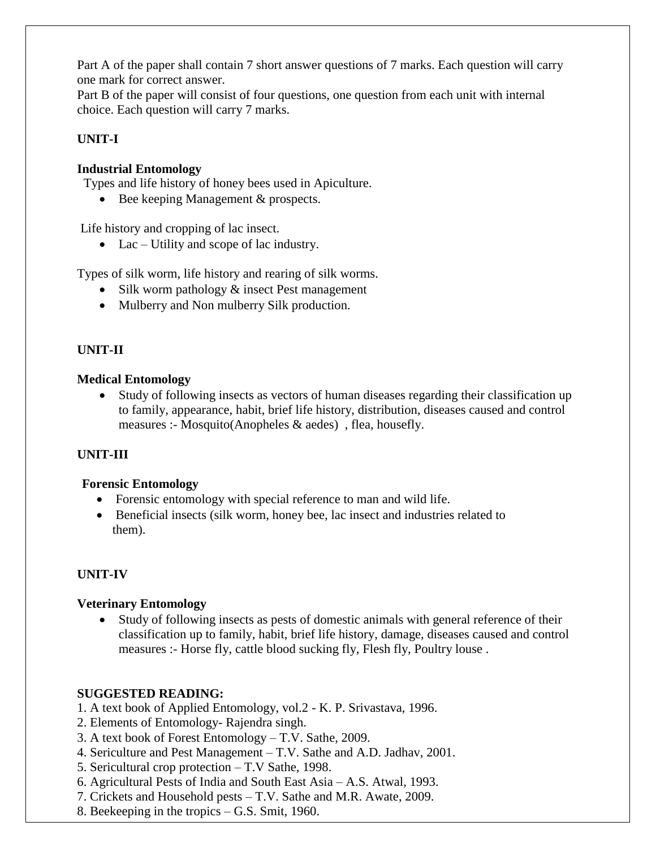Part A of the paper shall contain 7 short answer questions of 7 marks. Each question will carry one mark for correct answer.

Part B of the paper will consist of four questions, one question from each unit with internal choice. Each question will carry 7 marks.

# **UNIT-I**

# **Industrial Entomology**

Types and life history of honey bees used in Apiculture.

• Bee keeping Management & prospects.

Life history and cropping of lac insect.

• Lac – Utility and scope of lac industry.

Types of silk worm, life history and rearing of silk worms.

- Silk worm pathology & insect Pest management
- Mulberry and Non mulberry Silk production.

# **UNIT-II**

# **Medical Entomology**

 Study of following insects as vectors of human diseases regarding their classification up to family, appearance, habit, brief life history, distribution, diseases caused and control measures :- Mosquito(Anopheles & aedes) , flea, housefly.

# **UNIT-III**

# **Forensic Entomology**

- Forensic entomology with special reference to man and wild life.
- Beneficial insects (silk worm, honey bee, lac insect and industries related to them).

# **UNIT-IV**

# **Veterinary Entomology**

 Study of following insects as pests of domestic animals with general reference of their classification up to family, habit, brief life history, damage, diseases caused and control measures :- Horse fly, cattle blood sucking fly, Flesh fly, Poultry louse .

# **SUGGESTED READING:**

- 1. A text book of Applied Entomology, vol.2 K. P. Srivastava, 1996.
- 2. Elements of Entomology- Rajendra singh.
- 3. A text book of Forest Entomology T.V. Sathe, 2009.
- 4. Sericulture and Pest Management T.V. Sathe and A.D. Jadhav, 2001.
- 5. Sericultural crop protection T.V Sathe, 1998.
- 6. Agricultural Pests of India and South East Asia A.S. Atwal, 1993.
- 7. Crickets and Household pests T.V. Sathe and M.R. Awate, 2009.
- 8. Beekeeping in the tropics G.S. Smit, 1960.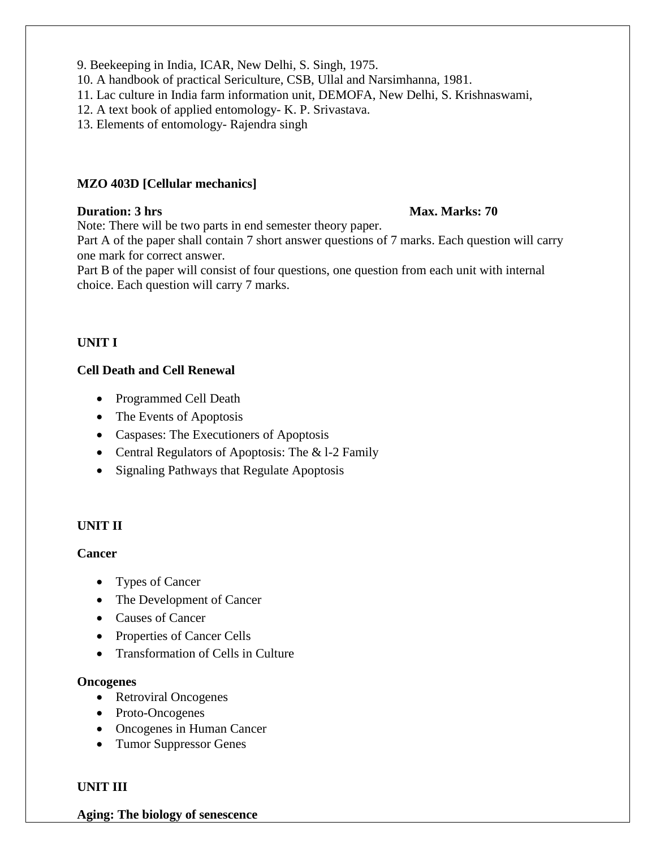- 9. Beekeeping in India, ICAR, New Delhi, S. Singh, 1975.
- 10. A handbook of practical Sericulture, CSB, Ullal and Narsimhanna, 1981.
- 11. Lac culture in India farm information unit, DEMOFA, New Delhi, S. Krishnaswami,
- 12. A text book of applied entomology- K. P. Srivastava.
- 13. Elements of entomology- Rajendra singh

# **MZO 403D [Cellular mechanics]**

# **Duration: 3 hrs** Max. Marks: 70

Note: There will be two parts in end semester theory paper.

Part A of the paper shall contain 7 short answer questions of 7 marks. Each question will carry one mark for correct answer.

Part B of the paper will consist of four questions, one question from each unit with internal choice. Each question will carry 7 marks.

# **UNIT I**

# **Cell Death and Cell Renewal**

- Programmed Cell Death
- The Events of Apoptosis
- Caspases: The Executioners of Apoptosis
- Central Regulators of Apoptosis: The & 1-2 Family
- Signaling Pathways that Regulate Apoptosis

# **UNIT II**

# **Cancer**

- Types of Cancer
- The Development of Cancer
- Causes of Cancer
- Properties of Cancer Cells
- Transformation of Cells in Culture

# **Oncogenes**

- Retroviral Oncogenes
- Proto-Oncogenes
- Oncogenes in Human Cancer
- Tumor Suppressor Genes

# **UNIT III**

#### **Aging: The biology of senescence**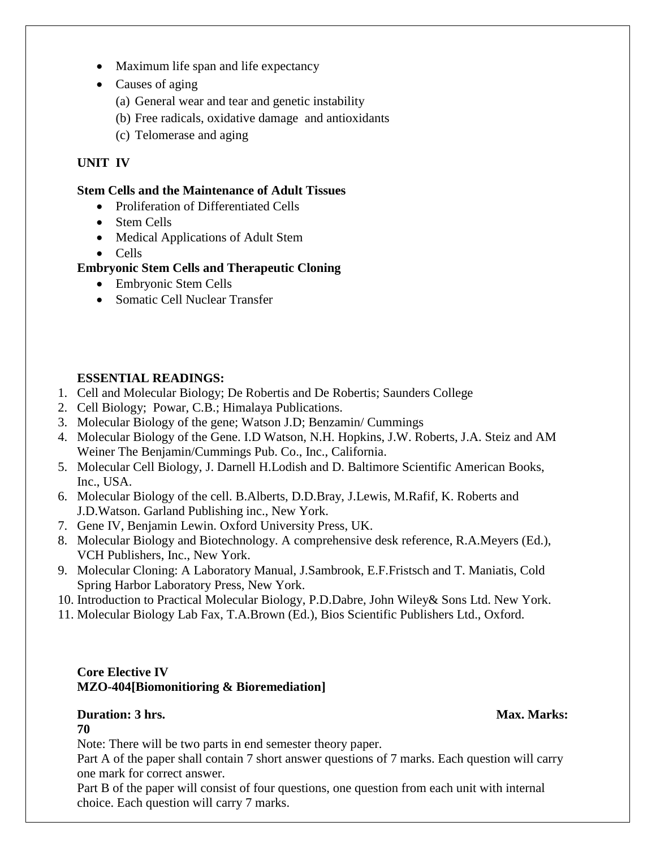- Maximum life span and life expectancy
- Causes of aging
	- (a) General wear and tear and genetic instability
	- (b) Free radicals, oxidative damage and antioxidants
	- (c) Telomerase and aging

## **UNIT IV**

#### **Stem Cells and the Maintenance of Adult Tissues**

- Proliferation of Differentiated Cells
- Stem Cells
- Medical Applications of Adult Stem
- Cells

# **Embryonic Stem Cells and Therapeutic Cloning**

- Embryonic Stem Cells
- Somatic Cell Nuclear Transfer

## **ESSENTIAL READINGS:**

- 1. Cell and Molecular Biology; De Robertis and De Robertis; Saunders College
- 2. Cell Biology; Powar, C.B.; Himalaya Publications.
- 3. Molecular Biology of the gene; Watson J.D; Benzamin/ Cummings
- 4. Molecular Biology of the Gene. I.D Watson, N.H. Hopkins, J.W. Roberts, J.A. Steiz and AM Weiner The Benjamin/Cummings Pub. Co., Inc., California.
- 5. Molecular Cell Biology, J. Darnell H.Lodish and D. Baltimore Scientific American Books, Inc., USA.
- 6. Molecular Biology of the cell. B.Alberts, D.D.Bray, J.Lewis, M.Rafif, K. Roberts and J.D.Watson. Garland Publishing inc., New York.
- 7. Gene IV, Benjamin Lewin. Oxford University Press, UK.
- 8. Molecular Biology and Biotechnology. A comprehensive desk reference, R.A.Meyers (Ed.), VCH Publishers, Inc., New York.
- 9. Molecular Cloning: A Laboratory Manual, J.Sambrook, E.F.Fristsch and T. Maniatis, Cold Spring Harbor Laboratory Press, New York.
- 10. Introduction to Practical Molecular Biology, P.D.Dabre, John Wiley& Sons Ltd. New York.
- 11. Molecular Biology Lab Fax, T.A.Brown (Ed.), Bios Scientific Publishers Ltd., Oxford.

# **Core Elective IV MZO-404[Biomonitioring & Bioremediation]**

# **Duration: 3 hrs.** Max. Marks: **Max. Marks:**  $\mathbb{R}^n$

**70**

Note: There will be two parts in end semester theory paper.

Part A of the paper shall contain 7 short answer questions of 7 marks. Each question will carry one mark for correct answer.

Part B of the paper will consist of four questions, one question from each unit with internal choice. Each question will carry 7 marks.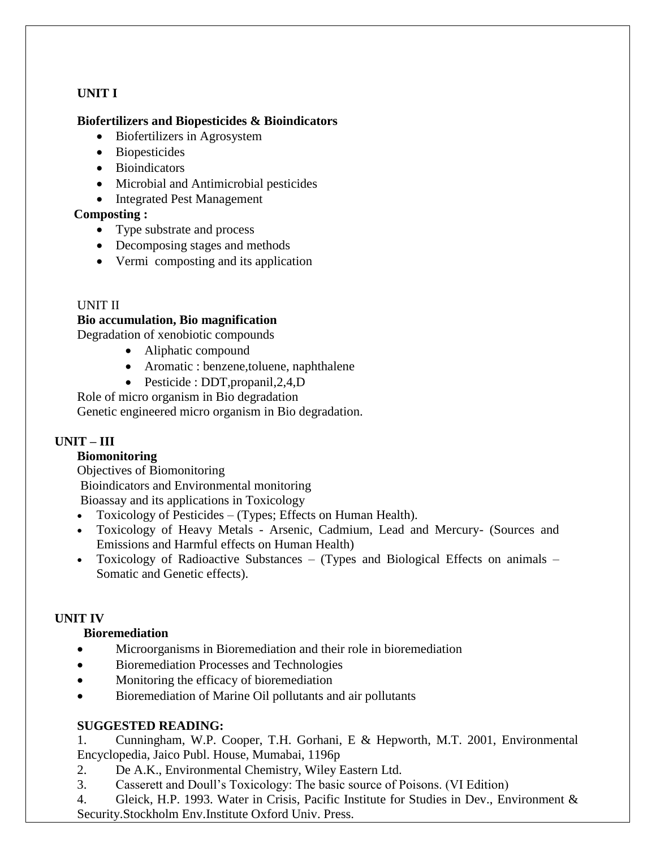# **UNIT I**

## **Biofertilizers and Biopesticides & Bioindicators**

- Biofertilizers in Agrosystem
- Biopesticides
- Bioindicators
- Microbial and Antimicrobial pesticides
- Integrated Pest Management

## **Composting :**

- Type substrate and process
- Decomposing stages and methods
- Vermi composting and its application

#### UNIT II

#### **Bio accumulation, Bio magnification**

Degradation of xenobiotic compounds

- Aliphatic compound
- Aromatic : benzene,toluene, naphthalene
- Pesticide : DDT, propanil, 2,4, D

Role of micro organism in Bio degradation

Genetic engineered micro organism in Bio degradation.

# **UNIT – III**

#### **Biomonitoring**

Objectives of Biomonitoring

Bioindicators and Environmental monitoring

Bioassay and its applications in Toxicology

- Toxicology of Pesticides (Types; Effects on Human Health).
- Toxicology of Heavy Metals Arsenic, Cadmium, Lead and Mercury- (Sources and Emissions and Harmful effects on Human Health)
- Toxicology of Radioactive Substances (Types and Biological Effects on animals Somatic and Genetic effects).

# **UNIT IV**

# **Bioremediation**

- Microorganisms in Bioremediation and their role in bioremediation
- Bioremediation Processes and Technologies
- Monitoring the efficacy of bioremediation
- Bioremediation of Marine Oil pollutants and air pollutants

#### **SUGGESTED READING:**

1. Cunningham, W.P. Cooper, T.H. Gorhani, E & Hepworth, M.T. 2001, Environmental Encyclopedia, Jaico Publ. House, Mumabai, 1196p

- 2. De A.K., Environmental Chemistry, Wiley Eastern Ltd.
- 3. Casserett and Doull's Toxicology: The basic source of Poisons. (VI Edition)

4. Gleick, H.P. 1993. Water in Crisis, Pacific Institute for Studies in Dev., Environment & Security.Stockholm Env.Institute Oxford Univ. Press.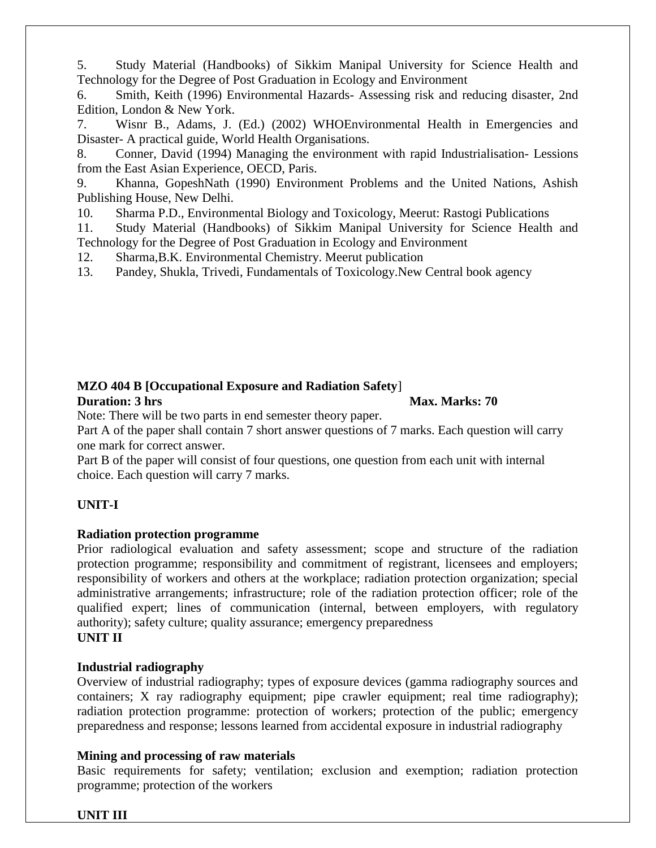5. Study Material (Handbooks) of Sikkim Manipal University for Science Health and Technology for the Degree of Post Graduation in Ecology and Environment

6. Smith, Keith (1996) Environmental Hazards- Assessing risk and reducing disaster, 2nd Edition, London & New York.

7. Wisnr B., Adams, J. (Ed.) (2002) WHOEnvironmental Health in Emergencies and Disaster- A practical guide, World Health Organisations.

8. Conner, David (1994) Managing the environment with rapid Industrialisation- Lessions from the East Asian Experience, OECD, Paris.

9. Khanna, GopeshNath (1990) Environment Problems and the United Nations, Ashish Publishing House, New Delhi.

10. Sharma P.D., Environmental Biology and Toxicology, Meerut: Rastogi Publications

11. Study Material (Handbooks) of Sikkim Manipal University for Science Health and Technology for the Degree of Post Graduation in Ecology and Environment

12. Sharma,B.K. Environmental Chemistry. Meerut publication

13. Pandey, Shukla, Trivedi, Fundamentals of Toxicology.New Central book agency

# **MZO 404 B [Occupational Exposure and Radiation Safety**]

#### **Duration: 3 hrs** Max. Marks: 70

Note: There will be two parts in end semester theory paper.

Part A of the paper shall contain 7 short answer questions of 7 marks. Each question will carry one mark for correct answer.

Part B of the paper will consist of four questions, one question from each unit with internal choice. Each question will carry 7 marks.

#### **UNIT-I**

#### **Radiation protection programme**

Prior radiological evaluation and safety assessment; scope and structure of the radiation protection programme; responsibility and commitment of registrant, licensees and employers; responsibility of workers and others at the workplace; radiation protection organization; special administrative arrangements; infrastructure; role of the radiation protection officer; role of the qualified expert; lines of communication (internal, between employers, with regulatory authority); safety culture; quality assurance; emergency preparedness **UNIT II**

#### **Industrial radiography**

Overview of industrial radiography; types of exposure devices (gamma radiography sources and containers; X ray radiography equipment; pipe crawler equipment; real time radiography); radiation protection programme: protection of workers; protection of the public; emergency preparedness and response; lessons learned from accidental exposure in industrial radiography

#### **Mining and processing of raw materials**

Basic requirements for safety; ventilation; exclusion and exemption; radiation protection programme; protection of the workers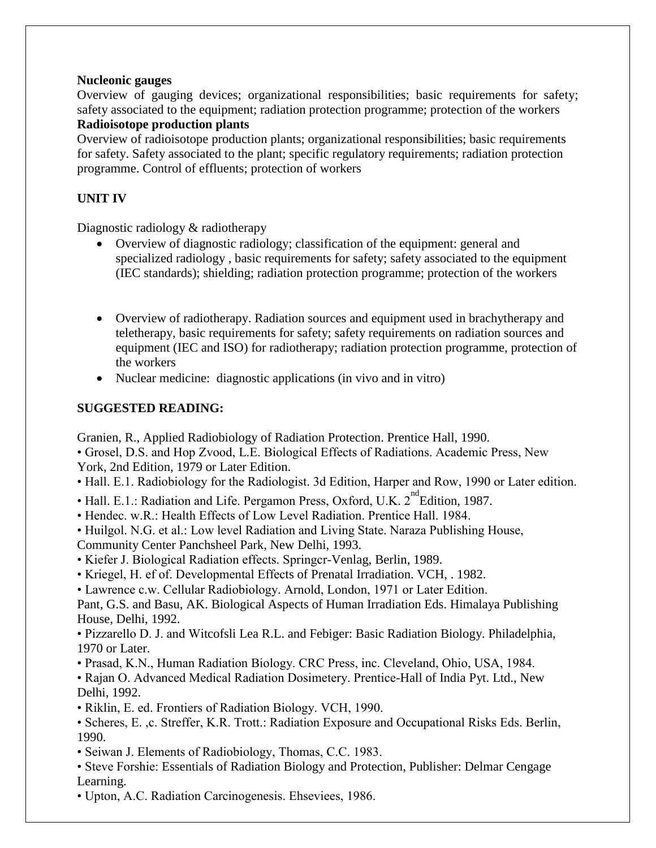## **Nucleonic gauges**

Overview of gauging devices; organizational responsibilities; basic requirements for safety; safety associated to the equipment; radiation protection programme; protection of the workers **Radioisotope production plants**

Overview of radioisotope production plants; organizational responsibilities; basic requirements for safety. Safety associated to the plant; specific regulatory requirements; radiation protection programme. Control of effluents; protection of workers

# **UNIT IV**

Diagnostic radiology & radiotherapy

- Overview of diagnostic radiology; classification of the equipment: general and specialized radiology , basic requirements for safety; safety associated to the equipment (IEC standards); shielding; radiation protection programme; protection of the workers
- Overview of radiotherapy. Radiation sources and equipment used in brachytherapy and teletherapy, basic requirements for safety; safety requirements on radiation sources and equipment (IEC and ISO) for radiotherapy; radiation protection programme, protection of the workers
- Nuclear medicine: diagnostic applications (in vivo and in vitro)

# **SUGGESTED READING:**

Granien, R., Applied Radiobiology of Radiation Protection. Prentice Hall, 1990.

• Grosel, D.S. and Hop Zvood, L.E. Biological Effects of Radiations. Academic Press, New York, 2nd Edition, 1979 or Later Edition.

- Hall. E.1. Radiobiology for the Radiologist. 3d Edition, Harper and Row, 1990 or Later edition.
- Hall. E.1.: Radiation and Life. Pergamon Press, Oxford, U.K.  $2^{nd}$ Edition, 1987.
- Hendec. w.R.: Health Effects of Low Level Radiation. Prentice Hall. 1984.
- Huilgol. N.G. et al.: Low level Radiation and Living State. Naraza Publishing House,
- Community Center Panchsheel Park, New Delhi, 1993.
- Kiefer J. Biological Radiation effects. Springcr-Venlag, Berlin, 1989.
- Kriegel, H. ef of. Developmental Effects of Prenatal Irradiation. VCH, . 1982.
- Lawrence c.w. Cellular Radiobiology. Arnold, London, 1971 or Later Edition.

Pant, G.S. and Basu, AK. Biological Aspects of Human Irradiation Eds. Himalaya Publishing House, Delhi, 1992.

• Pizzarello D. J. and Witcofsli Lea R.L. and Febiger: Basic Radiation Biology. Philadelphia, 1970 or Later.

• Prasad, K.N., Human Radiation Biology. CRC Press, inc. Cleveland, Ohio, USA, 1984.

• Rajan O. Advanced Medical Radiation Dosimetery. Prentice-Hall of India Pyt. Ltd., New Delhi, 1992.

- Riklin, E. ed. Frontiers of Radiation Biology. VCH, 1990.
- Scheres, E. ,c. Streffer, K.R. Trott.: Radiation Exposure and Occupational Risks Eds. Berlin, 1990.
- Seiwan J. Elements of Radiobiology, Thomas, C.C. 1983.
- Steve Forshie: Essentials of Radiation Biology and Protection, Publisher: Delmar Cengage Learning.
- Upton, A.C. Radiation Carcinogenesis. Ehseviees, 1986.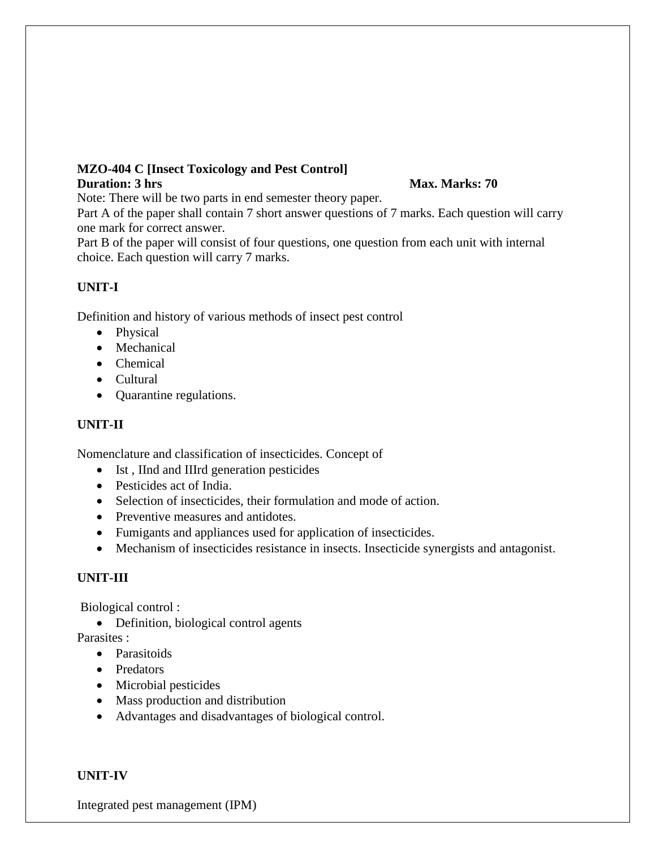# **MZO-404 C [Insect Toxicology and Pest Control] Duration: 3 hrs** Max. Marks: 70

Note: There will be two parts in end semester theory paper.

Part A of the paper shall contain 7 short answer questions of 7 marks. Each question will carry one mark for correct answer.

Part B of the paper will consist of four questions, one question from each unit with internal choice. Each question will carry 7 marks.

# **UNIT-I**

Definition and history of various methods of insect pest control

- Physical
- Mechanical
- Chemical
- Cultural
- Quarantine regulations.

# **UNIT-II**

Nomenclature and classification of insecticides. Concept of

- Ist, IInd and IIIrd generation pesticides
- Pesticides act of India.
- Selection of insecticides, their formulation and mode of action.
- Preventive measures and antidotes.
- Fumigants and appliances used for application of insecticides.
- Mechanism of insecticides resistance in insects. Insecticide synergists and antagonist.

# **UNIT-III**

Biological control :

• Definition, biological control agents

Parasites :

- Parasitoids
- Predators
- Microbial pesticides
- Mass production and distribution
- Advantages and disadvantages of biological control.

# **UNIT-IV**

Integrated pest management (IPM)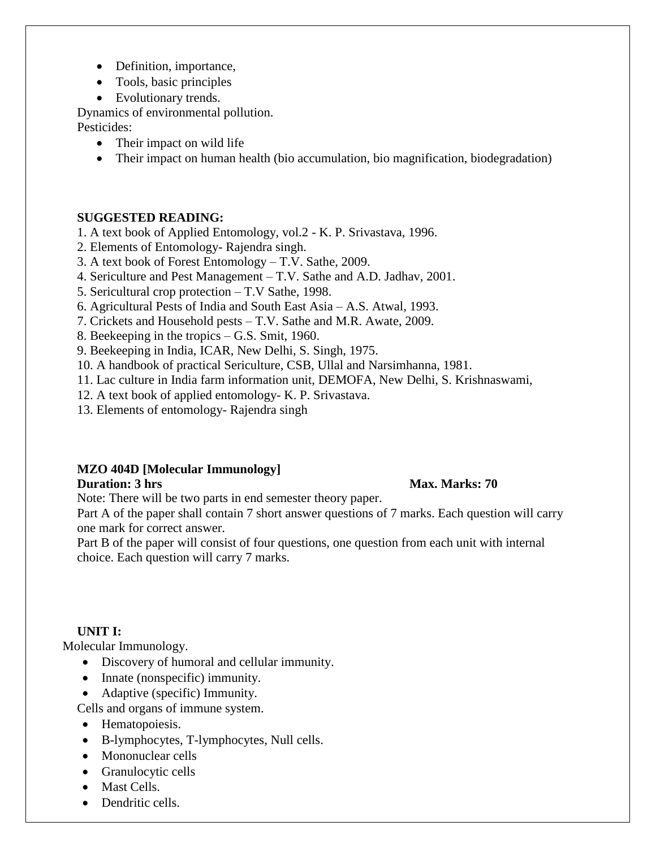- Definition, importance,
- Tools, basic principles
- Evolutionary trends.

Dynamics of environmental pollution. Pesticides:

- Their impact on wild life
- Their impact on human health (bio accumulation, bio magnification, biodegradation)

## **SUGGESTED READING:**

- 1. A text book of Applied Entomology, vol.2 K. P. Srivastava, 1996.
- 2. Elements of Entomology- Rajendra singh.
- 3. A text book of Forest Entomology T.V. Sathe, 2009.
- 4. Sericulture and Pest Management T.V. Sathe and A.D. Jadhav, 2001.
- 5. Sericultural crop protection T.V Sathe, 1998.
- 6. Agricultural Pests of India and South East Asia A.S. Atwal, 1993.
- 7. Crickets and Household pests T.V. Sathe and M.R. Awate, 2009.
- 8. Beekeeping in the tropics G.S. Smit, 1960.
- 9. Beekeeping in India, ICAR, New Delhi, S. Singh, 1975.
- 10. A handbook of practical Sericulture, CSB, Ullal and Narsimhanna, 1981.
- 11. Lac culture in India farm information unit, DEMOFA, New Delhi, S. Krishnaswami,
- 12. A text book of applied entomology- K. P. Srivastava.
- 13. Elements of entomology- Rajendra singh

#### **MZO 404D [Molecular Immunology]**

Note: There will be two parts in end semester theory paper.

Part A of the paper shall contain 7 short answer questions of 7 marks. Each question will carry one mark for correct answer.

Part B of the paper will consist of four questions, one question from each unit with internal choice. Each question will carry 7 marks.

#### **UNIT I:**

Molecular Immunology.

- Discovery of humoral and cellular immunity.
- Innate (nonspecific) immunity.
- Adaptive (specific) Immunity.

Cells and organs of immune system.

- Hematopoiesis.
- B-lymphocytes, T-lymphocytes, Null cells.
- Mononuclear cells
- Granulocytic cells
- Mast Cells.
- Dendritic cells.

# **Duration: 3 hrs** Max. Marks: 70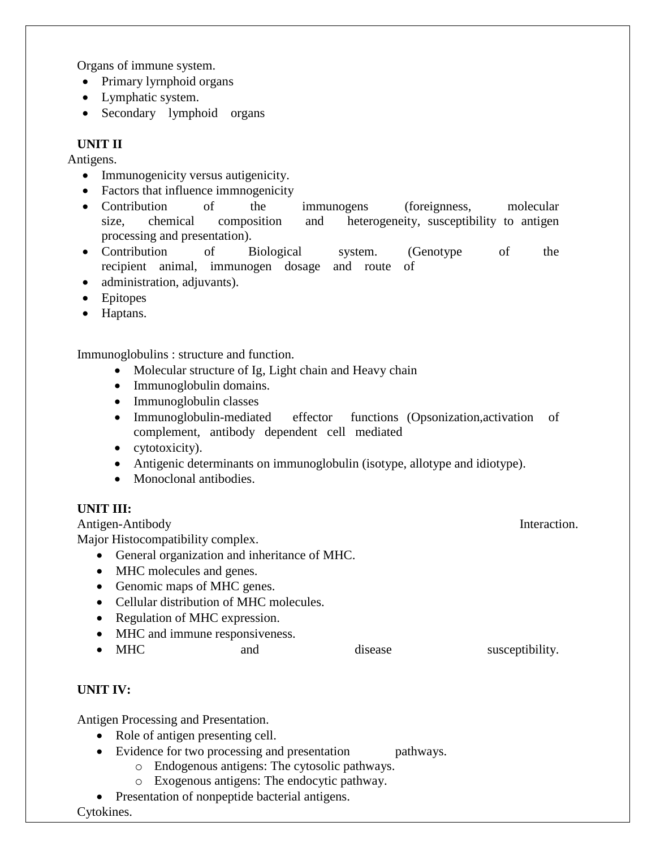Organs of immune system.

- Primary lymphoid organs
- Lymphatic system.
- Secondary lymphoid organs

## **UNIT II**

Antigens.

- Immunogenicity versus autigenicity.
- Factors that influence immnogenicity
- Contribution of the immunogens (foreignness, molecular size, chemical composition and heterogeneity, susceptibility to antigen processing and presentation).
- Contribution of Biological system. (Genotype of the recipient animal, immunogen dosage and route of
- administration, adjuvants).
- Epitopes
- Haptans.

Immunoglobulins : structure and function.

- Molecular structure of Ig, Light chain and Heavy chain
- Immunoglobulin domains.
- Immunoglobulin classes
- Immunoglobulin-mediated effector functions (Opsonization,activation of complement, antibody dependent cell mediated
- $\bullet$  cytotoxicity).
- Antigenic determinants on immunoglobulin (isotype, allotype and idiotype).
- Monoclonal antibodies.

## **UNIT III:**

Antigen-Antibody Interaction.

Major Histocompatibility complex.

- General organization and inheritance of MHC.
- MHC molecules and genes.
- Genomic maps of MHC genes.
- Cellular distribution of MHC molecules.
- Regulation of MHC expression.
- MHC and immune responsiveness.
- MHC and disease susceptibility.

## **UNIT IV:**

Antigen Processing and Presentation.

- Role of antigen presenting cell.
- Evidence for two processing and presentation pathways.
	- o Endogenous antigens: The cytosolic pathways.
	- o Exogenous antigens: The endocytic pathway.
- Presentation of nonpeptide bacterial antigens.

Cytokines.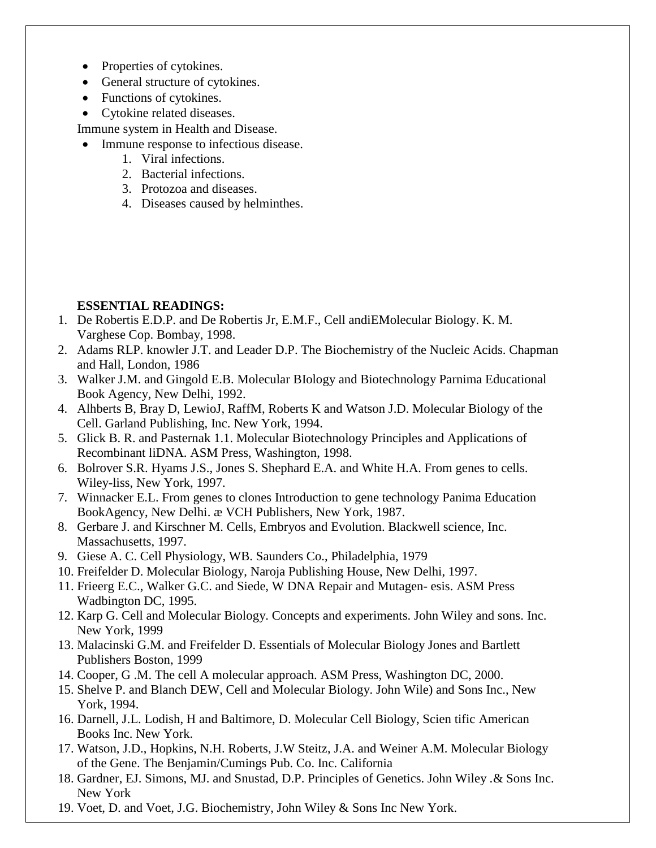- Properties of cytokines.
- General structure of cytokines.
- Functions of cytokines.
- Cytokine related diseases.

Immune system in Health and Disease.

- Immune response to infectious disease.
	- 1. Viral infections.
	- 2. Bacterial infections.
	- 3. Protozoa and diseases.
	- 4. Diseases caused by helminthes.

# **ESSENTIAL READINGS:**

- 1. De Robertis E.D.P. and De Robertis Jr, E.M.F., Cell andiEMolecular Biology. K. M. Varghese Cop. Bombay, 1998.
- 2. Adams RLP. knowler J.T. and Leader D.P. The Biochemistry of the Nucleic Acids. Chapman and Hall, London, 1986
- 3. Walker J.M. and Gingold E.B. Molecular BIology and Biotechnology Parnima Educational Book Agency, New Delhi, 1992.
- 4. Alhberts B, Bray D, LewioJ, RaffM, Roberts K and Watson J.D. Molecular Biology of the Cell. Garland Publishing, Inc. New York, 1994.
- 5. Glick B. R. and Pasternak 1.1. Molecular Biotechnology Principles and Applications of Recombinant liDNA. ASM Press, Washington, 1998.
- 6. Bolrover S.R. Hyams J.S., Jones S. Shephard E.A. and White H.A. From genes to cells. Wiley-liss, New York, 1997.
- 7. Winnacker E.L. From genes to clones Introduction to gene technology Panima Education BookAgency, New Delhi. æ VCH Publishers, New York, 1987.
- 8. Gerbare J. and Kirschner M. Cells, Embryos and Evolution. Blackwell science, Inc. Massachusetts, 1997.
- 9. Giese A. C. Cell Physiology, WB. Saunders Co., Philadelphia, 1979
- 10. Freifelder D. Molecular Biology, Naroja Publishing House, New Delhi, 1997.
- 11. Frieerg E.C., Walker G.C. and Siede, W DNA Repair and Mutagen- esis. ASM Press Wadbington DC, 1995.
- 12. Karp G. Cell and Molecular Biology. Concepts and experiments. John Wiley and sons. Inc. New York, 1999
- 13. Malacinski G.M. and Freifelder D. Essentials of Molecular Biology Jones and Bartlett Publishers Boston, 1999
- 14. Cooper, G .M. The cell A molecular approach. ASM Press, Washington DC, 2000.
- 15. Shelve P. and Blanch DEW, Cell and Molecular Biology. John Wile) and Sons Inc., New York, 1994.
- 16. Darnell, J.L. Lodish, H and Baltimore, D. Molecular Cell Biology, Scien tific American Books Inc. New York.
- 17. Watson, J.D., Hopkins, N.H. Roberts, J.W Steitz, J.A. and Weiner A.M. Molecular Biology of the Gene. The Benjamin/Cumings Pub. Co. Inc. California
- 18. Gardner, EJ. Simons, MJ. and Snustad, D.P. Principles of Genetics. John Wiley .& Sons Inc. New York
- 19. Voet, D. and Voet, J.G. Biochemistry, John Wiley & Sons Inc New York.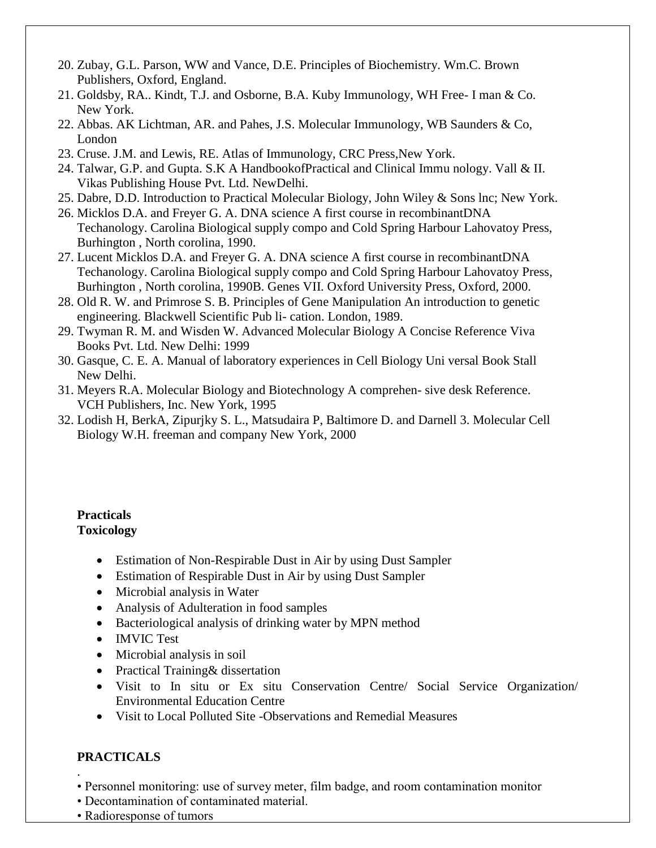- 20. Zubay, G.L. Parson, WW and Vance, D.E. Principles of Biochemistry. Wm.C. Brown Publishers, Oxford, England.
- 21. Goldsby, RA.. Kindt, T.J. and Osborne, B.A. Kuby Immunology, WH Free- I man & Co. New York.
- 22. Abbas. AK Lichtman, AR. and Pahes, J.S. Molecular Immunology, WB Saunders & Co, London
- 23. Cruse. J.M. and Lewis, RE. Atlas of Immunology, CRC Press,New York.
- 24. Talwar, G.P. and Gupta. S.K A HandbookofPractical and Clinical Immu nology. Vall & II. Vikas Publishing House Pvt. Ltd. NewDelhi.
- 25. Dabre, D.D. Introduction to Practical Molecular Biology, John Wiley & Sons lnc; New York.
- 26. Micklos D.A. and Freyer G. A. DNA science A first course in recombinantDNA Techanology. Carolina Biological supply compo and Cold Spring Harbour Lahovatoy Press, Burhington , North corolina, 1990.
- 27. Lucent Micklos D.A. and Freyer G. A. DNA science A first course in recombinantDNA Techanology. Carolina Biological supply compo and Cold Spring Harbour Lahovatoy Press, Burhington , North corolina, 1990B. Genes VII. Oxford University Press, Oxford, 2000.
- 28. Old R. W. and Primrose S. B. Principles of Gene Manipulation An introduction to genetic engineering. Blackwell Scientific Pub li- cation. London, 1989.
- 29. Twyman R. M. and Wisden W. Advanced Molecular Biology A Concise Reference Viva Books Pvt. Ltd. New Delhi: 1999
- 30. Gasque, C. E. A. Manual of laboratory experiences in Cell Biology Uni versal Book Stall New Delhi.
- 31. Meyers R.A. Molecular Biology and Biotechnology A comprehen- sive desk Reference. VCH Publishers, Inc. New York, 1995
- 32. Lodish H, BerkA, Zipurjky S. L., Matsudaira P, Baltimore D. and Darnell 3. Molecular Cell Biology W.H. freeman and company New York, 2000

## **Practicals Toxicology**

- Estimation of Non-Respirable Dust in Air by using Dust Sampler
- Estimation of Respirable Dust in Air by using Dust Sampler
- Microbial analysis in Water
- Analysis of Adulteration in food samples
- Bacteriological analysis of drinking water by MPN method
- IMVIC Test
- Microbial analysis in soil
- Practical Training & dissertation
- Visit to In situ or Ex situ Conservation Centre/ Social Service Organization/ Environmental Education Centre
- Visit to Local Polluted Site -Observations and Remedial Measures

# **PRACTICALS**

.

- Personnel monitoring: use of survey meter, film badge, and room contamination monitor
- Decontamination of contaminated material.
- Radioresponse of tumors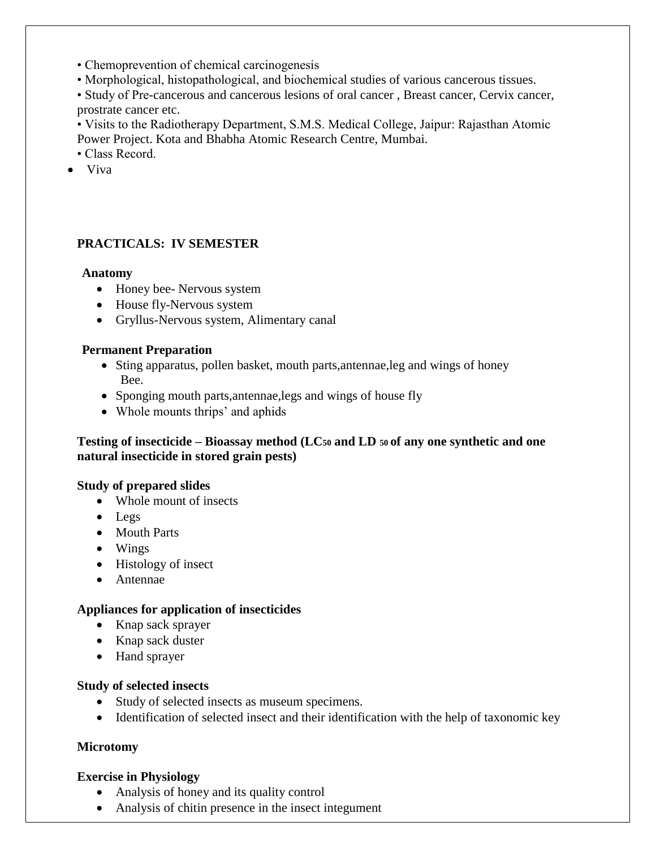- Chemoprevention of chemical carcinogenesis
- Morphological, histopathological, and biochemical studies of various cancerous tissues.

• Study of Pre-cancerous and cancerous lesions of oral cancer , Breast cancer, Cervix cancer, prostrate cancer etc.

• Visits to the Radiotherapy Department, S.M.S. Medical College, Jaipur: Rajasthan Atomic Power Project. Kota and Bhabha Atomic Research Centre, Mumbai.

- Class Record.
- Viva

## **PRACTICALS: IV SEMESTER**

### **Anatomy**

- Honey bee- Nervous system
- House fly-Nervous system
- Gryllus-Nervous system, Alimentary canal

### **Permanent Preparation**

- Sting apparatus, pollen basket, mouth parts, antennae, leg and wings of honey Bee.
- Sponging mouth parts, antennae, legs and wings of house fly
- Whole mounts thrips' and aphids

### **Testing of insecticide – Bioassay method (LC<sup>50</sup> and LD 50 of any one synthetic and one natural insecticide in stored grain pests)**

### **Study of prepared slides**

- Whole mount of insects
- Legs
- Mouth Parts
- Wings
- Histology of insect
- Antennae

## **Appliances for application of insecticides**

- Knap sack sprayer
- Knap sack duster
- Hand sprayer

### **Study of selected insects**

- Study of selected insects as museum specimens.
- Identification of selected insect and their identification with the help of taxonomic key

## **Microtomy**

### **Exercise in Physiology**

- Analysis of honey and its quality control
- Analysis of chitin presence in the insect integument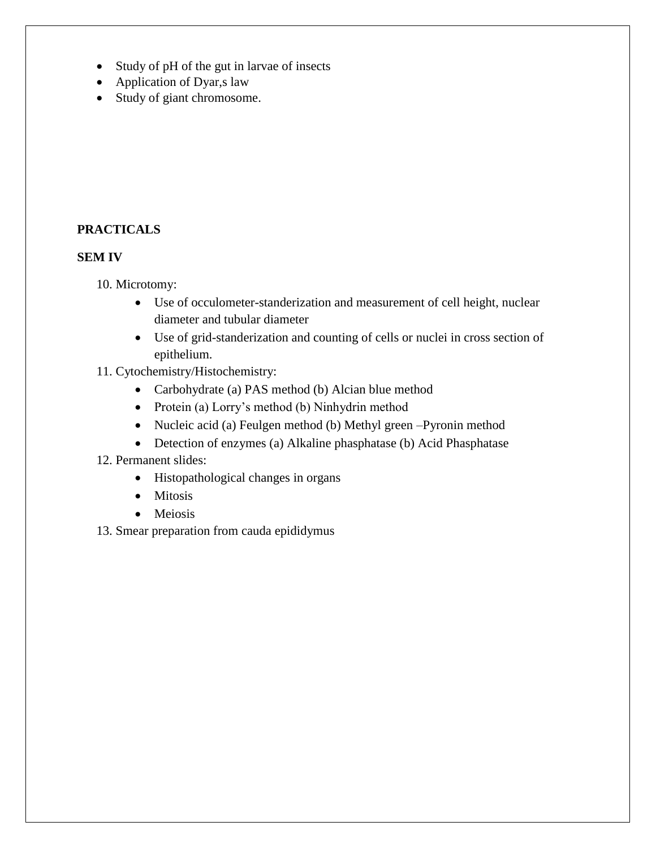- Study of pH of the gut in larvae of insects
- Application of Dyar, slaw
- Study of giant chromosome.

# **PRACTICALS**

### **SEM IV**

- 10. Microtomy:
	- Use of occulometer-standerization and measurement of cell height, nuclear diameter and tubular diameter
	- Use of grid-standerization and counting of cells or nuclei in cross section of epithelium.
- 11. Cytochemistry/Histochemistry:
	- Carbohydrate (a) PAS method (b) Alcian blue method
	- Protein (a) Lorry's method (b) Ninhydrin method
	- Nucleic acid (a) Feulgen method (b) Methyl green –Pyronin method
	- Detection of enzymes (a) Alkaline phasphatase (b) Acid Phasphatase

## 12. Permanent slides:

- Histopathological changes in organs
- Mitosis
- Meiosis
- 13. Smear preparation from cauda epididymus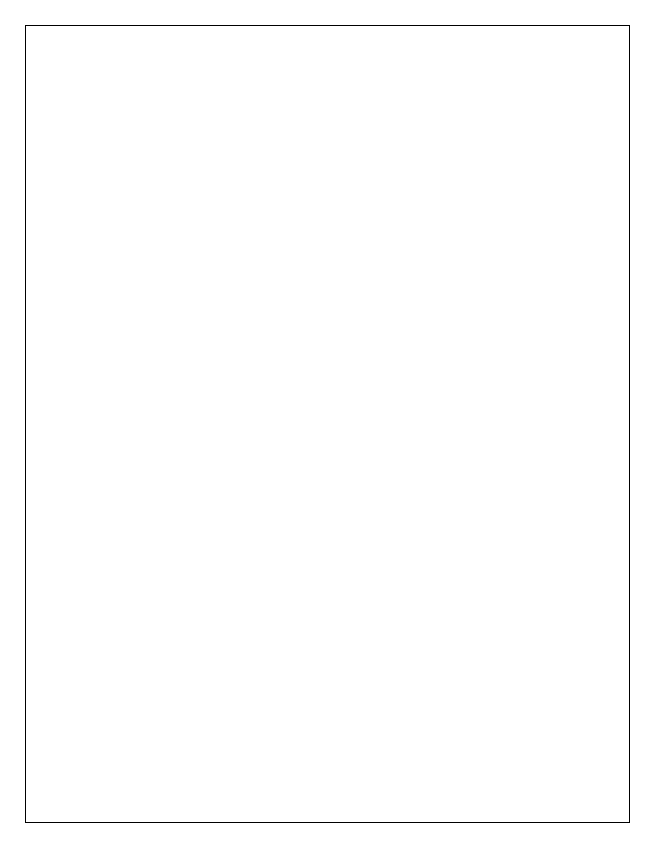